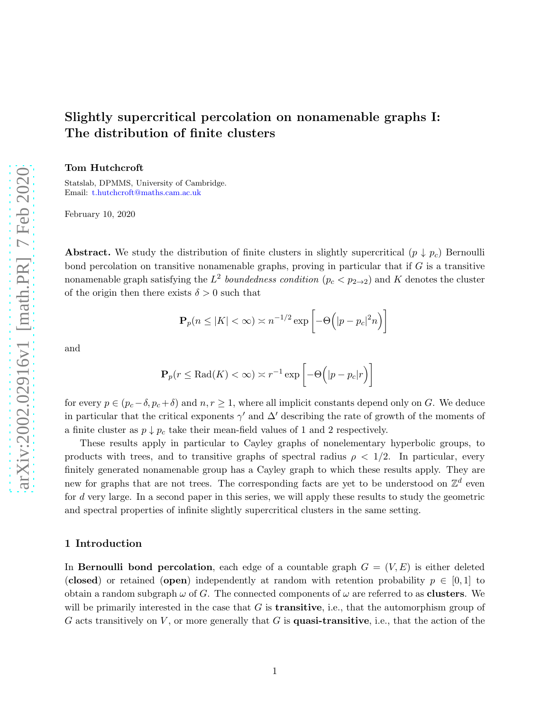# Slightly supercritical percolation on nonamenable graphs I: The distribution of finite clusters

Tom Hutchcroft

Statslab, DPMMS, University of Cambridge. Email: [t.hutchcroft@maths.cam.ac.uk](mailto:t.hutchcroft@maths.cam.ac.uk)

February 10, 2020

Abstract. We study the distribution of finite clusters in slightly supercritical  $(p \downarrow p_c)$  Bernoulli bond percolation on transitive nonamenable graphs, proving in particular that if  $G$  is a transitive nonamenable graph satisfying the  $L^2$  boundedness condition  $(p_c < p_{2\to 2})$  and K denotes the cluster of the origin then there exists  $\delta > 0$  such that

$$
\mathbf{P}_p(n \le |K| < \infty) \asymp n^{-1/2} \exp\left[-\Theta\left(|p - p_c|^2 n\right)\right]
$$

and

$$
\mathbf{P}_p(r \leq \text{Rad}(K) < \infty) \asymp r^{-1} \exp\left[-\Theta\left(|p - p_c|r\right)\right]
$$

for every  $p \in (p_c - \delta, p_c + \delta)$  and  $n, r \ge 1$ , where all implicit constants depend only on G. We deduce in particular that the critical exponents  $\gamma'$  and  $\Delta'$  describing the rate of growth of the moments of a finite cluster as  $p \downarrow p_c$  take their mean-field values of 1 and 2 respectively.

These results apply in particular to Cayley graphs of nonelementary hyperbolic groups, to products with trees, and to transitive graphs of spectral radius  $\rho < 1/2$ . In particular, every finitely generated nonamenable group has a Cayley graph to which these results apply. They are new for graphs that are not trees. The corresponding facts are yet to be understood on  $\mathbb{Z}^d$  even for d very large. In a second paper in this series, we will apply these results to study the geometric and spectral properties of infinite slightly supercritical clusters in the same setting.

#### 1 Introduction

In Bernoulli bond percolation, each edge of a countable graph  $G = (V, E)$  is either deleted (closed) or retained (open) independently at random with retention probability  $p \in [0, 1]$  to obtain a random subgraph  $\omega$  of G. The connected components of  $\omega$  are referred to as **clusters**. We will be primarily interested in the case that  $G$  is **transitive**, i.e., that the automorphism group of G acts transitively on  $V$ , or more generally that G is quasi-transitive, i.e., that the action of the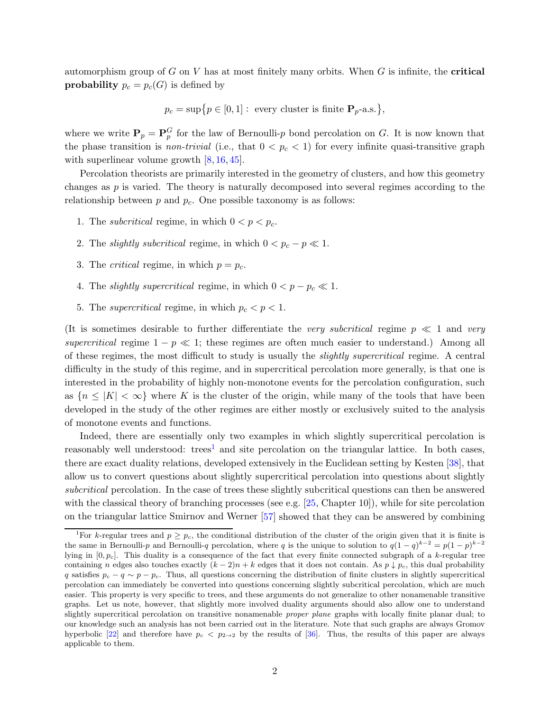automorphism group of G on V has at most finitely many orbits. When G is infinite, the **critical probability**  $p_c = p_c(G)$  is defined by

$$
p_c = \sup\{p \in [0,1]: \text{ every cluster is finite } \mathbf{P}_p\text{-a.s.}\},
$$

where we write  $P_p = P_p^G$  for the law of Bernoulli-p bond percolation on G. It is now known that the phase transition is *non-trivial* (i.e., that  $0 < p_c < 1$ ) for every infinite quasi-transitive graph with superlinear volume growth  $[8, 16, 45]$  $[8, 16, 45]$  $[8, 16, 45]$  $[8, 16, 45]$ .

Percolation theorists are primarily interested in the geometry of clusters, and how this geometry changes as  $p$  is varied. The theory is naturally decomposed into several regimes according to the relationship between  $p$  and  $p_c$ . One possible taxonomy is as follows:

- 1. The *subcritical* regime, in which  $0 < p < p_c$ .
- 2. The *slightly subcritical* regime, in which  $0 < p_c p \ll 1$ .
- 3. The *critical* regime, in which  $p = p_c$ .
- 4. The *slightly supercritical* regime, in which  $0 < p p_c \ll 1$ .
- 5. The *supercritical* regime, in which  $p_c < p < 1$ .

(It is sometimes desirable to further differentiate the very subcritical regime  $p \ll 1$  and very supercritical regime  $1 - p \ll 1$ ; these regimes are often much easier to understand.) Among all of these regimes, the most difficult to study is usually the slightly supercritical regime. A central difficulty in the study of this regime, and in supercritical percolation more generally, is that one is interested in the probability of highly non-monotone events for the percolation configuration, such as  ${n \leq |K| < \infty}$  where K is the cluster of the origin, while many of the tools that have been developed in the study of the other regimes are either mostly or exclusively suited to the analysis of monotone events and functions.

Indeed, there are essentially only two examples in which slightly supercritical percolation is reasonably well understood:  $trees<sup>1</sup>$  and site percolation on the triangular lattice. In both cases, there are exact duality relations, developed extensively in the Euclidean setting by Kesten [\[38\]](#page-41-1), that allow us to convert questions about slightly supercritical percolation into questions about slightly subcritical percolation. In the case of trees these slightly subcritical questions can then be answered with the classical theory of branching processes (see e.g.  $[25, Chapter 10]$ ), while for site percolation on the triangular lattice Smirnov and Werner [\[57\]](#page-41-2) showed that they can be answered by combining

<sup>&</sup>lt;sup>1</sup>For k-regular trees and  $p > p_c$ , the conditional distribution of the cluster of the origin given that it is finite is the same in Bernoulli-p and Bernoulli-q percolation, where q is the unique to solution to  $q(1-q)^{k-2} = p(1-p)^{k-2}$ lying in  $[0, p_c]$ . This duality is a consequence of the fact that every finite connected subgraph of a k-regular tree containing n edges also touches exactly  $(k-2)n + k$  edges that it does not contain. As  $p \downarrow p_c$ , this dual probability q satisfies  $p_c - q \sim p - p_c$ . Thus, all questions concerning the distribution of finite clusters in slightly supercritical percolation can immediately be converted into questions concerning slightly subcritical percolation, which are much easier. This property is very specific to trees, and these arguments do not generalize to other nonamenable transitive graphs. Let us note, however, that slightly more involved duality arguments should also allow one to understand slightly supercritical percolation on transitive nonamenable *proper plane* graphs with locally finite planar dual; to our knowledge such an analysis has not been carried out in the literature. Note that such graphs are always Gromov hyperbolic [\[22\]](#page-40-2) and therefore have  $p_c < p_{2\to 2}$  by the results of [\[36\]](#page-41-3). Thus, the results of this paper are always applicable to them.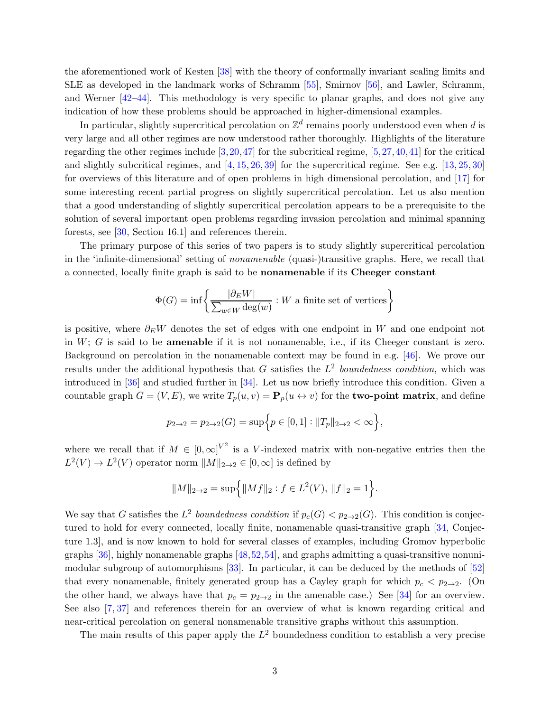the aforementioned work of Kesten [\[38\]](#page-41-1) with the theory of conformally invariant scaling limits and SLE as developed in the landmark works of Schramm [\[55\]](#page-41-4), Smirnov [\[56\]](#page-41-5), and Lawler, Schramm, and Werner [\[42–](#page-41-6)[44\]](#page-41-7). This methodology is very specific to planar graphs, and does not give any indication of how these problems should be approached in higher-dimensional examples.

In particular, slightly supercritical percolation on  $\mathbb{Z}^d$  remains poorly understood even when  $d$  is very large and all other regimes are now understood rather thoroughly. Highlights of the literature regarding the other regimes include  $[3,20,47]$  $[3,20,47]$  $[3,20,47]$  for the subcritical regime,  $[5,27,40,41]$  $[5,27,40,41]$  $[5,27,40,41]$  $[5,27,40,41]$  for the critical and slightly subcritical regimes, and  $[4, 15, 26, 39]$  $[4, 15, 26, 39]$  $[4, 15, 26, 39]$  $[4, 15, 26, 39]$  $[4, 15, 26, 39]$  $[4, 15, 26, 39]$  for the supercritical regime. See e.g.  $[13, 25, 30]$  $[13, 25, 30]$  $[13, 25, 30]$  $[13, 25, 30]$ for overviews of this literature and of open problems in high dimensional percolation, and [\[17\]](#page-40-9) for some interesting recent partial progress on slightly supercritical percolation. Let us also mention that a good understanding of slightly supercritical percolation appears to be a prerequisite to the solution of several important open problems regarding invasion percolation and minimal spanning forests, see [\[30,](#page-40-8) Section 16.1] and references therein.

The primary purpose of this series of two papers is to study slightly supercritical percolation in the 'infinite-dimensional' setting of nonamenable (quasi-)transitive graphs. Here, we recall that a connected, locally finite graph is said to be nonamenable if its Cheeger constant

$$
\Phi(G) = \inf \left\{ \frac{|\partial_E W|}{\sum_{w \in W} \deg(w)} : W \text{ a finite set of vertices} \right\}
$$

is positive, where  $\partial_E W$  denotes the set of edges with one endpoint in W and one endpoint not in  $W$ ;  $G$  is said to be **amenable** if it is not nonamenable, i.e., if its Cheeger constant is zero. Background on percolation in the nonamenable context may be found in e.g. [\[46\]](#page-41-12). We prove our results under the additional hypothesis that G satisfies the  $L^2$  boundedness condition, which was introduced in [\[36\]](#page-41-3) and studied further in [\[34\]](#page-40-10). Let us now briefly introduce this condition. Given a countable graph  $G = (V, E)$ , we write  $T_p(u, v) = \mathbf{P}_p(u \leftrightarrow v)$  for the **two-point matrix**, and define

$$
p_{2\to 2} = p_{2\to 2}(G) = \sup \Big\{ p \in [0,1] : ||T_p||_{2\to 2} < \infty \Big\},\
$$

where we recall that if  $M \in [0,\infty]^{V^2}$  is a V-indexed matrix with non-negative entries then the  $L^2(V) \to L^2(V)$  operator norm  $||M||_{2\to 2} \in [0,\infty]$  is defined by

$$
||M||_{2\to 2} = \sup\Big\{||Mf||_2 : f \in L^2(V), ||f||_2 = 1\Big\}.
$$

We say that G satisfies the  $L^2$  boundedness condition if  $p_c(G) < p_{2\to 2}(G)$ . This condition is conjec-tured to hold for every connected, locally finite, nonamenable quasi-transitive graph [\[34,](#page-40-10) Conjecture 1.3], and is now known to hold for several classes of examples, including Gromov hyperbolic graphs  $[36]$ , highly nonamenable graphs  $[48,52,54]$  $[48,52,54]$  $[48,52,54]$ , and graphs admitting a quasi-transitive nonunimodular subgroup of automorphisms [\[33\]](#page-40-11). In particular, it can be deduced by the methods of [\[52\]](#page-41-14) that every nonamenable, finitely generated group has a Cayley graph for which  $p_c < p_{2\rightarrow 2}$ . (On the other hand, we always have that  $p_c = p_{2\to 2}$  in the amenable case.) See [\[34\]](#page-40-10) for an overview. See also [\[7,](#page-39-4) [37\]](#page-41-16) and references therein for an overview of what is known regarding critical and near-critical percolation on general nonamenable transitive graphs without this assumption.

The main results of this paper apply the  $L^2$  boundedness condition to establish a very precise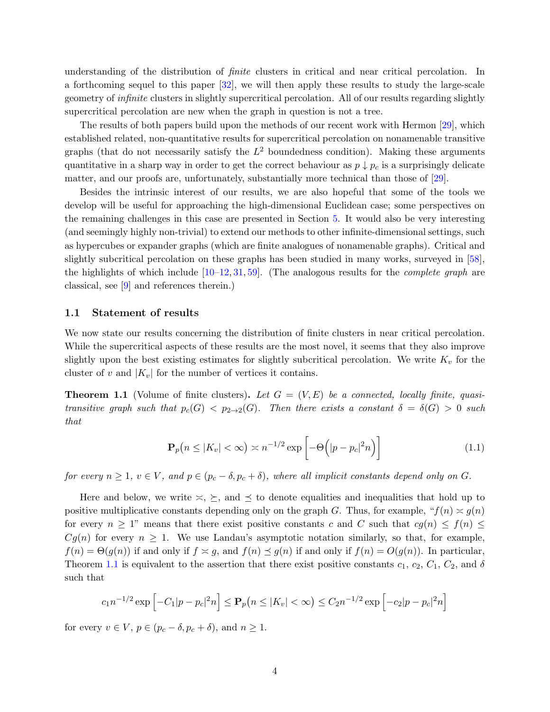understanding of the distribution of finite clusters in critical and near critical percolation. In a forthcoming sequel to this paper [\[32\]](#page-40-12), we will then apply these results to study the large-scale geometry of infinite clusters in slightly supercritical percolation. All of our results regarding slightly supercritical percolation are new when the graph in question is not a tree.

The results of both papers build upon the methods of our recent work with Hermon [\[29\]](#page-40-13), which established related, non-quantitative results for supercritical percolation on nonamenable transitive graphs (that do not necessarily satisfy the  $L^2$  boundedness condition). Making these arguments quantitative in a sharp way in order to get the correct behaviour as  $p \downarrow p_c$  is a surprisingly delicate matter, and our proofs are, unfortunately, substantially more technical than those of [\[29\]](#page-40-13).

Besides the intrinsic interest of our results, we are also hopeful that some of the tools we develop will be useful for approaching the high-dimensional Euclidean case; some perspectives on the remaining challenges in this case are presented in Section [5.](#page-37-0) It would also be very interesting (and seemingly highly non-trivial) to extend our methods to other infinite-dimensional settings, such as hypercubes or expander graphs (which are finite analogues of nonamenable graphs). Critical and slightly subcritical percolation on these graphs has been studied in many works, surveyed in [\[58\]](#page-41-17), the highlights of which include  $[10-12, 31, 59]$  $[10-12, 31, 59]$  $[10-12, 31, 59]$  $[10-12, 31, 59]$ . (The analogous results for the *complete graph* are classical, see [\[9\]](#page-39-6) and references therein.)

#### 1.1 Statement of results

We now state our results concerning the distribution of finite clusters in near critical percolation. While the supercritical aspects of these results are the most novel, it seems that they also improve slightly upon the best existing estimates for slightly subcritical percolation. We write  $K_v$  for the cluster of v and  $|K_v|$  for the number of vertices it contains.

**Theorem 1.1** (Volume of finite clusters). Let  $G = (V, E)$  be a connected, locally finite, quasitransitive graph such that  $p_c(G) < p_{2\to 2}(G)$ . Then there exists a constant  $\delta = \delta(G) > 0$  such that

<span id="page-3-0"></span>
$$
\mathbf{P}_p(n \le |K_v| < \infty) \asymp n^{-1/2} \exp\left[-\Theta\left(|p - p_c|^2 n\right)\right] \tag{1.1}
$$

for every  $n \geq 1$ ,  $v \in V$ , and  $p \in (p_c - \delta, p_c + \delta)$ , where all implicit constants depend only on G.

Here and below, we write  $\leq, \leq$ , and  $\preceq$  to denote equalities and inequalities that hold up to positive multiplicative constants depending only on the graph G. Thus, for example, " $f(n) \approx g(n)$ " for every  $n \geq 1$ " means that there exist positive constants c and C such that  $cg(n) \leq f(n) \leq$  $Cg(n)$  for every  $n \geq 1$ . We use Landau's asymptotic notation similarly, so that, for example,  $f(n) = \Theta(g(n))$  if and only if  $f \simeq g$ , and  $f(n) \preceq g(n)$  if and only if  $f(n) = O(g(n))$ . In particular, Theorem [1.1](#page-3-0) is equivalent to the assertion that there exist positive constants  $c_1, c_2, C_1, C_2$ , and  $\delta$ such that

$$
c_1 n^{-1/2} \exp \left[ -C_1 |p - p_c|^2 n \right] \le \mathbf{P}_p(n \le |K_v| < \infty) \le C_2 n^{-1/2} \exp \left[ -c_2 |p - p_c|^2 n \right]
$$

for every  $v \in V$ ,  $p \in (p_c - \delta, p_c + \delta)$ , and  $n \ge 1$ .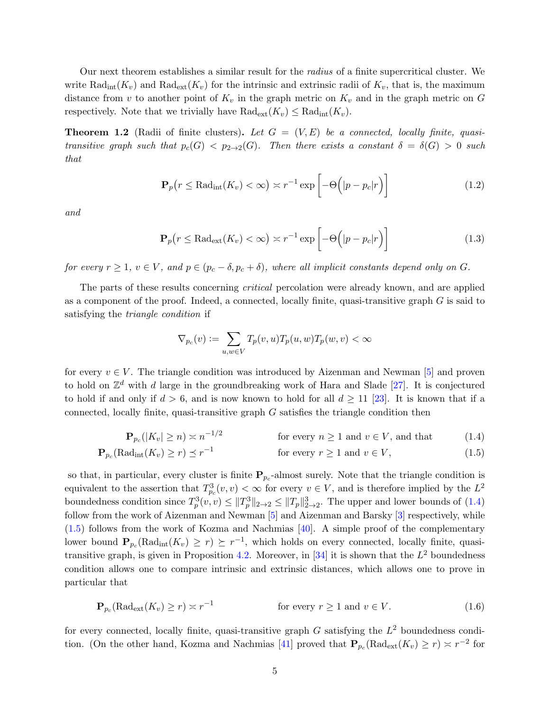Our next theorem establishes a similar result for the radius of a finite supercritical cluster. We write  $\text{Rad}_{\text{int}}(K_v)$  and  $\text{Rad}_{\text{ext}}(K_v)$  for the intrinsic and extrinsic radii of  $K_v$ , that is, the maximum distance from v to another point of  $K_v$  in the graph metric on  $K_v$  and in the graph metric on G respectively. Note that we trivially have  $\text{Rad}_{\text{ext}}(K_v) \leq \text{Rad}_{\text{int}}(K_v)$ .

**Theorem 1.2** (Radii of finite clusters). Let  $G = (V, E)$  be a connected, locally finite, quasitransitive graph such that  $p_c(G) < p_{2\to 2}(G)$ . Then there exists a constant  $\delta = \delta(G) > 0$  such that

$$
\mathbf{P}_p(r \leq \text{Rad}_{\text{int}}(K_v) < \infty) \asymp r^{-1} \exp\left[-\Theta\left(|p - p_c|r\right)\right] \tag{1.2}
$$

and

<span id="page-4-2"></span>
$$
\mathbf{P}_p(r \le \text{Rad}_{\text{ext}}(K_v) < \infty) \asymp r^{-1} \exp\left[-\Theta\left(|p - p_c|r\right)\right] \tag{1.3}
$$

for every  $r \geq 1$ ,  $v \in V$ , and  $p \in (p_c - \delta, p_c + \delta)$ , where all implicit constants depend only on G.

The parts of these results concerning critical percolation were already known, and are applied as a component of the proof. Indeed, a connected, locally finite, quasi-transitive graph  $G$  is said to satisfying the triangle condition if

<span id="page-4-1"></span><span id="page-4-0"></span>
$$
\nabla_{p_c}(v):=\sum_{u,w\in V}T_p(v,u)T_p(u,w)T_p(w,v)<\infty
$$

for every  $v \in V$ . The triangle condition was introduced by Aizenman and Newman [\[5\]](#page-39-2) and proven to hold on  $\mathbb{Z}^d$  with d large in the groundbreaking work of Hara and Slade [\[27\]](#page-40-4). It is conjectured to hold if and only if  $d > 6$ , and is now known to hold for all  $d \ge 11$  [\[23\]](#page-40-16). It is known that if a connected, locally finite, quasi-transitive graph  $G$  satisfies the triangle condition then

$$
\mathbf{P}_{p_c}(|K_v| \ge n) \asymp n^{-1/2} \qquad \text{for every } n \ge 1 \text{ and } v \in V, \text{ and that } \qquad (1.4)
$$

$$
\mathbf{P}_{p_c}(\text{Rad}_{\text{int}}(K_v) \ge r) \preceq r^{-1} \qquad \text{for every } r \ge 1 \text{ and } v \in V,\tag{1.5}
$$

so that, in particular, every cluster is finite  $P_{p_c}$ -almost surely. Note that the triangle condition is equivalent to the assertion that  $T_{p_c}^3(v, v) < \infty$  for every  $v \in V$ , and is therefore implied by the  $L^2$ boundedness condition since  $T_p^3(v, v) \leq ||T_p||_{2\to 2}^3 \leq ||T_p||_{2\to 2}^3$ . The upper and lower bounds of  $(1.4)$ follow from the work of Aizenman and Newman [\[5\]](#page-39-2) and Aizenman and Barsky [\[3\]](#page-39-1) respectively, while [\(1.5\)](#page-4-1) follows from the work of Kozma and Nachmias [\[40\]](#page-41-9). A simple proof of the complementary lower bound  $\mathbf{P}_{p_c}(\text{Rad}_{\text{int}}(K_v) \geq r) \succeq r^{-1}$ , which holds on every connected, locally finite, quasi-transitive graph, is given in Proposition [4.2.](#page-31-0) Moreover, in [\[34\]](#page-40-10) it is shown that the  $L^2$  boundedness condition allows one to compare intrinsic and extrinsic distances, which allows one to prove in particular that

$$
\mathbf{P}_{p_c}(\text{Rad}_{\text{ext}}(K_v) \ge r) \asymp r^{-1} \qquad \text{for every } r \ge 1 \text{ and } v \in V. \tag{1.6}
$$

for every connected, locally finite, quasi-transitive graph  $G$  satisfying the  $L^2$  boundedness condi-tion. (On the other hand, Kozma and Nachmias [\[41\]](#page-41-10) proved that  $P_{p_c}(\text{Rad}_{ext}(K_v) \ge r) \asymp r^{-2}$  for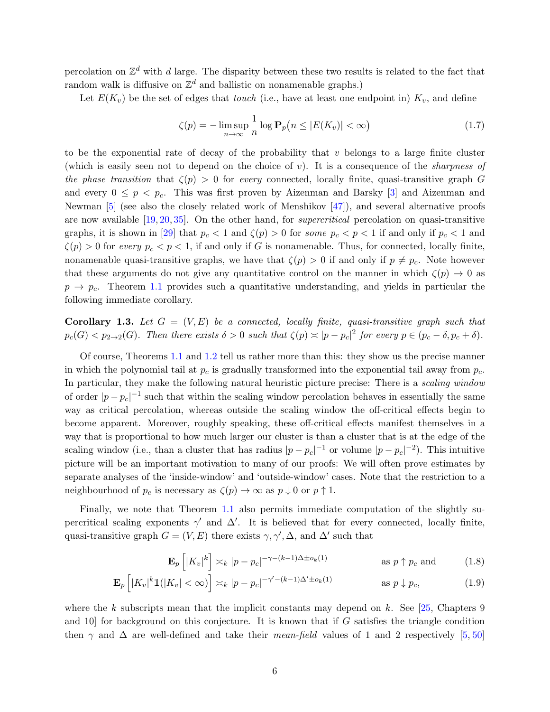percolation on  $\mathbb{Z}^d$  with d large. The disparity between these two results is related to the fact that random walk is diffusive on  $\mathbb{Z}^d$  and ballistic on nonamenable graphs.)

Let  $E(K_v)$  be the set of edges that *touch* (i.e., have at least one endpoint in)  $K_v$ , and define

$$
\zeta(p) = -\limsup_{n \to \infty} \frac{1}{n} \log \mathbf{P}_p\big(n \le |E(K_v)| < \infty\big) \tag{1.7}
$$

to be the exponential rate of decay of the probability that  $v$  belongs to a large finite cluster (which is easily seen not to depend on the choice of  $v$ ). It is a consequence of the *sharpness of* the phase transition that  $\zeta(p) > 0$  for every connected, locally finite, quasi-transitive graph G and every  $0 \leq p \leq p_c$ . This was first proven by Aizenman and Barsky [\[3\]](#page-39-1) and Aizenman and Newman [\[5\]](#page-39-2) (see also the closely related work of Menshikov [\[47\]](#page-41-8)), and several alternative proofs are now available [\[19,](#page-40-17) [20,](#page-40-3) [35\]](#page-40-18). On the other hand, for supercritical percolation on quasi-transitive graphs, it is shown in [\[29\]](#page-40-13) that  $p_c < 1$  and  $\zeta(p) > 0$  for some  $p_c < p < 1$  if and only if  $p_c < 1$  and  $\zeta(p) > 0$  for every  $p_c < p < 1$ , if and only if G is nonamenable. Thus, for connected, locally finite, nonamenable quasi-transitive graphs, we have that  $\zeta(p) > 0$  if and only if  $p \neq p_c$ . Note however that these arguments do not give any quantitative control on the manner in which  $\zeta(p) \to 0$  as  $p \rightarrow p_c$ . Theorem [1.1](#page-3-0) provides such a quantitative understanding, and yields in particular the following immediate corollary.

**Corollary 1.3.** Let  $G = (V, E)$  be a connected, locally finite, quasi-transitive graph such that  $p_c(G) < p_{2\to 2}(G)$ . Then there exists  $\delta > 0$  such that  $\zeta(p) \asymp |p - p_c|^2$  for every  $p \in (p_c - \delta, p_c + \delta)$ .

Of course, Theorems [1.1](#page-3-0) and [1.2](#page-4-2) tell us rather more than this: they show us the precise manner in which the polynomial tail at  $p_c$  is gradually transformed into the exponential tail away from  $p_c$ . In particular, they make the following natural heuristic picture precise: There is a *scaling window* of order  $|p-p_c|^{-1}$  such that within the scaling window percolation behaves in essentially the same way as critical percolation, whereas outside the scaling window the off-critical effects begin to become apparent. Moreover, roughly speaking, these off-critical effects manifest themselves in a way that is proportional to how much larger our cluster is than a cluster that is at the edge of the scaling window (i.e., than a cluster that has radius  $|p - p_c|^{-1}$  or volume  $|p - p_c|^{-2}$ ). This intuitive picture will be an important motivation to many of our proofs: We will often prove estimates by separate analyses of the 'inside-window' and 'outside-window' cases. Note that the restriction to a neighbourhood of  $p_c$  is necessary as  $\zeta(p) \to \infty$  as  $p \downarrow 0$  or  $p \uparrow 1$ .

Finally, we note that Theorem [1.1](#page-3-0) also permits immediate computation of the slightly supercritical scaling exponents  $\gamma'$  and  $\Delta'$ . It is believed that for every connected, locally finite, quasi-transitive graph  $G = (V, E)$  there exists  $\gamma, \gamma', \Delta$ , and  $\Delta'$  such that

$$
\mathbf{E}_p\left[|K_v|^k\right] \asymp_k |p - p_c|^{-\gamma - (k-1)\Delta \pm o_k(1)} \quad \text{as } p \uparrow p_c \text{ and } \tag{1.8}
$$

$$
\mathbf{E}_p\left[|K_v|^k \mathbb{1}(|K_v| < \infty)\right] \asymp_k |p - p_c|^{-\gamma' - (k-1)\Delta' \pm o_k(1)} \quad \text{as } p \downarrow p_c,\tag{1.9}
$$

where the k subscripts mean that the implicit constants may depend on k. See  $[25,$  Chapters 9 and  $10$  for background on this conjecture. It is known that if G satisfies the triangle condition then  $\gamma$  and  $\Delta$  are well-defined and take their mean-field values of 1 and 2 respectively [\[5,](#page-39-2) [50\]](#page-41-19)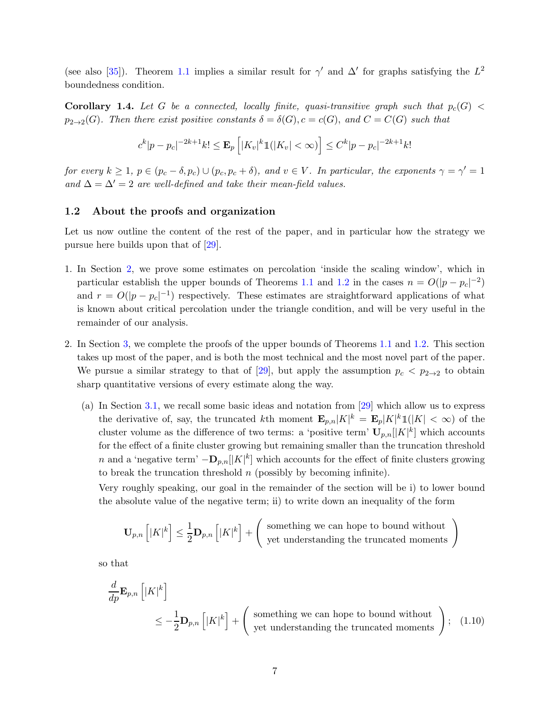<span id="page-6-1"></span>(see also [\[35\]](#page-40-18)). Theorem [1.1](#page-3-0) implies a similar result for  $\gamma'$  and  $\Delta'$  for graphs satisfying the  $L^2$ boundedness condition.

**Corollary 1.4.** Let G be a connected, locally finite, quasi-transitive graph such that  $p_c(G)$  <  $p_{2\to 2}(G)$ . Then there exist positive constants  $\delta = \delta(G)$ ,  $c = c(G)$ , and  $C = C(G)$  such that

$$
c^{k}|p-p_{c}|^{-2k+1}k! \leq \mathbf{E}_{p}\left[|K_{v}|^{k}\mathbb{1}(|K_{v}| < \infty)\right] \leq C^{k}|p-p_{c}|^{-2k+1}k!
$$

for every  $k \ge 1$ ,  $p \in (p_c - \delta, p_c) \cup (p_c, p_c + \delta)$ , and  $v \in V$ . In particular, the exponents  $\gamma = \gamma' = 1$ and  $\Delta = \Delta' = 2$  are well-defined and take their mean-field values.

#### 1.2 About the proofs and organization

Let us now outline the content of the rest of the paper, and in particular how the strategy we pursue here builds upon that of [\[29\]](#page-40-13).

- 1. In Section [2,](#page-8-0) we prove some estimates on percolation 'inside the scaling window', which in particular establish the upper bounds of Theorems [1.1](#page-3-0) and [1.2](#page-4-2) in the cases  $n = O(|p - p_c|^{-2})$ and  $r = O(|p - p_c|^{-1})$  respectively. These estimates are straightforward applications of what is known about critical percolation under the triangle condition, and will be very useful in the remainder of our analysis.
- 2. In Section [3,](#page-9-0) we complete the proofs of the upper bounds of Theorems [1.1](#page-3-0) and [1.2.](#page-4-2) This section takes up most of the paper, and is both the most technical and the most novel part of the paper. We pursue a similar strategy to that of [\[29\]](#page-40-13), but apply the assumption  $p_c < p_{2\to 2}$  to obtain sharp quantitative versions of every estimate along the way.
	- (a) In Section [3.1,](#page-9-1) we recall some basic ideas and notation from [\[29\]](#page-40-13) which allow us to express the derivative of, say, the truncated kth moment  $\mathbf{E}_{p,n}|K|^k = \mathbf{E}_p|K|^k \mathbb{1}(|K| < \infty)$  of the cluster volume as the difference of two terms: a 'positive term'  $\mathbf{U}_{p,n}[|K|^k]$  which accounts for the effect of a finite cluster growing but remaining smaller than the truncation threshold n and a 'negative term'  $-\mathbf{D}_{p,n}[[K]^k]$  which accounts for the effect of finite clusters growing to break the truncation threshold  $n$  (possibly by becoming infinite).

Very roughly speaking, our goal in the remainder of the section will be i) to lower bound the absolute value of the negative term; ii) to write down an inequality of the form

<span id="page-6-0"></span>
$$
\mathbf{U}_{p,n}\left[|K|^k\right] \le \frac{1}{2}\mathbf{D}_{p,n}\left[|K|^k\right] + \left(\begin{array}{c} \text{something we can hope to bound without} \\ \text{yet understanding the truncated moments} \end{array}\right)
$$

so that

$$
\frac{d}{dp} \mathbf{E}_{p,n} \left[ |K|^k \right]
$$
\n
$$
\leq -\frac{1}{2} \mathbf{D}_{p,n} \left[ |K|^k \right] + \left( \text{ something we can hope to bound without} \atop \text{yet understanding the truncated moments} \right); \quad (1.10)
$$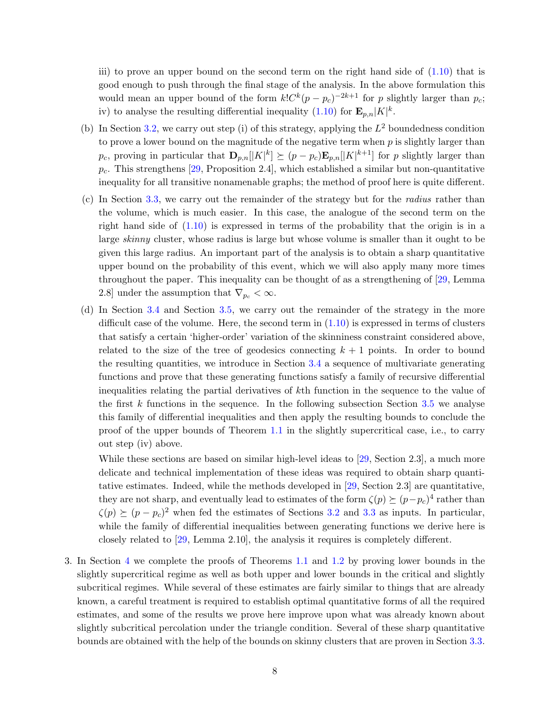iii) to prove an upper bound on the second term on the right hand side of  $(1.10)$  that is good enough to push through the final stage of the analysis. In the above formulation this would mean an upper bound of the form  $k!C^{k}(p-p_c)^{-2k+1}$  for p slightly larger than  $p_c$ ; iv) to analyse the resulting differential inequality  $(1.10)$  for  $\mathbf{E}_{p,n}|K|^k$ .

- (b) In Section [3.2,](#page-10-0) we carry out step (i) of this strategy, applying the  $L^2$  boundedness condition to prove a lower bound on the magnitude of the negative term when p is slightly larger than p<sub>c</sub>, proving in particular that  $\mathbf{D}_{p,n}[|K|^k] \succeq (p - p_c) \mathbf{E}_{p,n}[|K|^{k+1}]$  for p slightly larger than  $p_c$ . This strengthens [\[29,](#page-40-13) Proposition 2.4], which established a similar but non-quantitative inequality for all transitive nonamenable graphs; the method of proof here is quite different.
- (c) In Section [3.3,](#page-13-0) we carry out the remainder of the strategy but for the radius rather than the volume, which is much easier. In this case, the analogue of the second term on the right hand side of [\(1.10\)](#page-6-0) is expressed in terms of the probability that the origin is in a large skinny cluster, whose radius is large but whose volume is smaller than it ought to be given this large radius. An important part of the analysis is to obtain a sharp quantitative upper bound on the probability of this event, which we will also apply many more times throughout the paper. This inequality can be thought of as a strengthening of [\[29,](#page-40-13) Lemma 2.8] under the assumption that  $\nabla_{p_c} < \infty$ .
- (d) In Section [3.4](#page-17-0) and Section [3.5,](#page-23-0) we carry out the remainder of the strategy in the more difficult case of the volume. Here, the second term in  $(1.10)$  is expressed in terms of clusters that satisfy a certain 'higher-order' variation of the skinniness constraint considered above, related to the size of the tree of geodesics connecting  $k + 1$  points. In order to bound the resulting quantities, we introduce in Section [3.4](#page-17-0) a sequence of multivariate generating functions and prove that these generating functions satisfy a family of recursive differential inequalities relating the partial derivatives of kth function in the sequence to the value of the first k functions in the sequence. In the following subsection Section [3.5](#page-23-0) we analyse this family of differential inequalities and then apply the resulting bounds to conclude the proof of the upper bounds of Theorem [1.1](#page-3-0) in the slightly supercritical case, i.e., to carry out step (iv) above.

While these sections are based on similar high-level ideas to [\[29,](#page-40-13) Section 2.3], a much more delicate and technical implementation of these ideas was required to obtain sharp quantitative estimates. Indeed, while the methods developed in [\[29,](#page-40-13) Section 2.3] are quantitative, they are not sharp, and eventually lead to estimates of the form  $\zeta(p) \succeq (p-p_c)^4$  rather than  $\zeta(p) \succeq (p - p_c)^2$  when fed the estimates of Sections [3.2](#page-10-0) and [3.3](#page-13-0) as inputs. In particular, while the family of differential inequalities between generating functions we derive here is closely related to [\[29,](#page-40-13) Lemma 2.10], the analysis it requires is completely different.

3. In Section [4](#page-30-0) we complete the proofs of Theorems [1.1](#page-3-0) and [1.2](#page-4-2) by proving lower bounds in the slightly supercritical regime as well as both upper and lower bounds in the critical and slightly subcritical regimes. While several of these estimates are fairly similar to things that are already known, a careful treatment is required to establish optimal quantitative forms of all the required estimates, and some of the results we prove here improve upon what was already known about slightly subcritical percolation under the triangle condition. Several of these sharp quantitative bounds are obtained with the help of the bounds on skinny clusters that are proven in Section [3.3.](#page-13-0)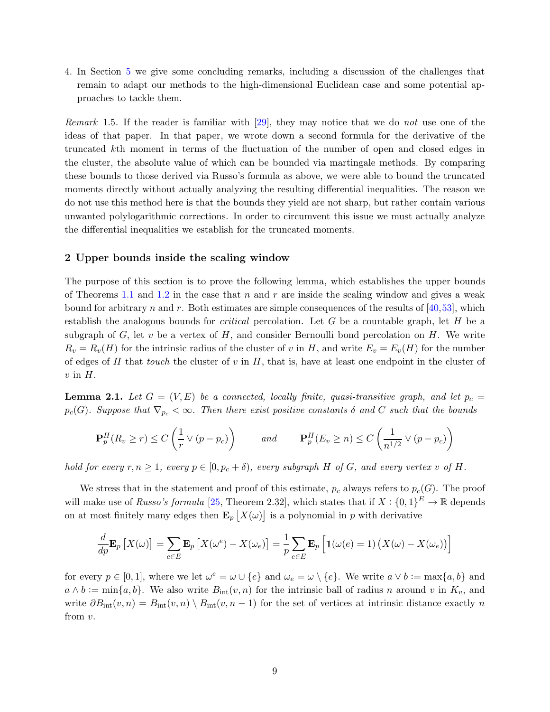4. In Section [5](#page-37-0) we give some concluding remarks, including a discussion of the challenges that remain to adapt our methods to the high-dimensional Euclidean case and some potential approaches to tackle them.

Remark 1.5. If the reader is familiar with [\[29\]](#page-40-13), they may notice that we do not use one of the ideas of that paper. In that paper, we wrote down a second formula for the derivative of the truncated kth moment in terms of the fluctuation of the number of open and closed edges in the cluster, the absolute value of which can be bounded via martingale methods. By comparing these bounds to those derived via Russo's formula as above, we were able to bound the truncated moments directly without actually analyzing the resulting differential inequalities. The reason we do not use this method here is that the bounds they yield are not sharp, but rather contain various unwanted polylogarithmic corrections. In order to circumvent this issue we must actually analyze the differential inequalities we establish for the truncated moments.

#### <span id="page-8-0"></span>2 Upper bounds inside the scaling window

The purpose of this section is to prove the following lemma, which establishes the upper bounds of Theorems [1.1](#page-3-0) and [1.2](#page-4-2) in the case that n and r are inside the scaling window and gives a weak bound for arbitrary n and r. Both estimates are simple consequences of the results of  $[40,53]$  $[40,53]$ , which establish the analogous bounds for *critical* percolation. Let  $G$  be a countable graph, let  $H$  be a subgraph of G, let v be a vertex of H, and consider Bernoulli bond percolation on H. We write  $R_v = R_v(H)$  for the intrinsic radius of the cluster of v in H, and write  $E_v = E_v(H)$  for the number of edges of H that touch the cluster of  $v$  in H, that is, have at least one endpoint in the cluster of  $v$  in  $H$ .

<span id="page-8-1"></span>**Lemma 2.1.** Let  $G = (V, E)$  be a connected, locally finite, quasi-transitive graph, and let  $p_c =$  $p_c(G)$ . Suppose that  $\nabla_{p_c} < \infty$ . Then there exist positive constants  $\delta$  and C such that the bounds

$$
\mathbf{P}_p^H(R_v \ge r) \le C\left(\frac{1}{r} \vee (p - p_c)\right) \qquad \text{and} \qquad \mathbf{P}_p^H(E_v \ge n) \le C\left(\frac{1}{n^{1/2}} \vee (p - p_c)\right)
$$

hold for every  $r, n \geq 1$ , every  $p \in [0, p_c + \delta)$ , every subgraph H of G, and every vertex v of H.

We stress that in the statement and proof of this estimate,  $p_c$  always refers to  $p_c(G)$ . The proof will make use of *Russo's formula* [\[25,](#page-40-1) Theorem 2.32], which states that if  $X: \{0,1\}^E \to \mathbb{R}$  depends on at most finitely many edges then  $\mathbf{E}_p\left[X(\omega)\right]$  is a polynomial in p with derivative

$$
\frac{d}{dp}\mathbf{E}_p\left[X(\omega)\right] = \sum_{e \in E} \mathbf{E}_p\left[X(\omega^e) - X(\omega_e)\right] = \frac{1}{p} \sum_{e \in E} \mathbf{E}_p\left[\mathbb{1}(\omega(e) = 1)\left(X(\omega) - X(\omega_e)\right)\right]
$$

for every  $p \in [0,1]$ , where we let  $\omega^e = \omega \cup \{e\}$  and  $\omega_e = \omega \setminus \{e\}$ . We write  $a \vee b := \max\{a, b\}$  and  $a \wedge b := \min\{a, b\}.$  We also write  $B_{\text{int}}(v, n)$  for the intrinsic ball of radius n around v in  $K_v$ , and write  $\partial B_{\text{int}}(v, n) = B_{\text{int}}(v, n) \setminus B_{\text{int}}(v, n - 1)$  for the set of vertices at intrinsic distance exactly n from v.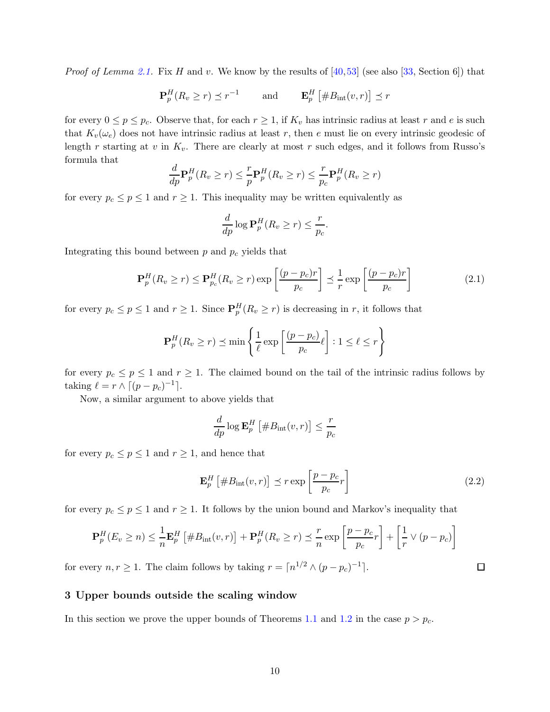*Proof of Lemma [2.1.](#page-8-1)* Fix H and v. We know by the results of [\[40,](#page-41-9)[53\]](#page-41-20) (see also [\[33,](#page-40-11) Section 6]) that

$$
\mathbf{P}_p^H(R_v \ge r) \preceq r^{-1} \quad \text{and} \quad \mathbf{E}_p^H \left[ \#B_{\text{int}}(v, r) \right] \preceq r
$$

for every  $0 \le p \le p_c$ . Observe that, for each  $r \ge 1$ , if  $K_v$  has intrinsic radius at least r and e is such that  $K_v(\omega_e)$  does not have intrinsic radius at least r, then e must lie on every intrinsic geodesic of length r starting at v in  $K_v$ . There are clearly at most r such edges, and it follows from Russo's formula that

$$
\frac{d}{dp}\mathbf{P}_p^H(R_v \ge r) \le \frac{r}{p}\mathbf{P}_p^H(R_v \ge r) \le \frac{r}{p_c}\mathbf{P}_p^H(R_v \ge r)
$$

for every  $p_c \leq p \leq 1$  and  $r \geq 1$ . This inequality may be written equivalently as

$$
\frac{d}{dp}\log \mathbf{P}_p^H(R_v \ge r) \le \frac{r}{p_c}.
$$

Integrating this bound between  $p$  and  $p_c$  yields that

$$
\mathbf{P}_p^H(R_v \ge r) \le \mathbf{P}_{p_c}^H(R_v \ge r) \exp\left[\frac{(p - p_c)r}{p_c}\right] \le \frac{1}{r} \exp\left[\frac{(p - p_c)r}{p_c}\right]
$$
(2.1)

for every  $p_c \le p \le 1$  and  $r \ge 1$ . Since  $\mathbf{P}_p^H(R_v \ge r)$  is decreasing in r, it follows that

$$
\mathbf{P}_p^H(R_v \ge r) \preceq \min\left\{\frac{1}{\ell} \exp\left[\frac{(p-p_c)}{p_c}\ell\right] : 1 \le \ell \le r\right\}
$$

for every  $p_c \le p \le 1$  and  $r \ge 1$ . The claimed bound on the tail of the intrinsic radius follows by taking  $\ell = r \wedge \lceil (p - p_c)^{-1} \rceil$ .

Now, a similar argument to above yields that

$$
\frac{d}{dp} \log \mathbf{E}_p^H \left[ \#B_{\text{int}}(v, r) \right] \le \frac{r}{p_c}
$$

for every  $p_c \leq p \leq 1$  and  $r \geq 1$ , and hence that

<span id="page-9-2"></span>
$$
\mathbf{E}_p^H \left[ \#B_{\text{int}}(v, r) \right] \preceq r \exp \left[ \frac{p - p_c}{p_c} r \right] \tag{2.2}
$$

for every  $p_c \le p \le 1$  and  $r \ge 1$ . It follows by the union bound and Markov's inequality that

$$
\mathbf{P}_p^H(E_v \ge n) \le \frac{1}{n} \mathbf{E}_p^H \left[ \#B_{\rm int}(v,r) \right] + \mathbf{P}_p^H(R_v \ge r) \le \frac{r}{n} \exp\left[ \frac{p - p_c}{p_c} r \right] + \left[ \frac{1}{r} \vee (p - p_c) \right]
$$

<span id="page-9-0"></span>for every  $n, r \ge 1$ . The claim follows by taking  $r = \lceil n^{1/2} \wedge (p - p_c)^{-1} \rceil$ .

### 3 Upper bounds outside the scaling window

<span id="page-9-1"></span>In this section we prove the upper bounds of Theorems [1.1](#page-3-0) and [1.2](#page-4-2) in the case  $p > p_c$ .

 $\Box$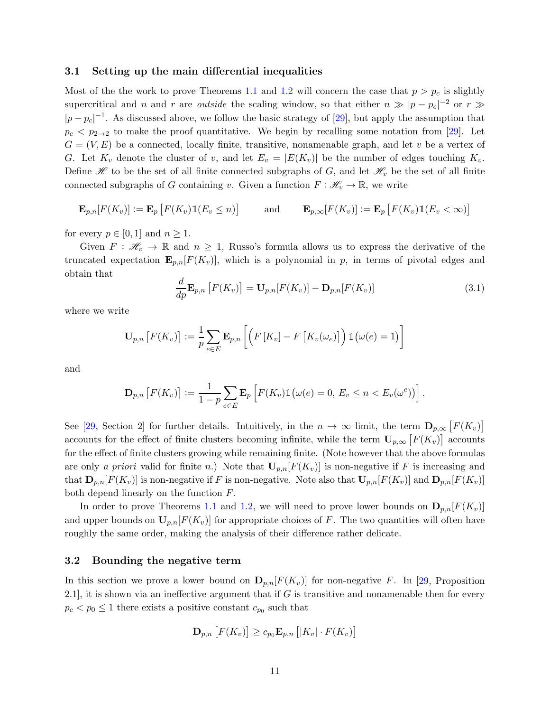#### 3.1 Setting up the main differential inequalities

Most of the the work to prove Theorems [1.1](#page-3-0) and [1.2](#page-4-2) will concern the case that  $p > p_c$  is slightly supercritical and n and r are *outside* the scaling window, so that either  $n \gg |p - p_c|^{-2}$  or  $r \gg$  $|p-p_c|^{-1}$ . As discussed above, we follow the basic strategy of [\[29\]](#page-40-13), but apply the assumption that  $p_c < p_{2\to 2}$  to make the proof quantitative. We begin by recalling some notation from [\[29\]](#page-40-13). Let  $G = (V, E)$  be a connected, locally finite, transitive, nonamenable graph, and let v be a vertex of G. Let  $K_v$  denote the cluster of v, and let  $E_v = |E(K_v)|$  be the number of edges touching  $K_v$ . Define  $\mathscr H$  to be the set of all finite connected subgraphs of G, and let  $\mathscr H_v$  be the set of all finite connected subgraphs of G containing v. Given a function  $F : \mathcal{H}_v \to \mathbb{R}$ , we write

$$
\mathbf{E}_{p,n}[F(K_v)] := \mathbf{E}_p\left[F(K_v)\mathbb{1}(E_v \leq n)\right] \quad \text{and} \quad \mathbf{E}_{p,\infty}[F(K_v)] := \mathbf{E}_p\left[F(K_v)\mathbb{1}(E_v < \infty)\right]
$$

for every  $p \in [0, 1]$  and  $n \geq 1$ .

Given  $F: \mathcal{H}_v \to \mathbb{R}$  and  $n \geq 1$ , Russo's formula allows us to express the derivative of the truncated expectation  $\mathbf{E}_{p,n}[F(K_v)],$  which is a polynomial in p, in terms of pivotal edges and obtain that

$$
\frac{d}{dp}\mathbf{E}_{p,n}\left[F(K_v)\right] = \mathbf{U}_{p,n}[F(K_v)] - \mathbf{D}_{p,n}[F(K_v)]\tag{3.1}
$$

where we write

$$
\mathbf{U}_{p,n}\left[F(K_v)\right] := \frac{1}{p} \sum_{e \in E} \mathbf{E}_{p,n}\left[\left(F\left[K_v\right] - F\left[K_v(\omega_e)\right]\right) \mathbb{1}(\omega(e) = 1)\right]
$$

and

$$
\mathbf{D}_{p,n}\left[F(K_v)\right] := \frac{1}{1-p}\sum_{e\in E}\mathbf{E}_p\left[F(K_v)\mathbb{1}\big(\omega(e) = 0, E_v \le n < E_v(\omega^e)\big)\right].
$$

See [\[29,](#page-40-13) Section 2] for further details. Intuitively, in the  $n \to \infty$  limit, the term  $\mathbf{D}_{p,\infty}[F(K_v)]$ accounts for the effect of finite clusters becoming infinite, while the term  $U_{p,\infty}\left[F(K_v)\right]$  accounts for the effect of finite clusters growing while remaining finite. (Note however that the above formulas are only a priori valid for finite n.) Note that  $\mathbf{U}_{p,n}[F(K_v)]$  is non-negative if F is increasing and that  $\mathbf{D}_{p,n}[F(K_v)]$  is non-negative if F is non-negative. Note also that  $\mathbf{U}_{p,n}[F(K_v)]$  and  $\mathbf{D}_{p,n}[F(K_v)]$ both depend linearly on the function F.

<span id="page-10-0"></span>In order to prove Theorems [1.1](#page-3-0) and [1.2,](#page-4-2) we will need to prove lower bounds on  ${\bf D}_{p,n}[F(K_v)]$ and upper bounds on  $U_{p,n}[F(K_v)]$  for appropriate choices of F. The two quantities will often have roughly the same order, making the analysis of their difference rather delicate.

#### 3.2 Bounding the negative term

In this section we prove a lower bound on  $\mathbf{D}_{p,n}[F(K_v)]$  for non-negative F. In [\[29,](#page-40-13) Proposition 2.1], it is shown via an ineffective argument that if  $G$  is transitive and nonamenable then for every  $p_c < p_0 \leq 1$  there exists a positive constant  $c_{p_0}$  such that

$$
\mathbf{D}_{p,n}\left[F(K_v)\right] \geq c_{p_0} \mathbf{E}_{p,n}\left[|K_v| \cdot F(K_v)\right]
$$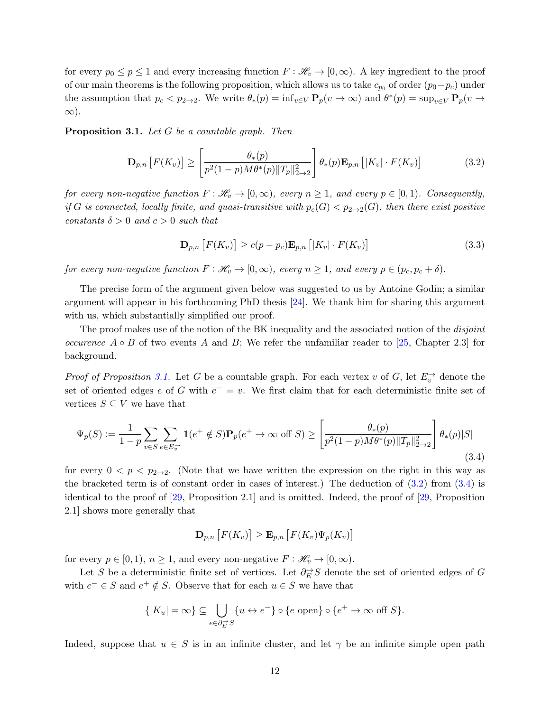for every  $p_0 \leq p \leq 1$  and every increasing function  $F : \mathcal{H}_v \to [0,\infty)$ . A key ingredient to the proof of our main theorems is the following proposition, which allows us to take  $c_{p0}$  of order  $(p_0-p_c)$  under the assumption that  $p_c < p_{2\to 2}$ . We write  $\theta_*(p) = \inf_{v \in V} \mathbf{P}_p(v \to \infty)$  and  $\theta^*(p) = \sup_{v \in V} \mathbf{P}_p(v \to \infty)$ ∞).

<span id="page-11-0"></span>Proposition 3.1. Let G be a countable graph. Then

<span id="page-11-1"></span>
$$
\mathbf{D}_{p,n}\left[F(K_v)\right] \ge \left[\frac{\theta_*(p)}{p^2(1-p)M\theta^*(p)\|T_p\|_{2\to 2}^2}\right]\theta_*(p)\mathbf{E}_{p,n}\left[|K_v| \cdot F(K_v)\right] \tag{3.2}
$$

for every non-negative function  $F : \mathcal{H}_v \to [0,\infty)$ , every  $n \geq 1$ , and every  $p \in [0,1)$ . Consequently, if G is connected, locally finite, and quasi-transitive with  $p_c(G) < p_{2\to 2}(G)$ , then there exist positive constants  $\delta > 0$  and  $c > 0$  such that

<span id="page-11-3"></span>
$$
\mathbf{D}_{p,n}\left[F(K_v)\right] \ge c(p - p_c)\mathbf{E}_{p,n}\left[|K_v| \cdot F(K_v)\right] \tag{3.3}
$$

for every non-negative function  $F : \mathcal{H}_v \to [0,\infty)$ , every  $n \geq 1$ , and every  $p \in (p_c, p_c + \delta)$ .

The precise form of the argument given below was suggested to us by Antoine Godin; a similar argument will appear in his forthcoming PhD thesis [\[24\]](#page-40-19). We thank him for sharing this argument with us, which substantially simplified our proof.

The proof makes use of the notion of the BK inequality and the associated notion of the *disjoint occurence*  $A \circ B$  of two events A and B; We refer the unfamiliar reader to [\[25,](#page-40-1) Chapter 2.3] for background.

*Proof of Proposition [3.1.](#page-11-0)* Let G be a countable graph. For each vertex v of G, let  $E_v^{\rightarrow}$  denote the set of oriented edges e of G with  $e^- = v$ . We first claim that for each deterministic finite set of vertices  $S \subseteq V$  we have that

<span id="page-11-2"></span>
$$
\Psi_p(S) := \frac{1}{1-p} \sum_{v \in S} \sum_{e \in E_v^{\to}} \mathbb{1}(e^+ \notin S) \mathbf{P}_p(e^+ \to \infty \text{ off } S) \ge \left[ \frac{\theta_*(p)}{p^2 (1-p) M \theta^*(p) \|T_p\|_{2 \to 2}^2} \right] \theta_*(p) |S|
$$
\n(3.4)

for every  $0 < p < p_{2\to 2}$ . (Note that we have written the expression on the right in this way as the bracketed term is of constant order in cases of interest.) The deduction of  $(3.2)$  from  $(3.4)$  is identical to the proof of [\[29,](#page-40-13) Proposition 2.1] and is omitted. Indeed, the proof of [\[29,](#page-40-13) Proposition 2.1] shows more generally that

$$
\mathbf{D}_{p,n}\left[F(K_v)\right] \geq \mathbf{E}_{p,n}\left[F(K_v)\Psi_p(K_v)\right]
$$

for every  $p \in [0, 1)$ ,  $n \geq 1$ , and every non-negative  $F : \mathcal{H}_v \to [0, \infty)$ .

Let S be a deterministic finite set of vertices. Let  $\partial_E^{\rightarrow} S$  denote the set of oriented edges of G with  $e^- \in S$  and  $e^+ \notin S$ . Observe that for each  $u \in S$  we have that

$$
\{|K_u| = \infty\} \subseteq \bigcup_{e \in \partial_E^{-1}S} \{u \leftrightarrow e^-\} \circ \{e \text{ open}\} \circ \{e^+ \to \infty \text{ off } S\}.
$$

Indeed, suppose that  $u \in S$  is in an infinite cluster, and let  $\gamma$  be an infinite simple open path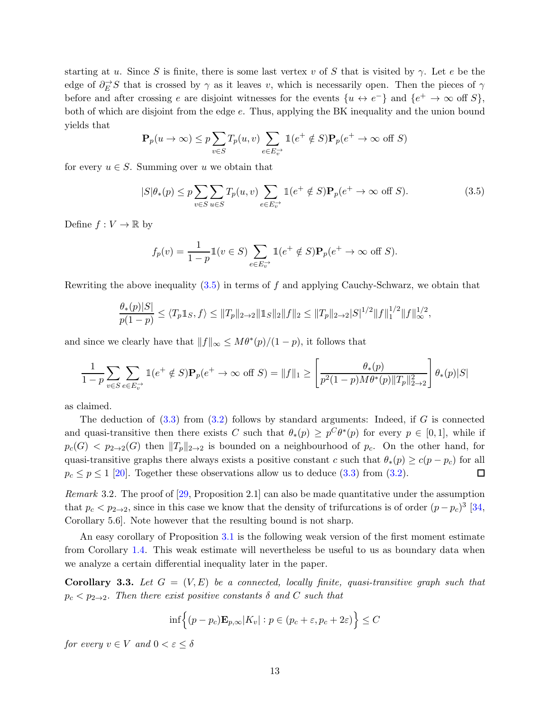starting at u. Since S is finite, there is some last vertex v of S that is visited by  $\gamma$ . Let e be the edge of  $\partial_E \to S$  that is crossed by  $\gamma$  as it leaves v, which is necessarily open. Then the pieces of  $\gamma$ before and after crossing e are disjoint witnesses for the events  $\{u \leftrightarrow e^-\}$  and  $\{e^+ \to \infty\}$  off  $S\}$ , both of which are disjoint from the edge e. Thus, applying the BK inequality and the union bound yields that

$$
\mathbf{P}_p(u \to \infty) \le p \sum_{v \in S} T_p(u, v) \sum_{e \in E_v^{\to}} \mathbb{1}(e^+ \notin S) \mathbf{P}_p(e^+ \to \infty \text{ off } S)
$$

for every  $u \in S$ . Summing over u we obtain that

<span id="page-12-0"></span>
$$
|S|\theta_*(p) \le p \sum_{v \in S} \sum_{u \in S} T_p(u,v) \sum_{e \in E_v^-} \mathbb{1}(e^+ \notin S) \mathbf{P}_p(e^+ \to \infty \text{ off } S). \tag{3.5}
$$

Define  $f: V \to \mathbb{R}$  by

$$
f_p(v) = \frac{1}{1-p} \mathbb{1}(v \in S) \sum_{e \in E_v^{\to}} \mathbb{1}(e^+ \notin S) \mathbf{P}_p(e^+ \to \infty \text{ off } S).
$$

Rewriting the above inequality  $(3.5)$  in terms of f and applying Cauchy-Schwarz, we obtain that

$$
\frac{\theta_*(p)|S|}{p(1-p)} \le \langle T_p \mathbb{1}_S, f \rangle \le \|T_p\|_{2\to 2} \|\mathbb{1}_S\|_2 \|f\|_2 \le \|T_p\|_{2\to 2} |S|^{1/2} \|f\|_1^{1/2} \|f\|_\infty^{1/2},
$$

and since we clearly have that  $||f||_{\infty} \leq M\theta^*(p)/(1-p)$ , it follows that

$$
\frac{1}{1-p} \sum_{v \in S} \sum_{e \in E_v^-} 1(e^+ \notin S) \mathbf{P}_p(e^+ \to \infty \text{ off } S) = ||f||_1 \ge \left[ \frac{\theta_*(p)}{p^2 (1-p) M \theta^*(p) ||T_p||_{2 \to 2}^2} \right] \theta_*(p) |S|
$$

as claimed.

The deduction of  $(3.3)$  from  $(3.2)$  follows by standard arguments: Indeed, if G is connected and quasi-transitive then there exists C such that  $\theta_*(p) \geq p^C \theta^*(p)$  for every  $p \in [0,1]$ , while if  $p_c(G) < p_{2\to 2}(G)$  then  $||T_p||_{2\to 2}$  is bounded on a neighbourhood of  $p_c$ . On the other hand, for quasi-transitive graphs there always exists a positive constant c such that  $\theta_*(p) \geq c(p - p_c)$  for all  $p_c \leq p \leq 1$  [\[20\]](#page-40-3). Together these observations allow us to deduce [\(3.3\)](#page-11-3) from [\(3.2\)](#page-11-1).  $\Box$ 

*Remark* 3.2. The proof of  $[29,$  Proposition 2.1 can also be made quantitative under the assumption that  $p_c < p_{2\to 2}$ , since in this case we know that the density of trifurcations is of order  $(p - p_c)^3$  [\[34,](#page-40-10) Corollary 5.6]. Note however that the resulting bound is not sharp.

An easy corollary of Proposition [3.1](#page-11-0) is the following weak version of the first moment estimate from Corollary [1.4.](#page-6-1) This weak estimate will nevertheless be useful to us as boundary data when we analyze a certain differential inequality later in the paper.

<span id="page-12-1"></span>**Corollary 3.3.** Let  $G = (V, E)$  be a connected, locally finite, quasi-transitive graph such that  $p_c < p_{2\to 2}$ . Then there exist positive constants  $\delta$  and C such that

$$
\inf \Big\{ (p - p_c) \mathbf{E}_{p,\infty} |K_v| : p \in (p_c + \varepsilon, p_c + 2\varepsilon) \Big\} \le C
$$

for every  $v \in V$  and  $0 < \varepsilon < \delta$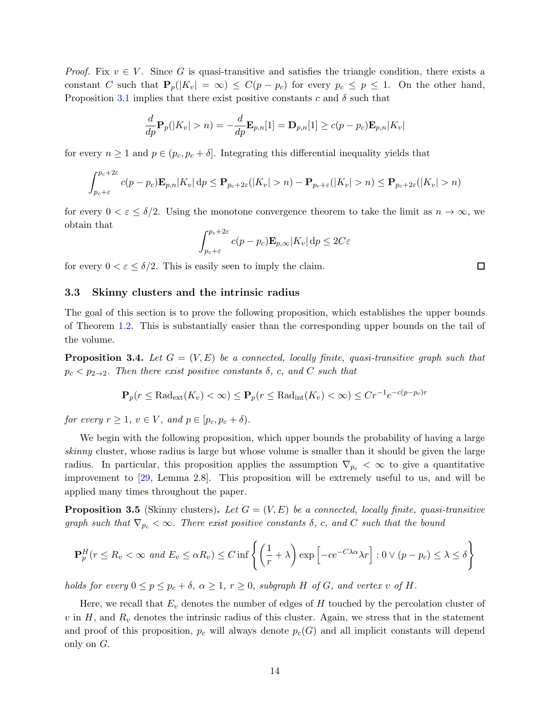*Proof.* Fix  $v \in V$ . Since G is quasi-transitive and satisfies the triangle condition, there exists a constant C such that  $P_p(|K_v| = \infty) \leq C(p - p_c)$  for every  $p_c \leq p \leq 1$ . On the other hand, Proposition [3.1](#page-11-0) implies that there exist positive constants c and  $\delta$  such that

$$
\frac{d}{dp}\mathbf{P}_p(|K_v|>n) = -\frac{d}{dp}\mathbf{E}_{p,n}[1] = \mathbf{D}_{p,n}[1] \ge c(p-p_c)\mathbf{E}_{p,n}|K_v|
$$

for every  $n \geq 1$  and  $p \in (p_c, p_c + \delta]$ . Integrating this differential inequality yields that

$$
\int_{p_c+\varepsilon}^{p_c+2\varepsilon} c(p-p_c) \mathbf{E}_{p,n} |K_v| \, \mathrm{d}p \le \mathbf{P}_{p_c+2\varepsilon}(|K_v|>n) - \mathbf{P}_{p_c+\varepsilon}(|K_v|>n) \le \mathbf{P}_{p_c+2\varepsilon}(|K_v|>n)
$$

for every  $0 < \varepsilon \le \delta/2$ . Using the monotone convergence theorem to take the limit as  $n \to \infty$ , we obtain that

$$
\int_{p_c+\varepsilon}^{p_c+2\varepsilon} c(p-p_c) \mathbf{E}_{p,\infty} |K_v| \, \mathrm{d}p \le 2C\varepsilon
$$

<span id="page-13-0"></span>for every  $0 < \varepsilon \leq \delta/2$ . This is easily seen to imply the claim.

3.3 Skinny clusters and the intrinsic radius

The goal of this section is to prove the following proposition, which establishes the upper bounds of Theorem [1.2.](#page-4-2) This is substantially easier than the corresponding upper bounds on the tail of the volume.

<span id="page-13-2"></span>**Proposition 3.4.** Let  $G = (V, E)$  be a connected, locally finite, quasi-transitive graph such that  $p_c < p_{2\to 2}$ . Then there exist positive constants  $\delta$ , c, and C such that

$$
\mathbf{P}_p(r \leq \text{Rad}_{\text{ext}}(K_v) < \infty) \leq \mathbf{P}_p(r \leq \text{Rad}_{\text{int}}(K_v) < \infty) \leq Cr^{-1}e^{-c(p-p_c)r}
$$

for every  $r > 1$ ,  $v \in V$ , and  $p \in [p_c, p_c + \delta)$ .

We begin with the following proposition, which upper bounds the probability of having a large skinny cluster, whose radius is large but whose volume is smaller than it should be given the large radius. In particular, this proposition applies the assumption  $\nabla_{p_c} < \infty$  to give a quantitative improvement to [\[29,](#page-40-13) Lemma 2.8]. This proposition will be extremely useful to us, and will be applied many times throughout the paper.

<span id="page-13-1"></span>**Proposition 3.5** (Skinny clusters). Let  $G = (V, E)$  be a connected, locally finite, quasi-transitive graph such that  $\nabla_{p_c} < \infty$ . There exist positive constants  $\delta$ , c, and C such that the bound

$$
\mathbf{P}_p^H(r \le R_v < \infty \text{ and } E_v \le \alpha R_v) \le C \inf \left\{ \left( \frac{1}{r} + \lambda \right) \exp \left[ -ce^{-C\lambda\alpha} \lambda r \right] : 0 \vee (p - p_c) \le \lambda \le \delta \right\}
$$

holds for every  $0 \le p \le p_c + \delta$ ,  $\alpha \ge 1$ ,  $r \ge 0$ , subgraph H of G, and vertex v of H.

Here, we recall that  $E_v$  denotes the number of edges of  $H$  touched by the percolation cluster of v in H, and  $R_v$  denotes the intrinsic radius of this cluster. Again, we stress that in the statement and proof of this proposition,  $p_c$  will always denote  $p_c(G)$  and all implicit constants will depend only on G.

 $\Box$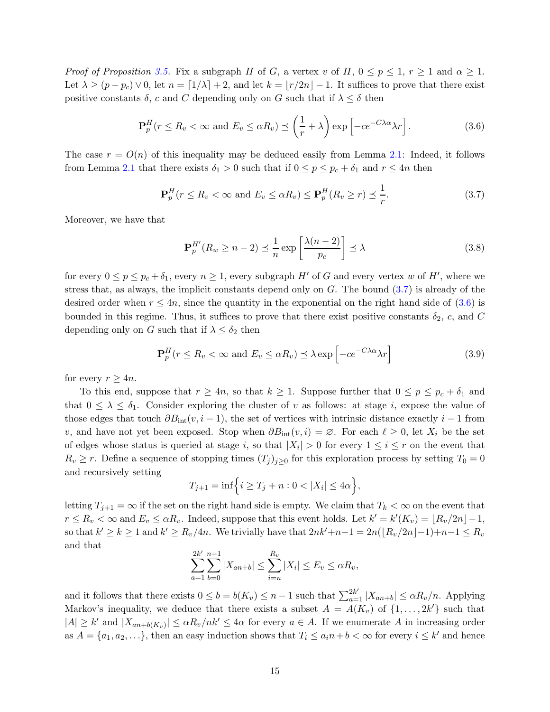*Proof of Proposition [3.5.](#page-13-1)* Fix a subgraph H of G, a vertex v of H,  $0 \le p \le 1$ ,  $r \ge 1$  and  $\alpha \ge 1$ . Let  $\lambda \ge (p - p_c) \vee 0$ , let  $n = \lfloor 1/\lambda \rfloor + 2$ , and let  $k = \lfloor r/2n \rfloor - 1$ . It suffices to prove that there exist positive constants  $\delta$ , c and C depending only on G such that if  $\lambda \leq \delta$  then

<span id="page-14-1"></span>
$$
\mathbf{P}_p^H(r \le R_v < \infty \text{ and } E_v \le \alpha R_v) \le \left(\frac{1}{r} + \lambda\right) \exp\left[-ce^{-C\lambda\alpha}\lambda r\right].\tag{3.6}
$$

The case  $r = O(n)$  of this inequality may be deduced easily from Lemma [2.1:](#page-8-1) Indeed, it follows from Lemma [2.1](#page-8-1) that there exists  $\delta_1 > 0$  such that if  $0 \le p \le p_c + \delta_1$  and  $r \le 4n$  then

<span id="page-14-0"></span>
$$
\mathbf{P}_p^H(r \le R_v < \infty \text{ and } E_v \le \alpha R_v) \le \mathbf{P}_p^H(R_v \ge r) \le \frac{1}{r}.\tag{3.7}
$$

Moreover, we have that

<span id="page-14-2"></span>
$$
\mathbf{P}_p^{H'}(R_w \ge n - 2) \le \frac{1}{n} \exp\left[\frac{\lambda(n-2)}{p_c}\right] \le \lambda \tag{3.8}
$$

for every  $0 \le p \le p_c + \delta_1$ , every  $n \ge 1$ , every subgraph H' of G and every vertex w of H', where we stress that, as always, the implicit constants depend only on  $G$ . The bound  $(3.7)$  is already of the desired order when  $r \leq 4n$ , since the quantity in the exponential on the right hand side of [\(3.6\)](#page-14-1) is bounded in this regime. Thus, it suffices to prove that there exist positive constants  $\delta_2$ , c, and C depending only on G such that if  $\lambda \leq \delta_2$  then

$$
\mathbf{P}_p^H(r \le R_v < \infty \text{ and } E_v \le \alpha R_v) \le \lambda \exp\left[-ce^{-C\lambda\alpha}\lambda r\right] \tag{3.9}
$$

for every  $r \geq 4n$ .

To this end, suppose that  $r \geq 4n$ , so that  $k \geq 1$ . Suppose further that  $0 \leq p \leq p_c + \delta_1$  and that  $0 \leq \lambda \leq \delta_1$ . Consider exploring the cluster of v as follows: at stage i, expose the value of those edges that touch  $\partial B_{\text{int}}(v, i - 1)$ , the set of vertices with intrinsic distance exactly  $i - 1$  from v, and have not yet been exposed. Stop when  $\partial B_{\rm int}(v, i) = \emptyset$ . For each  $\ell \geq 0$ , let  $X_i$  be the set of edges whose status is queried at stage *i*, so that  $|X_i| > 0$  for every  $1 \le i \le r$  on the event that  $R_v \ge r$ . Define a sequence of stopping times  $(T_j)_{j\ge 0}$  for this exploration process by setting  $T_0 = 0$ and recursively setting

$$
T_{j+1} = \inf \Big\{ i \ge T_j + n : 0 < |X_i| \le 4\alpha \Big\},\
$$

letting  $T_{i+1} = \infty$  if the set on the right hand side is empty. We claim that  $T_k < \infty$  on the event that  $r \le R_v < \infty$  and  $E_v \le \alpha R_v$ . Indeed, suppose that this event holds. Let  $k' = k'(K_v) = \lfloor R_v/2n \rfloor - 1$ , so that  $k' \ge k \ge 1$  and  $k' \ge R_v/4n$ . We trivially have that  $2nk'+n-1 = 2n(\lfloor R_v/2n \rfloor -1)+n-1 \le R_v$ and that

$$
\sum_{a=1}^{2k'} \sum_{b=0}^{n-1} |X_{an+b}| \le \sum_{i=n}^{R_v} |X_i| \le E_v \le \alpha R_v,
$$

and it follows that there exists  $0 \le b = b(K_v) \le n-1$  such that  $\sum_{a=1}^{2k'} |X_{an+b}| \le \alpha R_v/n$ . Applying Markov's inequality, we deduce that there exists a subset  $A = A(K_v)$  of  $\{1, \ldots, 2k'\}$  such that  $|A| \geq k'$  and  $|X_{an+b(K_v)}| \leq \alpha R_v/nk' \leq 4\alpha$  for every  $a \in A$ . If we enumerate A in increasing order as  $A = \{a_1, a_2, \ldots\}$ , then an easy induction shows that  $T_i \le a_i n + b < \infty$  for every  $i \le k'$  and hence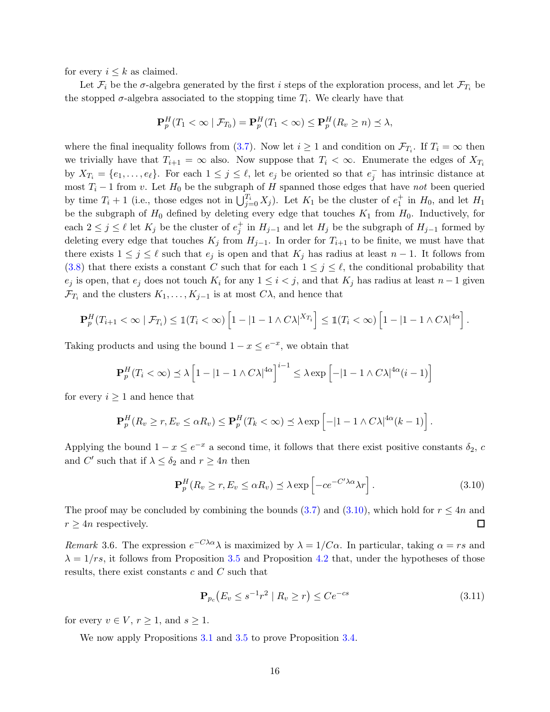for every  $i \leq k$  as claimed.

Let  $\mathcal{F}_i$  be the  $\sigma$ -algebra generated by the first i steps of the exploration process, and let  $\mathcal{F}_{T_i}$  be the stopped  $\sigma$ -algebra associated to the stopping time  $T_i$ . We clearly have that

$$
\mathbf{P}_p^H(T_1 < \infty \mid \mathcal{F}_{T_0}) = \mathbf{P}_p^H(T_1 < \infty) \le \mathbf{P}_p^H(R_v \ge n) \le \lambda,
$$

where the final inequality follows from [\(3.7\)](#page-14-0). Now let  $i \geq 1$  and condition on  $\mathcal{F}_{T_i}$ . If  $T_i = \infty$  then we trivially have that  $T_{i+1} = \infty$  also. Now suppose that  $T_i < \infty$ . Enumerate the edges of  $X_{T_i}$ by  $X_{T_i} = \{e_1, \ldots, e_\ell\}$ . For each  $1 \leq j \leq \ell$ , let  $e_j$  be oriented so that  $e_j^-$  has intrinsic distance at most  $T_i - 1$  from v. Let  $H_0$  be the subgraph of H spanned those edges that have not been queried by time  $T_i + 1$  (i.e., those edges not in  $\bigcup_{j=0}^{T_i} X_j$ ). Let  $K_1$  be the cluster of  $e_1^+$  in  $H_0$ , and let  $H_1$ be the subgraph of  $H_0$  defined by deleting every edge that touches  $K_1$  from  $H_0$ . Inductively, for each  $2 \leq j \leq \ell$  let  $K_j$  be the cluster of  $e_j^+$  in  $H_{j-1}$  and let  $H_j$  be the subgraph of  $H_{j-1}$  formed by deleting every edge that touches  $K_j$  from  $H_{j-1}$ . In order for  $T_{i+1}$  to be finite, we must have that there exists  $1 \leq j \leq \ell$  such that  $e_j$  is open and that  $K_j$  has radius at least  $n-1$ . It follows from [\(3.8\)](#page-14-2) that there exists a constant C such that for each  $1 \leq j \leq \ell$ , the conditional probability that  $e_j$  is open, that  $e_j$  does not touch  $K_i$  for any  $1 \leq i < j$ , and that  $K_j$  has radius at least  $n-1$  given  $\mathcal{F}_{T_i}$  and the clusters  $K_1, \ldots, K_{j-1}$  is at most  $C\lambda$ , and hence that

$$
\mathbf{P}_p^H(T_{i+1} < \infty \mid \mathcal{F}_{T_i}) \leq \mathbb{1}(T_i < \infty) \left[1 - |1 - 1 \wedge C\lambda|^{X_{T_i}}\right] \leq \mathbb{1}(T_i < \infty) \left[1 - |1 - 1 \wedge C\lambda|^{4\alpha}\right].
$$

Taking products and using the bound  $1 - x \leq e^{-x}$ , we obtain that

$$
\mathbf{P}_p^H(T_i < \infty) \preceq \lambda \left[1 - |1 - 1 \wedge C\lambda|^{4\alpha}\right]^{i-1} \leq \lambda \exp\left[-|1 - 1 \wedge C\lambda|^{4\alpha}(i-1)\right]
$$

for every  $i \geq 1$  and hence that

$$
\mathbf{P}_p^H(R_v \ge r, E_v \le \alpha R_v) \le \mathbf{P}_p^H(T_k < \infty) \le \lambda \exp \left[ -|1 - 1 \wedge C\lambda|^{4\alpha} (k-1) \right].
$$

Applying the bound  $1 - x \le e^{-x}$  a second time, it follows that there exist positive constants  $\delta_2$ , c and  $C'$  such that if  $\lambda \leq \delta_2$  and  $r \geq 4n$  then

<span id="page-15-0"></span>
$$
\mathbf{P}_p^H(R_v \ge r, E_v \le \alpha R_v) \preceq \lambda \exp\left[-ce^{-C'\lambda\alpha}\lambda r\right]. \tag{3.10}
$$

The proof may be concluded by combining the bounds [\(3.7\)](#page-14-0) and [\(3.10\)](#page-15-0), which hold for  $r \leq 4n$  and  $r\geq 4n$  respectively.  $\Box$ 

Remark 3.6. The expression  $e^{-C\lambda\alpha}\lambda$  is maximized by  $\lambda = 1/C\alpha$ . In particular, taking  $\alpha = rs$  and  $\lambda = 1/rs$ , it follows from Proposition [3.5](#page-13-1) and Proposition [4.2](#page-31-0) that, under the hypotheses of those results, there exist constants c and C such that

$$
\mathbf{P}_{p_c}(E_v \le s^{-1}r^2 \mid R_v \ge r) \le Ce^{-cs} \tag{3.11}
$$

for every  $v \in V$ ,  $r \geq 1$ , and  $s \geq 1$ .

We now apply Propositions [3.1](#page-11-0) and [3.5](#page-13-1) to prove Proposition [3.4.](#page-13-2)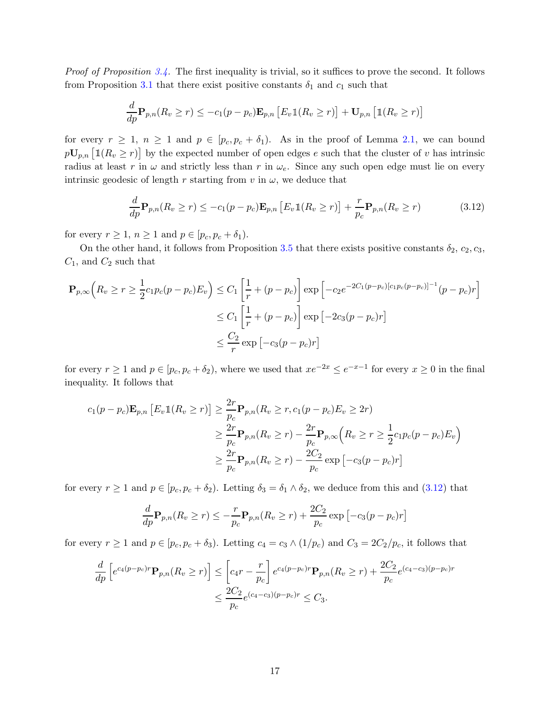*Proof of Proposition [3.4.](#page-13-2)* The first inequality is trivial, so it suffices to prove the second. It follows from Proposition [3.1](#page-11-0) that there exist positive constants  $\delta_1$  and  $c_1$  such that

$$
\frac{d}{dp}\mathbf{P}_{p,n}(R_v \ge r) \le -c_1(p - p_c)\mathbf{E}_{p,n} [E_v \mathbb{1}(R_v \ge r)] + \mathbf{U}_{p,n} [\mathbb{1}(R_v \ge r)]
$$

for every  $r \geq 1$ ,  $n \geq 1$  and  $p \in [p_c, p_c + \delta_1]$ . As in the proof of Lemma [2.1,](#page-8-1) we can bound  $p\mathbf{U}_{p,n}$   $\big[\mathbb{1}(R_v \geq r)\big]$  by the expected number of open edges e such that the cluster of v has intrinsic radius at least r in  $\omega$  and strictly less than r in  $\omega_e$ . Since any such open edge must lie on every intrinsic geodesic of length r starting from v in  $\omega$ , we deduce that

<span id="page-16-0"></span>
$$
\frac{d}{dp}\mathbf{P}_{p,n}(R_v \ge r) \le -c_1(p - p_c)\mathbf{E}_{p,n} \left[ E_v \mathbb{1}(R_v \ge r) \right] + \frac{r}{p_c} \mathbf{P}_{p,n}(R_v \ge r)
$$
\n(3.12)

for every  $r \geq 1$ ,  $n \geq 1$  and  $p \in [p_c, p_c + \delta_1)$ .

On the other hand, it follows from Proposition [3.5](#page-13-1) that there exists positive constants  $\delta_2$ ,  $c_2$ ,  $c_3$ ,  $C_1$ , and  $C_2$  such that

$$
\mathbf{P}_{p,\infty} \Big( R_v \ge r \ge \frac{1}{2} c_1 p_c (p - p_c) E_v \Big) \le C_1 \left[ \frac{1}{r} + (p - p_c) \right] \exp \Big[ -c_2 e^{-2C_1 (p - p_c) [c_1 p_c (p - p_c)]^{-1}} (p - p_c) r \Big]
$$
  

$$
\le C_1 \left[ \frac{1}{r} + (p - p_c) \right] \exp \Big[ -2c_3 (p - p_c) r \Big]
$$
  

$$
\le \frac{C_2}{r} \exp \Big[ -c_3 (p - p_c) r \Big]
$$

for every  $r \ge 1$  and  $p \in [p_c, p_c + \delta_2)$ , where we used that  $xe^{-2x} \le e^{-x-1}$  for every  $x \ge 0$  in the final inequality. It follows that

$$
c_1(p-p_c)\mathbf{E}_{p,n} [E_v \mathbb{1}(R_v \ge r)] \ge \frac{2r}{p_c} \mathbf{P}_{p,n}(R_v \ge r, c_1(p-p_c)E_v \ge 2r)
$$
  

$$
\ge \frac{2r}{p_c} \mathbf{P}_{p,n}(R_v \ge r) - \frac{2r}{p_c} \mathbf{P}_{p,\infty} (R_v \ge r \ge \frac{1}{2}c_1p_c(p-p_c)E_v)
$$
  

$$
\ge \frac{2r}{p_c} \mathbf{P}_{p,n}(R_v \ge r) - \frac{2C_2}{p_c} \exp[-c_3(p-p_c)r]
$$

for every  $r \ge 1$  and  $p \in [p_c, p_c + \delta_2)$ . Letting  $\delta_3 = \delta_1 \wedge \delta_2$ , we deduce from this and  $(3.12)$  that

$$
\frac{d}{dp}\mathbf{P}_{p,n}(R_v \ge r) \le -\frac{r}{p_c}\mathbf{P}_{p,n}(R_v \ge r) + \frac{2C_2}{p_c}\exp\left[-c_3(p-p_c)r\right]
$$

for every  $r \ge 1$  and  $p \in [p_c, p_c + \delta_3)$ . Letting  $c_4 = c_3 \wedge (1/p_c)$  and  $C_3 = 2C_2/p_c$ , it follows that

$$
\frac{d}{dp} \left[ e^{c_4(p-p_c)r} \mathbf{P}_{p,n}(R_v \ge r) \right] \le \left[ c_4r - \frac{r}{p_c} \right] e^{c_4(p-p_c)r} \mathbf{P}_{p,n}(R_v \ge r) + \frac{2C_2}{p_c} e^{(c_4-c_3)(p-p_c)r} \n\le \frac{2C_2}{p_c} e^{(c_4-c_3)(p-p_c)r} \le C_3.
$$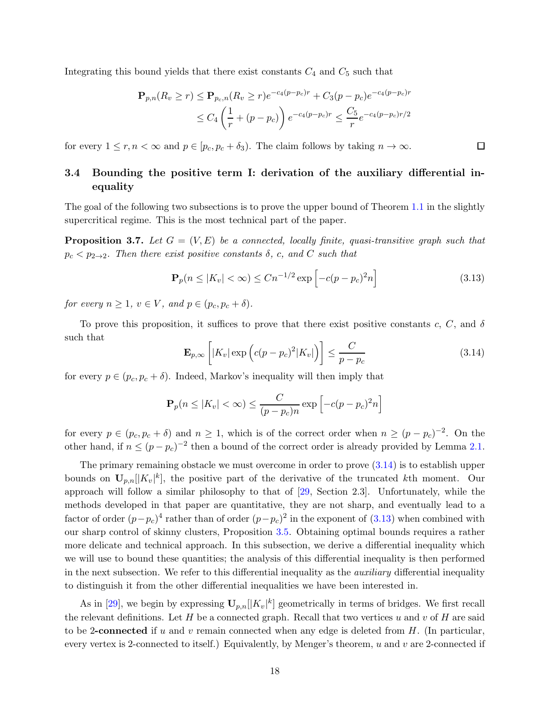Integrating this bound yields that there exist constants  $C_4$  and  $C_5$  such that

$$
\mathbf{P}_{p,n}(R_v \ge r) \le \mathbf{P}_{p_c,n}(R_v \ge r)e^{-c_4(p-p_c)r} + C_3(p-p_c)e^{-c_4(p-p_c)r}
$$
  
 
$$
\le C_4\left(\frac{1}{r} + (p-p_c)\right)e^{-c_4(p-p_c)r} \le \frac{C_5}{r}e^{-c_4(p-p_c)r/2}
$$

<span id="page-17-0"></span>for every  $1 \le r, n < \infty$  and  $p \in [p_c, p_c + \delta_3)$ . The claim follows by taking  $n \to \infty$ .

## 3.4 Bounding the positive term I: derivation of the auxiliary differential inequality

<span id="page-17-3"></span>The goal of the following two subsections is to prove the upper bound of Theorem [1.1](#page-3-0) in the slightly supercritical regime. This is the most technical part of the paper.

**Proposition 3.7.** Let  $G = (V, E)$  be a connected, locally finite, quasi-transitive graph such that  $p_c < p_{2\to 2}$ . Then there exist positive constants  $\delta$ , c, and C such that

<span id="page-17-2"></span>
$$
\mathbf{P}_p(n \le |K_v| < \infty) \le Cn^{-1/2} \exp\left[-c(p - p_c)^2 n\right] \tag{3.13}
$$

口

for every  $n \geq 1$ ,  $v \in V$ , and  $p \in (p_c, p_c + \delta)$ .

To prove this proposition, it suffices to prove that there exist positive constants c, C, and  $\delta$ such that

<span id="page-17-1"></span>
$$
\mathbf{E}_{p,\infty}\left[|K_v|\exp\left(c(p-p_c)^2|K_v|\right)\right] \le \frac{C}{p-p_c} \tag{3.14}
$$

for every  $p \in (p_c, p_c + \delta)$ . Indeed, Markov's inequality will then imply that

$$
\mathbf{P}_p(n \le |K_v| < \infty) \le \frac{C}{(p - p_c)n} \exp\left[-c(p - p_c)^2 n\right]
$$

for every  $p \in (p_c, p_c + \delta)$  and  $n \ge 1$ , which is of the correct order when  $n \ge (p - p_c)^{-2}$ . On the other hand, if  $n \leq (p - p_c)^{-2}$  then a bound of the correct order is already provided by Lemma [2.1.](#page-8-1)

The primary remaining obstacle we must overcome in order to prove  $(3.14)$  is to establish upper bounds on  $\mathbf{U}_{p,n}[[K_v]^k]$ , the positive part of the derivative of the truncated kth moment. Our approach will follow a similar philosophy to that of [\[29,](#page-40-13) Section 2.3]. Unfortunately, while the methods developed in that paper are quantitative, they are not sharp, and eventually lead to a factor of order  $(p-p_c)^4$  rather than of order  $(p-p_c)^2$  in the exponent of [\(3.13\)](#page-17-2) when combined with our sharp control of skinny clusters, Proposition [3.5.](#page-13-1) Obtaining optimal bounds requires a rather more delicate and technical approach. In this subsection, we derive a differential inequality which we will use to bound these quantities; the analysis of this differential inequality is then performed in the next subsection. We refer to this differential inequality as the *auxiliary* differential inequality to distinguish it from the other differential inequalities we have been interested in.

As in [\[29\]](#page-40-13), we begin by expressing  $\mathbf{U}_{p,n}[[K_v]^k]$  geometrically in terms of bridges. We first recall the relevant definitions. Let  $H$  be a connected graph. Recall that two vertices  $u$  and  $v$  of  $H$  are said to be 2-connected if u and v remain connected when any edge is deleted from  $H$ . (In particular, every vertex is 2-connected to itself.) Equivalently, by Menger's theorem,  $u$  and  $v$  are 2-connected if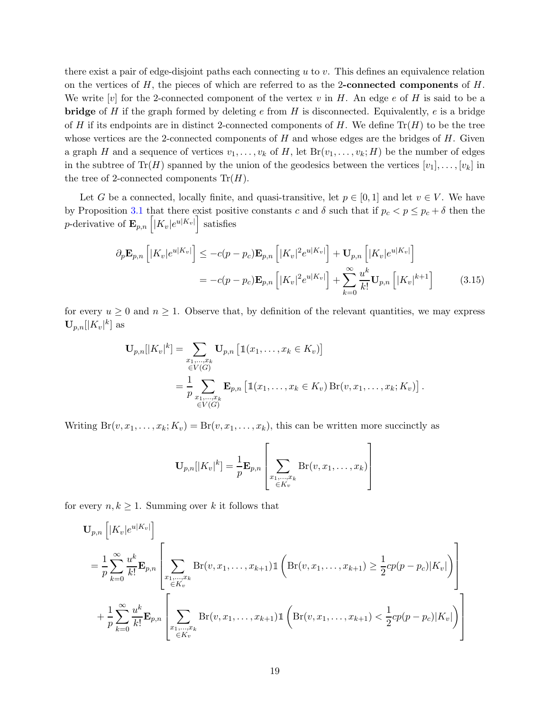there exist a pair of edge-disjoint paths each connecting u to v. This defines an equivalence relation on the vertices of  $H$ , the pieces of which are referred to as the 2-connected components of  $H$ . We write  $[v]$  for the 2-connected component of the vertex v in H. An edge e of H is said to be a **bridge** of H if the graph formed by deleting e from H is disconnected. Equivalently, e is a bridge of H if its endpoints are in distinct 2-connected components of H. We define  $\text{Tr}(H)$  to be the tree whose vertices are the 2-connected components of  $H$  and whose edges are the bridges of  $H$ . Given a graph H and a sequence of vertices  $v_1, \ldots, v_k$  of H, let  $Br(v_1, \ldots, v_k; H)$  be the number of edges in the subtree of  $\text{Tr}(H)$  spanned by the union of the geodesics between the vertices  $[v_1], \ldots, [v_k]$  in the tree of 2-connected components  $\text{Tr}(H)$ .

Let G be a connected, locally finite, and quasi-transitive, let  $p \in [0,1]$  and let  $v \in V$ . We have by Proposition [3.1](#page-11-0) that there exist positive constants c and  $\delta$  such that if  $p_c < p \leq p_c + \delta$  then the *p*-derivative of  $\mathbf{E}_{p,n}\left[|K_v|e^{u|K_v|}\right]$  satisfies

$$
\partial_p \mathbf{E}_{p,n} \left[ |K_v| e^{u|K_v|} \right] \leq -c(p - p_c) \mathbf{E}_{p,n} \left[ |K_v|^2 e^{u|K_v|} \right] + \mathbf{U}_{p,n} \left[ |K_v| e^{u|K_v|} \right]
$$

$$
= -c(p - p_c) \mathbf{E}_{p,n} \left[ |K_v|^2 e^{u|K_v|} \right] + \sum_{k=0}^{\infty} \frac{u^k}{k!} \mathbf{U}_{p,n} \left[ |K_v|^{k+1} \right] \tag{3.15}
$$

for every  $u \ge 0$  and  $n \ge 1$ . Observe that, by definition of the relevant quantities, we may express  $\mathbf{U}_{p,n}[|K_v|^k]$  as

$$
\mathbf{U}_{p,n}[|K_v|^k] = \sum_{\substack{x_1,\dots,x_k \\ \in V(G)}} \mathbf{U}_{p,n} [\mathbb{1}(x_1,\dots,x_k \in K_v)]
$$
  
= 
$$
\frac{1}{p} \sum_{\substack{x_1,\dots,x_k \\ \in V(G)}} \mathbf{E}_{p,n} [\mathbb{1}(x_1,\dots,x_k \in K_v) \operatorname{Br}(v,x_1,\dots,x_k;K_v)].
$$

Writing  $Br(v, x_1, \ldots, x_k; K_v) = Br(v, x_1, \ldots, x_k)$ , this can be written more succinctly as

<span id="page-18-0"></span>
$$
\mathbf{U}_{p,n}[|K_v|^k] = \frac{1}{p} \mathbf{E}_{p,n} \left[ \sum_{\substack{x_1,\dots,x_k \\ \in K_v}} \text{Br}(v,x_1,\dots,x_k) \right]
$$

for every  $n, k \geq 1$ . Summing over k it follows that

$$
\mathbf{U}_{p,n} \left[ |K_v| e^{u|K_v|} \right]
$$
\n
$$
= \frac{1}{p} \sum_{k=0}^{\infty} \frac{u^k}{k!} \mathbf{E}_{p,n} \left[ \sum_{\substack{x_1, \dots, x_k \\ \in K_v}} \text{Br}(v, x_1, \dots, x_{k+1}) \mathbb{1} \left( \text{Br}(v, x_1, \dots, x_{k+1}) \ge \frac{1}{2} cp(p - p_c) |K_v| \right) \right]
$$
\n
$$
+ \frac{1}{p} \sum_{k=0}^{\infty} \frac{u^k}{k!} \mathbf{E}_{p,n} \left[ \sum_{\substack{x_1, \dots, x_k \\ \in K_v}} \text{Br}(v, x_1, \dots, x_{k+1}) \mathbb{1} \left( \text{Br}(v, x_1, \dots, x_{k+1}) < \frac{1}{2} cp(p - p_c) |K_v| \right) \right]
$$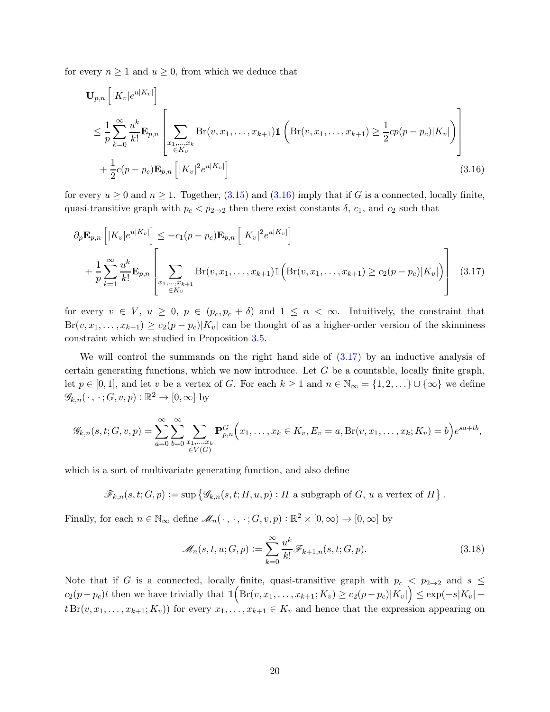for every  $n \geq 1$  and  $u \geq 0$ , from which we deduce that

<span id="page-19-0"></span>
$$
\mathbf{U}_{p,n} \left[ |K_v| e^{u|K_v|} \right]
$$
\n
$$
\leq \frac{1}{p} \sum_{k=0}^{\infty} \frac{u^k}{k!} \mathbf{E}_{p,n} \left[ \sum_{\substack{x_1, \dots, x_k \\ \in K_v}} \text{Br}(v, x_1, \dots, x_{k+1}) \mathbb{1} \left( \text{Br}(v, x_1, \dots, x_{k+1}) \geq \frac{1}{2} cp(p - p_c) |K_v| \right) \right]
$$
\n
$$
+ \frac{1}{2} c(p - p_c) \mathbf{E}_{p,n} \left[ |K_v|^2 e^{u|K_v|} \right] \tag{3.16}
$$

for every  $u \ge 0$  and  $n \ge 1$ . Together, [\(3.15\)](#page-18-0) and [\(3.16\)](#page-19-0) imply that if G is a connected, locally finite, quasi-transitive graph with  $p_c < p_{2\to 2}$  then there exist constants  $\delta$ ,  $c_1$ , and  $c_2$  such that

<span id="page-19-1"></span>
$$
\partial_p \mathbf{E}_{p,n} \left[ |K_v| e^{u|K_v|} \right] \leq -c_1 (p - p_c) \mathbf{E}_{p,n} \left[ |K_v|^2 e^{u|K_v|} \right] \n+ \frac{1}{p} \sum_{k=1}^{\infty} \frac{u^k}{k!} \mathbf{E}_{p,n} \left[ \sum_{\substack{x_1, \dots, x_{k+1} \\ \in K_v}} \text{Br}(v, x_1, \dots, x_{k+1}) \mathbb{1} \left( \text{Br}(v, x_1, \dots, x_{k+1}) \geq c_2 (p - p_c) |K_v| \right) \right] \tag{3.17}
$$

for every  $v \in V$ ,  $u \geq 0$ ,  $p \in (p_c, p_c + \delta)$  and  $1 \leq n < \infty$ . Intuitively, the constraint that  $Br(v, x_1, \ldots, x_{k+1}) \geq c_2(p-p_c)|K_v|$  can be thought of as a higher-order version of the skinniness constraint which we studied in Proposition [3.5.](#page-13-1)

We will control the summands on the right hand side of [\(3.17\)](#page-19-1) by an inductive analysis of certain generating functions, which we now introduce. Let  $G$  be a countable, locally finite graph, let  $p \in [0,1]$ , and let v be a vertex of G. For each  $k \ge 1$  and  $n \in \mathbb{N}_{\infty} = \{1,2,\ldots\} \cup \{\infty\}$  we define  $\mathscr{G}_{k,n}(\,\cdot\,,\,\cdot\,;G,v,p):\mathbb{R}^2\to[0,\infty]$  by

$$
\mathscr{G}_{k,n}(s,t;G,v,p) = \sum_{a=0}^{\infty} \sum_{b=0}^{\infty} \sum_{\substack{x_1,\dots,x_k \\ \in V(G)}} \mathbf{P}_{p,n}^G(x_1,\dots,x_k \in K_v, E_v = a, \text{Br}(v,x_1,\dots,x_k;K_v) = b e^{sa+tb},
$$

which is a sort of multivariate generating function, and also define

$$
\mathscr{F}_{k,n}(s,t;G,p) := \sup \left\{ \mathscr{G}_{k,n}(s,t;H,u,p) : H \text{ a subgraph of } G, u \text{ a vertex of } H \right\}.
$$

Finally, for each  $n \in \mathbb{N}_{\infty}$  define  $\mathscr{M}_n(\cdot, \cdot, \cdot; G, v, p) : \mathbb{R}^2 \times [0, \infty) \to [0, \infty]$  by

<span id="page-19-2"></span>
$$
\mathcal{M}_n(s,t,u;G,p) := \sum_{k=0}^{\infty} \frac{u^k}{k!} \mathcal{F}_{k+1,n}(s,t;G,p). \tag{3.18}
$$

Note that if G is a connected, locally finite, quasi-transitive graph with  $p_c < p_{2\to 2}$  and  $s \le$  $c_2(p-p_c)t$  then we have trivially that  $\mathbb{1}\Bigl({\rm Br}(v,x_1,\ldots,x_{k+1};K_v)\geq c_2(p-p_c)|K_v|\Bigr)\leq \exp(-s|K_v|+1)$  $t Br(v, x_1, \ldots, x_{k+1}; K_v)$  for every  $x_1, \ldots, x_{k+1} \in K_v$  and hence that the expression appearing on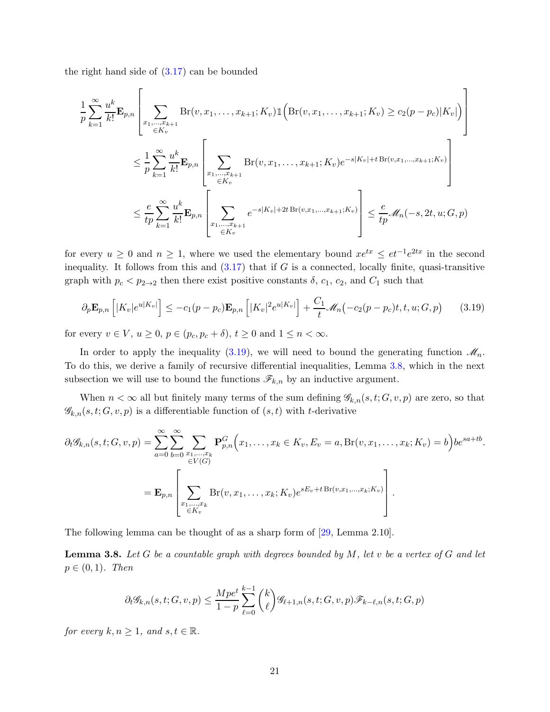the right hand side of [\(3.17\)](#page-19-1) can be bounded

$$
\frac{1}{p} \sum_{k=1}^{\infty} \frac{u^k}{k!} \mathbf{E}_{p,n} \left[ \sum_{\substack{x_1, \dots, x_{k+1} \\ \in K_v}} \text{Br}(v, x_1, \dots, x_{k+1}; K_v) \mathbb{1} \left( \text{Br}(v, x_1, \dots, x_{k+1}; K_v) \ge c_2(p - p_c) |K_v| \right) \right]
$$
\n
$$
\le \frac{1}{p} \sum_{k=1}^{\infty} \frac{u^k}{k!} \mathbf{E}_{p,n} \left[ \sum_{\substack{x_1, \dots, x_{k+1} \\ \in K_v}} \text{Br}(v, x_1, \dots, x_{k+1}; K_v) e^{-s|K_v| + t \text{Br}(v, x_1, \dots, x_{k+1}; K_v)} \right]
$$
\n
$$
\le \frac{e}{tp} \sum_{k=1}^{\infty} \frac{u^k}{k!} \mathbf{E}_{p,n} \left[ \sum_{\substack{x_1, \dots, x_{k+1} \\ \in K_v}} e^{-s|K_v| + 2t \text{Br}(v, x_1, \dots, x_{k+1}; K_v)} \right] \le \frac{e}{tp} \mathcal{M}_n(-s, 2t, u; G, p)
$$

for every  $u \geq 0$  and  $n \geq 1$ , where we used the elementary bound  $xe^{tx} \leq et^{-1}e^{2tx}$  in the second inequality. It follows from this and  $(3.17)$  that if G is a connected, locally finite, quasi-transitive graph with  $p_c < p_{2\to 2}$  then there exist positive constants  $\delta$ ,  $c_1$ ,  $c_2$ , and  $C_1$  such that

<span id="page-20-0"></span>
$$
\partial_p \mathbf{E}_{p,n} \left[ |K_v| e^{u|K_v|} \right] \le -c_1 (p - p_c) \mathbf{E}_{p,n} \left[ |K_v|^2 e^{u|K_v|} \right] + \frac{C_1}{t} \mathcal{M}_n(-c_2 (p - p_c)t, t, u; G, p) \tag{3.19}
$$

for every  $v \in V$ ,  $u \geq 0$ ,  $p \in (p_c, p_c + \delta)$ ,  $t \geq 0$  and  $1 \leq n < \infty$ .

In order to apply the inequality [\(3.19\)](#page-20-0), we will need to bound the generating function  $\mathcal{M}_n$ . To do this, we derive a family of recursive differential inequalities, Lemma [3.8,](#page-20-1) which in the next subsection we will use to bound the functions  $\mathscr{F}_{k,n}$  by an inductive argument.

When  $n < \infty$  all but finitely many terms of the sum defining  $\mathscr{G}_{k,n}(s,t;G,v,p)$  are zero, so that  $\mathscr{G}_{k,n}(s,t;G,v,p)$  is a differentiable function of  $(s,t)$  with t-derivative

$$
\partial_t \mathscr{G}_{k,n}(s,t;G,v,p) = \sum_{a=0}^{\infty} \sum_{b=0}^{\infty} \sum_{\substack{x_1,\dots,x_k \\ \in V(G)}} \mathbf{P}_{p,n}^G(x_1,\dots,x_k \in K_v, E_v = a, \text{Br}(v,x_1,\dots,x_k;K_v) = b\big) b e^{sa+tb}.
$$
  
= 
$$
\mathbf{E}_{p,n} \left[ \sum_{\substack{x_1,\dots,x_k \\ \in K_v}} \text{Br}(v,x_1,\dots,x_k;K_v) e^{sE_v + t \text{Br}(v,x_1,\dots,x_k;K_v)} \right].
$$

<span id="page-20-1"></span>The following lemma can be thought of as a sharp form of [\[29,](#page-40-13) Lemma 2.10].

**Lemma 3.8.** Let G be a countable graph with degrees bounded by M, let v be a vertex of G and let  $p \in (0,1)$ . Then

$$
\partial_t \mathscr{G}_{k,n}(s,t;G,v,p) \le \frac{Mpe^t}{1-p} \sum_{\ell=0}^{k-1} \binom{k}{\ell} \mathscr{G}_{\ell+1,n}(s,t;G,v,p) \mathscr{F}_{k-\ell,n}(s,t;G,p)
$$

for every  $k, n \geq 1$ , and  $s, t \in \mathbb{R}$ .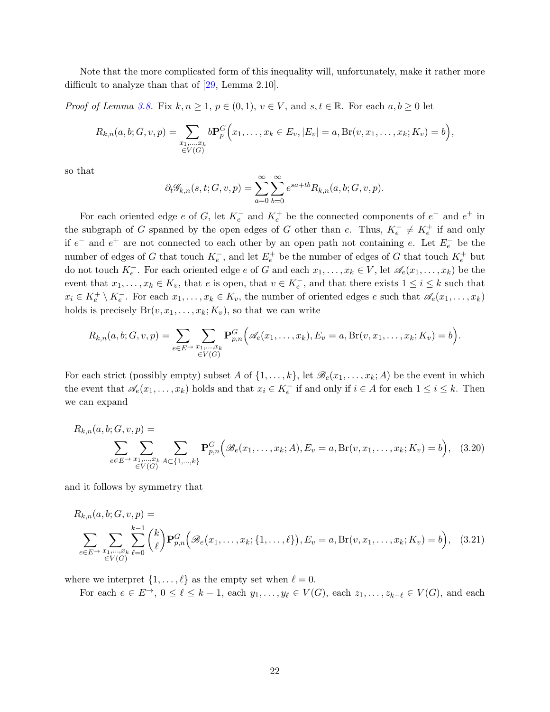Note that the more complicated form of this inequality will, unfortunately, make it rather more difficult to analyze than that of [\[29,](#page-40-13) Lemma 2.10].

*Proof of Lemma [3.8.](#page-20-1)* Fix  $k, n \geq 1$ ,  $p \in (0, 1)$ ,  $v \in V$ , and  $s, t \in \mathbb{R}$ . For each  $a, b \geq 0$  let

$$
R_{k,n}(a, b; G, v, p) = \sum_{\substack{x_1, \dots, x_k \\ \in V(G)}} b \mathbf{P}_p^G(x_1, \dots, x_k \in E_v, |E_v| = a, \text{Br}(v, x_1, \dots, x_k; K_v) = b),
$$

so that

$$
\partial_t \mathscr{G}_{k,n}(s,t;G,v,p) = \sum_{a=0}^{\infty} \sum_{b=0}^{\infty} e^{sa+tb} R_{k,n}(a,b;G,v,p).
$$

For each oriented edge e of G, let  $K_e^-$  and  $K_e^+$  be the connected components of  $e^-$  and  $e^+$  in the subgraph of G spanned by the open edges of G other than e. Thus,  $K_e^- \neq K_e^+$  if and only if  $e^-$  and  $e^+$  are not connected to each other by an open path not containing e. Let  $E_e^-$  be the number of edges of G that touch  $K_e^-$ , and let  $E_e^+$  be the number of edges of G that touch  $K_e^+$  but do not touch  $K_e^-$ . For each oriented edge e of G and each  $x_1, \ldots, x_k \in V$ , let  $\mathscr{A}_e(x_1, \ldots, x_k)$  be the event that  $x_1, \ldots, x_k \in K_v$ , that  $e$  is open, that  $v \in K_e^-$ , and that there exists  $1 \le i \le k$  such that  $x_i \in K_e^+ \setminus K_e^-$ . For each  $x_1, \ldots, x_k \in K_v$ , the number of oriented edges e such that  $\mathscr{A}_e(x_1, \ldots, x_k)$ holds is precisely  $Br(v, x_1, \ldots, x_k; K_v)$ , so that we can write

$$
R_{k,n}(a,b;G,v,p)=\sum_{e\in E\to}\sum_{\substack{x_1,\ldots,x_k\\eV(G)}}\mathbf{P}_{p,n}^G\Big(\mathscr{A}_e(x_1,\ldots,x_k),E_v=a,\text{Br}(v,x_1,\ldots,x_k;K_v)=b\Big).
$$

For each strict (possibly empty) subset A of  $\{1,\ldots,k\}$ , let  $\mathscr{B}_e(x_1,\ldots,x_k;A)$  be the event in which the event that  $\mathscr{A}_e(x_1,\ldots,x_k)$  holds and that  $x_i \in K_e^-$  if and only if  $i \in A$  for each  $1 \leq i \leq k$ . Then we can expand

$$
R_{k,n}(a,b;G,v,p) = \sum_{e \in E \to x_1, \dots, x_k} \sum_{A \subset \{1,\dots,k\}} \mathbf{P}_{p,n}^G\Big(\mathcal{B}_e(x_1,\dots,x_k;A), E_v = a, \text{Br}(v,x_1,\dots,x_k;K_v) = b\Big), \quad (3.20)
$$

and it follows by symmetry that

<span id="page-21-0"></span>
$$
R_{k,n}(a,b;G,v,p) = \sum_{e \in E \to x_1, \dots, x_k} \sum_{\ell=0}^{k-1} {k \choose \ell} \mathbf{P}_{p,n}^G(\mathcal{B}_e(x_1,\dots,x_k;\{1,\dots,\ell\}), E_v = a, \text{Br}(v,x_1,\dots,x_k;K_v) = b), \quad (3.21)
$$

where we interpret  $\{1, \ldots, \ell\}$  as the empty set when  $\ell = 0$ .

For each  $e \in E^{\rightarrow}$ ,  $0 \le \ell \le k-1$ , each  $y_1, \ldots, y_{\ell} \in V(G)$ , each  $z_1, \ldots, z_{k-\ell} \in V(G)$ , and each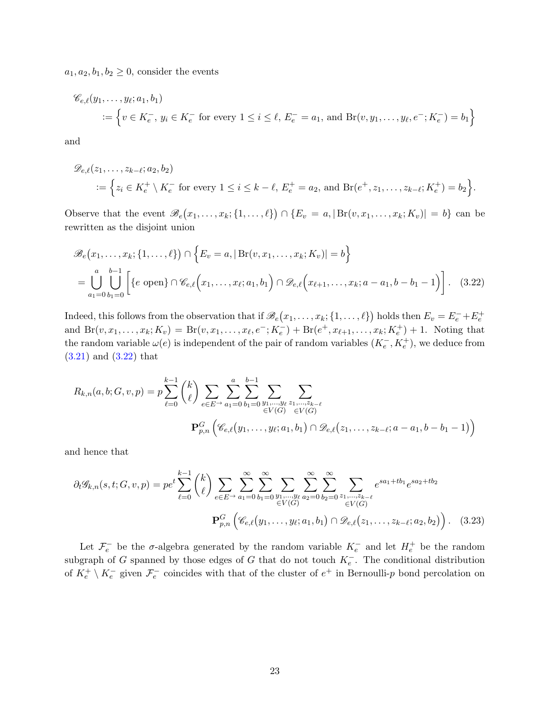$a_1, a_2, b_1, b_2 \geq 0$ , consider the events

$$
\mathscr{C}_{e,\ell}(y_1, \dots, y_{\ell}; a_1, b_1) = \left\{ v \in K_e^-, y_i \in K_e^-\text{ for every } 1 \le i \le \ell, E_e^-=a_1, \text{ and } Br(v, y_1, \dots, y_{\ell}, e^-; K_e^-) = b_1 \right\}
$$

and

$$
\mathscr{D}_{e,\ell}(z_1,\ldots,z_{k-\ell};a_2,b_2) = \left\{ z_i \in K_e^+ \setminus K_e^- \text{ for every } 1 \le i \le k-\ell, E_e^+ = a_2 \text{, and } Br(e^+,z_1,\ldots,z_{k-\ell};K_e^+) = b_2 \right\}.
$$

Observe that the event  $\mathscr{B}_e(x_1,\ldots,x_k;\{1,\ldots,\ell\}) \cap \{E_v = a, |\operatorname{Br}(v,x_1,\ldots,x_k;K_v)| = b\}$  can be rewritten as the disjoint union

<span id="page-22-0"></span>
$$
\mathscr{B}_e(x_1,\ldots,x_k;\{1,\ldots,\ell\}) \cap \left\{E_v = a, |\operatorname{Br}(v,x_1,\ldots,x_k;K_v)| = b\right\}
$$
  
= 
$$
\bigcup_{a_1=0}^{a} \bigcup_{b_1=0}^{b-1} \left[\{e \text{ open}\} \cap \mathscr{C}_{e,\ell}(x_1,\ldots,x_\ell;a_1,b_1) \cap \mathscr{D}_{e,\ell}(x_{\ell+1},\ldots,x_k;a-a_1,b-b_1-1)\right].
$$
 (3.22)

Indeed, this follows from the observation that if  $\mathscr{B}_e(x_1,\ldots,x_k;\{1,\ldots,\ell\})$  holds then  $E_v = E_e^- + E_e^+$ and  $\text{Br}(v, x_1, \ldots, x_k; K_v) = \text{Br}(v, x_1, \ldots, x_\ell, e^-; K_e^-) + \text{Br}(e^+, x_{\ell+1}, \ldots, x_k; K_e^+) + 1$ . Noting that the random variable  $\omega(e)$  is independent of the pair of random variables  $(K_e^-, K_e^+)$ , we deduce from [\(3.21\)](#page-21-0) and [\(3.22\)](#page-22-0) that

$$
R_{k,n}(a,b;G,v,p) = p \sum_{\ell=0}^{k-1} {k \choose \ell} \sum_{e \in E} \sum_{a_1=0}^{n} \sum_{b_1=0}^{b-1} \sum_{\substack{y_1,\dots,y_\ell \ z_1,\dots,z_{k-\ell} \\ \in V(G) \ \in V(G)}} \sum_{\substack{\epsilon \in V(G) \\ \in V(G)}}
$$

$$
\mathbf{P}_{p,n}^G \left( \mathcal{C}_{e,\ell}(y_1,\dots,y_\ell;a_1,b_1) \cap \mathcal{D}_{e,\ell}(z_1,\dots,z_{k-\ell};a-a_1,b-b_1-1) \right)
$$

and hence that

$$
\partial_t \mathcal{G}_{k,n}(s,t;G,v,p) = pe^t \sum_{\ell=0}^{k-1} {k \choose \ell} \sum_{e \in E^{\to}} \sum_{a_1=0}^{\infty} \sum_{b_1=0}^{\infty} \sum_{\substack{y_1, \dots, y_\ell \\ eV(G)}} \sum_{a_2=0}^{\infty} \sum_{b_2=0}^{\infty} \sum_{\substack{z_1, \dots, z_{k-\ell} \\ eV(G)}} e^{sa_1+tb_1} e^{sa_2+tb_2}
$$

$$
\mathbf{P}_{p,n}^G \left( \mathcal{C}_{e,\ell}(y_1, \dots, y_\ell; a_1, b_1) \cap \mathcal{D}_{e,\ell}(z_1, \dots, z_{k-\ell}; a_2, b_2) \right). \tag{3.23}
$$

Let  $\mathcal{F}_e^-$  be the  $\sigma$ -algebra generated by the random variable  $K_e^-$  and let  $H_e^+$  be the random subgraph of G spanned by those edges of G that do not touch  $K_{e}^-$ . The conditional distribution of  $K_e^+ \setminus K_e^-$  given  $\mathcal{F}_e^-$  coincides with that of the cluster of  $e^+$  in Bernoulli-p bond percolation on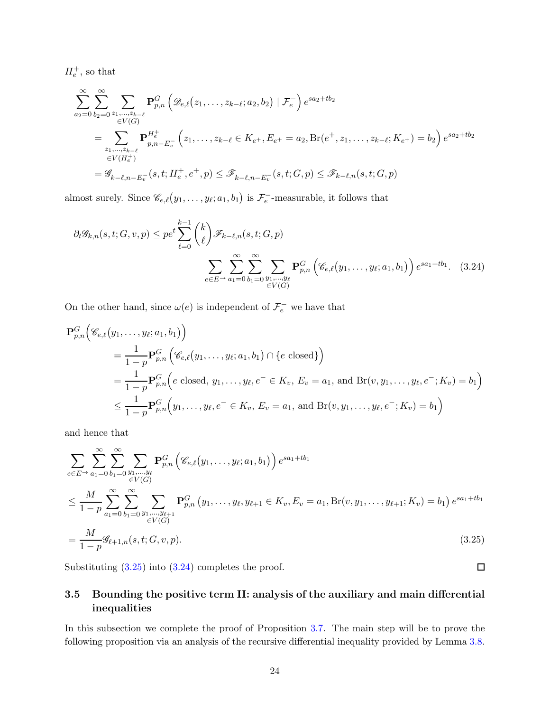$H_e^+$ , so that

$$
\sum_{a_2=0}^{\infty} \sum_{b_2=0}^{\infty} \sum_{\substack{z_1,\ldots,z_{k-\ell} \\ \in V(G)}} \mathbf{P}_{p,n}^G \left( \mathcal{D}_{e,\ell}(z_1,\ldots,z_{k-\ell};a_2,b_2) \mid \mathcal{F}_e^- \right) e^{sa_2+tb_2}
$$
\n
$$
= \sum_{\substack{z_1,\ldots,z_{k-\ell} \\ \in V(H_e^+)}} \mathbf{P}_{p,n-E_v}^{H_e^+} \left( z_1,\ldots,z_{k-\ell} \in K_{e^+}, E_{e^+} = a_2, \text{Br}(e^+,z_1,\ldots,z_{k-\ell};K_{e^+}) = b_2 \right) e^{sa_2+tb_2}
$$
\n
$$
= \mathcal{G}_{k-\ell,n-E_v^-}(s,t;H_e^+,e^+,p) \leq \mathcal{F}_{k-\ell,n-E_v^-}(s,t;G,p) \leq \mathcal{F}_{k-\ell,n}(s,t;G,p)
$$

almost surely. Since  $\mathscr{C}_{e,\ell}(y_1,\ldots,y_\ell;a_1,b_1)$  is  $\mathcal{F}_e^-$ -measurable, it follows that

$$
\partial_t \mathcal{G}_{k,n}(s,t;G,v,p) \le p e^t \sum_{\ell=0}^{k-1} {k \choose \ell} \mathcal{F}_{k-\ell,n}(s,t;G,p)
$$

$$
\sum_{e \in E^{\to}} \sum_{a_1=0}^{\infty} \sum_{b_1=0}^{\infty} \sum_{\substack{y_1,\dots,y_\ell\\ \in V(G)}} \mathbf{P}_{p,n}^G \left( \mathcal{C}_{e,\ell}(y_1,\dots,y_\ell;a_1,b_1) \right) e^{sa_1+tb_1}. \quad (3.24)
$$

On the other hand, since  $\omega(e)$  is independent of  $\mathcal{F}_e^-$  we have that

$$
\mathbf{P}_{p,n}^{G}(\mathscr{C}_{e,\ell}(y_1,\ldots,y_\ell;a_1,b_1))
$$
\n
$$
=\frac{1}{1-p}\mathbf{P}_{p,n}^{G}(\mathscr{C}_{e,\ell}(y_1,\ldots,y_\ell;a_1,b_1)\cap\{e \text{ closed}\})
$$
\n
$$
=\frac{1}{1-p}\mathbf{P}_{p,n}^{G}\Big(e \text{ closed}, y_1,\ldots,y_\ell,e^{-} \in K_v, E_v = a_1, \text{ and } \text{Br}(v,y_1,\ldots,y_\ell,e^{-};K_v) = b_1\Big)
$$
\n
$$
\leq \frac{1}{1-p}\mathbf{P}_{p,n}^{G}\Big(y_1,\ldots,y_\ell,e^{-} \in K_v, E_v = a_1, \text{ and } \text{Br}(v,y_1,\ldots,y_\ell,e^{-};K_v) = b_1\Big)
$$

and hence that

$$
\sum_{e \in E^{\to}} \sum_{a_1=0}^{\infty} \sum_{b_1=0}^{\infty} \sum_{\substack{y_1, \dots, y_\ell \\ \in V(G)}} \mathbf{P}_{p,n}^G \left( \mathscr{C}_{e,\ell}(y_1, \dots, y_\ell; a_1, b_1) \right) e^{sa_1+tb_1}
$$
\n
$$
\leq \frac{M}{1-p} \sum_{a_1=0}^{\infty} \sum_{b_1=0}^{\infty} \sum_{\substack{y_1, \dots, y_{\ell+1} \\ \in V(G)}} \mathbf{P}_{p,n}^G \left( y_1, \dots, y_\ell, y_{\ell+1} \in K_v, E_v = a_1, \text{Br}(v, y_1, \dots, y_{\ell+1}; K_v) = b_1 \right) e^{sa_1+tb_1}
$$
\n
$$
= \frac{M}{1-p} \mathscr{G}_{\ell+1,n}(s, t; G, v, p).
$$
\n(3.25)

<span id="page-23-0"></span>Substituting [\(3.25\)](#page-23-1) into [\(3.24\)](#page-23-2) completes the proof.

## 3.5 Bounding the positive term II: analysis of the auxiliary and main differential inequalities

<span id="page-23-2"></span><span id="page-23-1"></span> $\Box$ 

In this subsection we complete the proof of Proposition [3.7.](#page-17-3) The main step will be to prove the following proposition via an analysis of the recursive differential inequality provided by Lemma [3.8.](#page-20-1)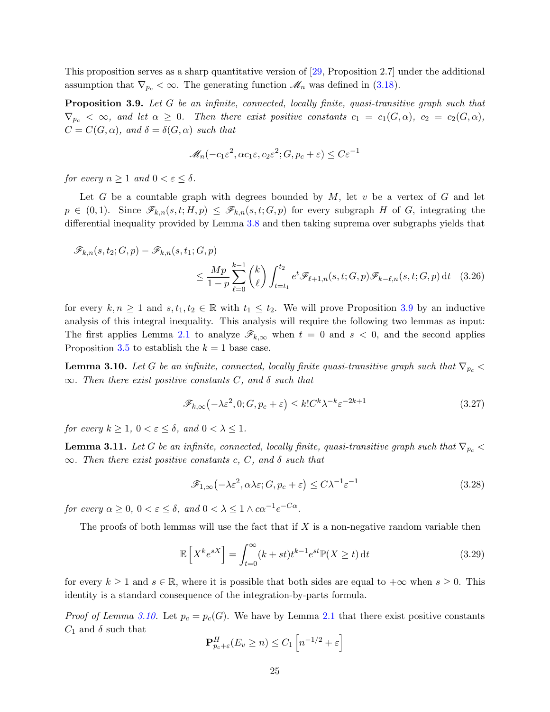<span id="page-24-0"></span>This proposition serves as a sharp quantitative version of [\[29,](#page-40-13) Proposition 2.7] under the additional assumption that  $\nabla_{p_c} < \infty$ . The generating function  $\mathcal{M}_n$  was defined in [\(3.18\)](#page-19-2).

Proposition 3.9. Let G be an infinite, connected, locally finite, quasi-transitive graph such that  $\nabla_{p_c} < \infty$ , and let  $\alpha \geq 0$ . Then there exist positive constants  $c_1 = c_1(G, \alpha)$ ,  $c_2 = c_2(G, \alpha)$ ,  $C = C(G, \alpha)$ , and  $\delta = \delta(G, \alpha)$  such that

<span id="page-24-4"></span>
$$
\mathcal{M}_n(-c_1\varepsilon^2,\alpha c_1\varepsilon,c_2\varepsilon^2;G,p_c+\varepsilon)\leq C\varepsilon^{-1}
$$

for every  $n \geq 1$  and  $0 < \varepsilon < \delta$ .

Let G be a countable graph with degrees bounded by  $M$ , let  $v$  be a vertex of G and let  $p \in (0,1)$ . Since  $\mathscr{F}_{k,n}(s,t;H,p) \leq \mathscr{F}_{k,n}(s,t;G,p)$  for every subgraph H of G, integrating the differential inequality provided by Lemma [3.8](#page-20-1) and then taking suprema over subgraphs yields that

$$
\mathscr{F}_{k,n}(s,t_2;G,p) - \mathscr{F}_{k,n}(s,t_1;G,p)
$$
  

$$
\leq \frac{Mp}{1-p} \sum_{\ell=0}^{k-1} {k \choose \ell} \int_{t=t_1}^{t_2} e^t \mathscr{F}_{\ell+1,n}(s,t;G,p) \mathscr{F}_{k-\ell,n}(s,t;G,p) dt \quad (3.26)
$$

for every  $k, n \geq 1$  and  $s, t_1, t_2 \in \mathbb{R}$  with  $t_1 \leq t_2$ . We will prove Proposition [3.9](#page-24-0) by an inductive analysis of this integral inequality. This analysis will require the following two lemmas as input: The first applies Lemma [2.1](#page-8-1) to analyze  $\mathscr{F}_{k,\infty}$  when  $t = 0$  and  $s < 0$ , and the second applies Proposition [3.5](#page-13-1) to establish the  $k = 1$  base case.

<span id="page-24-1"></span>**Lemma 3.10.** Let G be an infinite, connected, locally finite quasi-transitive graph such that  $\nabla_{p_c}$  $\infty$ . Then there exist positive constants C, and  $\delta$  such that

$$
\mathscr{F}_{k,\infty}\left(-\lambda\varepsilon^2,0;G,p_c+\varepsilon\right) \le k!C^k\lambda^{-k}\varepsilon^{-2k+1}
$$
\n(3.27)

<span id="page-24-2"></span>for every  $k \geq 1$ ,  $0 < \varepsilon \leq \delta$ , and  $0 < \lambda \leq 1$ .

**Lemma 3.11.** Let G be an infinite, connected, locally finite, quasi-transitive graph such that  $\nabla_{p_c}$  $\infty$ . Then there exist positive constants c, C, and  $\delta$  such that

$$
\mathcal{F}_{1,\infty}\left(-\lambda \varepsilon^2, \alpha \lambda \varepsilon; G, p_c + \varepsilon\right) \le C\lambda^{-1} \varepsilon^{-1} \tag{3.28}
$$

for every  $\alpha \geq 0$ ,  $0 < \varepsilon \leq \delta$ , and  $0 < \lambda \leq 1 \wedge c\alpha^{-1}e^{-C\alpha}$ .

The proofs of both lemmas will use the fact that if  $X$  is a non-negative random variable then

<span id="page-24-3"></span>
$$
\mathbb{E}\left[X^{k}e^{sX}\right] = \int_{t=0}^{\infty} (k+st)t^{k-1}e^{st}\mathbb{P}(X \ge t) dt \tag{3.29}
$$

for every  $k \geq 1$  and  $s \in \mathbb{R}$ , where it is possible that both sides are equal to  $+\infty$  when  $s \geq 0$ . This identity is a standard consequence of the integration-by-parts formula.

*Proof of Lemma [3.10.](#page-24-1)* Let  $p_c = p_c(G)$ . We have by Lemma [2.1](#page-8-1) that there exist positive constants  $C_1$  and  $\delta$  such that

$$
\mathbf{P}_{p_c+\varepsilon}^H(E_v \ge n) \le C_1 \left[ n^{-1/2} + \varepsilon \right]
$$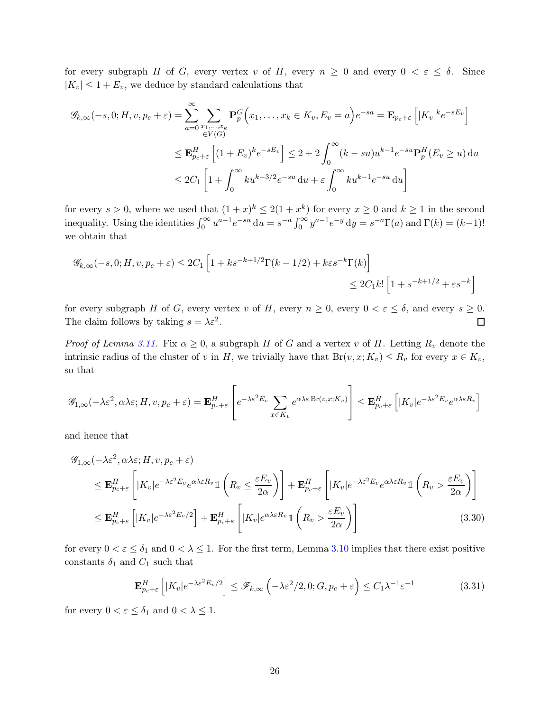for every subgraph H of G, every vertex v of H, every  $n \geq 0$  and every  $0 < \varepsilon \leq \delta$ . Since  $|K_v| \leq 1 + E_v$ , we deduce by standard calculations that

$$
\mathcal{G}_{k,\infty}(-s,0;H,v,p_c+\varepsilon) = \sum_{a=0}^{\infty} \sum_{\substack{x_1,\dots,x_k\\ \in V(G)}} \mathbf{P}_{p}^G(x_1,\dots,x_k \in K_v, E_v = a) e^{-sa} = \mathbf{E}_{p_c+\varepsilon} \left[ |K_v|^k e^{-sE_v} \right]
$$
  

$$
\leq \mathbf{E}_{p_c+\varepsilon}^H \left[ (1+E_v)^k e^{-sE_v} \right] \leq 2+2 \int_0^{\infty} (k-su) u^{k-1} e^{-su} \mathbf{P}_p^H(E_v \geq u) du
$$
  

$$
\leq 2C_1 \left[ 1 + \int_0^{\infty} ku^{k-3/2} e^{-su} du + \varepsilon \int_0^{\infty} ku^{k-1} e^{-su} du \right]
$$

for every  $s > 0$ , where we used that  $(1+x)^k \leq 2(1+x^k)$  for every  $x \geq 0$  and  $k \geq 1$  in the second inequality. Using the identities  $\int_0^\infty u^{a-1} e^{-su} du = s^{-a} \int_0^\infty y^{a-1} e^{-y} dy = s^{-a} \Gamma(a)$  and  $\Gamma(k) = (k-1)!$ we obtain that

$$
\mathcal{G}_{k,\infty}(-s,0;H,v,p_c+\varepsilon) \le 2C_1 \left[ 1+ks^{-k+1/2}\Gamma(k-1/2)+k\varepsilon s^{-k}\Gamma(k) \right]
$$
  

$$
\le 2C_1k!\left[ 1+s^{-k+1/2}+\varepsilon s^{-k} \right]
$$

for every subgraph H of G, every vertex v of H, every  $n \ge 0$ , every  $0 < \varepsilon \le \delta$ , and every  $s \ge 0$ .<br>The claim follows by taking  $s = \lambda \varepsilon^2$ . The claim follows by taking  $s = \lambda \varepsilon^2$ .

*Proof of Lemma [3.11.](#page-24-2)* Fix  $\alpha \geq 0$ , a subgraph H of G and a vertex v of H. Letting  $R_v$  denote the intrinsic radius of the cluster of v in H, we trivially have that  $Br(v, x; K_v) \le R_v$  for every  $x \in K_v$ , so that

$$
\mathscr{G}_{1,\infty}(-\lambda \varepsilon^2, \alpha \lambda \varepsilon; H, v, p_c + \varepsilon) = \mathbf{E}_{p_c + \varepsilon}^H \left[ e^{-\lambda \varepsilon^2 E_v} \sum_{x \in K_v} e^{\alpha \lambda \varepsilon \operatorname{Br}(v,x;K_v)} \right] \leq \mathbf{E}_{p_c + \varepsilon}^H \left[ |K_v| e^{-\lambda \varepsilon^2 E_v} e^{\alpha \lambda \varepsilon R_v} \right]
$$

and hence that

$$
\mathcal{G}_{1,\infty}(-\lambda \varepsilon^{2}, \alpha \lambda \varepsilon; H, v, p_{c} + \varepsilon)
$$
\n
$$
\leq \mathbf{E}_{p_{c}+\varepsilon}^{H} \left[ |K_{v}| e^{-\lambda \varepsilon^{2} E_{v}} e^{\alpha \lambda \varepsilon R_{v}} \mathbb{1} \left( R_{v} \leq \frac{\varepsilon E_{v}}{2\alpha} \right) \right] + \mathbf{E}_{p_{c}+\varepsilon}^{H} \left[ |K_{v}| e^{-\lambda \varepsilon^{2} E_{v}} e^{\alpha \lambda \varepsilon R_{v}} \mathbb{1} \left( R_{v} > \frac{\varepsilon E_{v}}{2\alpha} \right) \right]
$$
\n
$$
\leq \mathbf{E}_{p_{c}+\varepsilon}^{H} \left[ |K_{v}| e^{-\lambda \varepsilon^{2} E_{v}/2} \right] + \mathbf{E}_{p_{c}+\varepsilon}^{H} \left[ |K_{v}| e^{\alpha \lambda \varepsilon R_{v}} \mathbb{1} \left( R_{v} > \frac{\varepsilon E_{v}}{2\alpha} \right) \right]
$$
\n(3.30)

for every  $0 < \varepsilon \leq \delta_1$  and  $0 < \lambda \leq 1$ . For the first term, Lemma [3.10](#page-24-1) implies that there exist positive constants  $\delta_1$  and  $C_1$  such that

<span id="page-25-1"></span><span id="page-25-0"></span>
$$
\mathbf{E}_{p_c+\varepsilon}^H \left[ |K_v|e^{-\lambda \varepsilon^2 E_v/2} \right] \le \mathscr{F}_{k,\infty} \left( -\lambda \varepsilon^2 / 2, 0; G, p_c + \varepsilon \right) \le C_1 \lambda^{-1} \varepsilon^{-1}
$$
(3.31)

for every  $0 < \varepsilon \leq \delta_1$  and  $0 < \lambda \leq 1$ .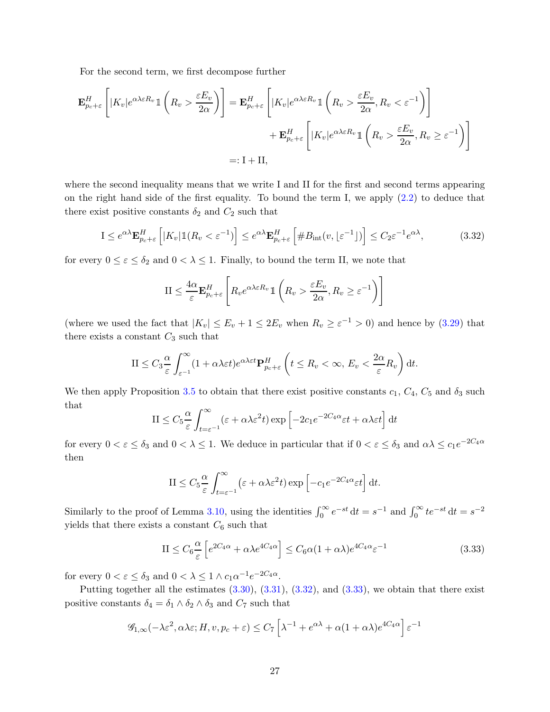For the second term, we first decompose further

$$
\mathbf{E}_{p_c+\varepsilon}^H \left[ |K_v| e^{\alpha \lambda \varepsilon R_v} \mathbb{1} \left( R_v > \frac{\varepsilon E_v}{2\alpha} \right) \right] = \mathbf{E}_{p_c+\varepsilon}^H \left[ |K_v| e^{\alpha \lambda \varepsilon R_v} \mathbb{1} \left( R_v > \frac{\varepsilon E_v}{2\alpha}, R_v < \varepsilon^{-1} \right) \right] \n+ \mathbf{E}_{p_c+\varepsilon}^H \left[ |K_v| e^{\alpha \lambda \varepsilon R_v} \mathbb{1} \left( R_v > \frac{\varepsilon E_v}{2\alpha}, R_v \ge \varepsilon^{-1} \right) \right] \n=: \mathbf{I} + \mathbf{II},
$$

where the second inequality means that we write I and II for the first and second terms appearing on the right hand side of the first equality. To bound the term I, we apply [\(2.2\)](#page-9-2) to deduce that there exist positive constants  $\delta_2$  and  $C_2$  such that

<span id="page-26-0"></span>
$$
\mathbf{I} \le e^{\alpha \lambda} \mathbf{E}_{p_c+\varepsilon}^H \left[ |K_v| \mathbb{1}(R_v < \varepsilon^{-1}) \right] \le e^{\alpha \lambda} \mathbf{E}_{p_c+\varepsilon}^H \left[ \#B_{\text{int}}(v, \lfloor \varepsilon^{-1} \rfloor) \right] \le C_2 \varepsilon^{-1} e^{\alpha \lambda},\tag{3.32}
$$

for every  $0 \le \varepsilon \le \delta_2$  and  $0 < \lambda \le 1$ . Finally, to bound the term II, we note that

$$
\mathcal{II} \leq \frac{4\alpha}{\varepsilon} \mathbf{E}_{p_c+\varepsilon}^H \left[ R_v e^{\alpha \lambda \varepsilon R_v} \mathbb{1} \left( R_v > \frac{\varepsilon E_v}{2\alpha}, R_v \geq \varepsilon^{-1} \right) \right]
$$

(where we used the fact that  $|K_v| \le E_v + 1 \le 2E_v$  when  $R_v \ge \varepsilon^{-1} > 0$ ) and hence by [\(3.29\)](#page-24-3) that there exists a constant  $C_3$  such that

$$
\mathrm{II} \leq C_3 \frac{\alpha}{\varepsilon} \int_{\varepsilon^{-1}}^{\infty} (1 + \alpha \lambda \varepsilon t) e^{\alpha \lambda \varepsilon t} \mathbf{P}_{p_c + \varepsilon}^H \left( t \leq R_v < \infty, \, E_v < \frac{2\alpha}{\varepsilon} R_v \right) \mathrm{d}t.
$$

We then apply Proposition [3.5](#page-13-1) to obtain that there exist positive constants  $c_1$ ,  $C_4$ ,  $C_5$  and  $\delta_3$  such that

$$
II \leq C_5 \frac{\alpha}{\varepsilon} \int_{t=\varepsilon^{-1}}^{\infty} (\varepsilon + \alpha \lambda \varepsilon^2 t) \exp \left[ -2c_1 e^{-2C_4 \alpha} \varepsilon t + \alpha \lambda \varepsilon t \right] dt
$$

for every  $0 < \varepsilon \leq \delta_3$  and  $0 < \lambda \leq 1$ . We deduce in particular that if  $0 < \varepsilon \leq \delta_3$  and  $\alpha\lambda \leq c_1e^{-2C_4\alpha}$ then

$$
\mathcal{I}\mathcal{I} \leq C_5 \frac{\alpha}{\varepsilon} \int_{t=\varepsilon^{-1}}^{\infty} (\varepsilon + \alpha \lambda \varepsilon^2 t) \exp\left[ -c_1 e^{-2C_4 \alpha} \varepsilon t \right] dt.
$$

Similarly to the proof of Lemma [3.10,](#page-24-1) using the identities  $\int_0^\infty e^{-st} dt = s^{-1}$  and  $\int_0^\infty t e^{-st} dt = s^{-2}$ yields that there exists a constant  $C_6$  such that

<span id="page-26-1"></span>
$$
II \le C_6 \frac{\alpha}{\varepsilon} \left[ e^{2C_4 \alpha} + \alpha \lambda e^{4C_4 \alpha} \right] \le C_6 \alpha (1 + \alpha \lambda) e^{4C_4 \alpha} \varepsilon^{-1}
$$
\n(3.33)

for every  $0 < \varepsilon \leq \delta_3$  and  $0 < \lambda \leq 1 \wedge c_1 \alpha^{-1} e^{-2C_4 \alpha}$ .

Putting together all the estimates  $(3.30), (3.31), (3.32),$  $(3.30), (3.31), (3.32),$  $(3.30), (3.31), (3.32),$  $(3.30), (3.31), (3.32),$  $(3.30), (3.31), (3.32),$  and  $(3.33),$  we obtain that there exist positive constants  $\delta_4 = \delta_1 \wedge \delta_2 \wedge \delta_3$  and  $C_7$  such that

$$
\mathscr{G}_{1,\infty}(-\lambda \varepsilon^2, \alpha \lambda \varepsilon; H, v, p_c + \varepsilon) \le C_7 \left[ \lambda^{-1} + e^{\alpha \lambda} + \alpha (1 + \alpha \lambda) e^{4C_4 \alpha} \right] \varepsilon^{-1}
$$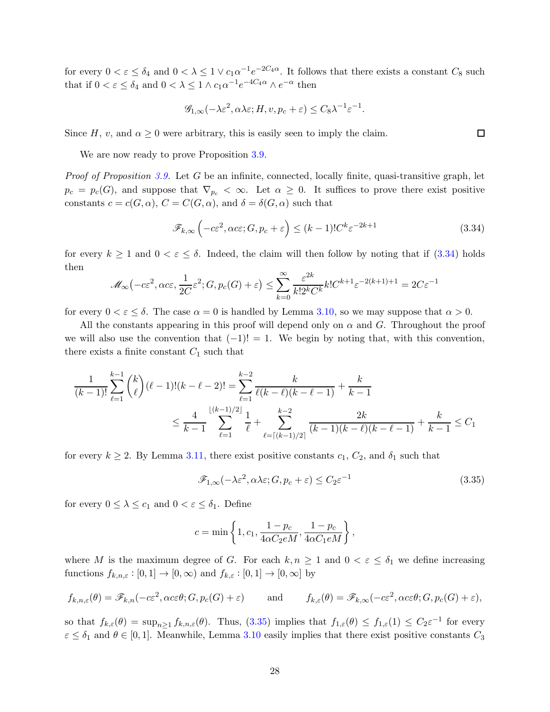for every  $0 < \varepsilon \leq \delta_4$  and  $0 < \lambda \leq 1 \vee c_1 \alpha^{-1} e^{-2C_4 \alpha}$ . It follows that there exists a constant  $C_8$  such that if  $0 < \varepsilon \leq \delta_4$  and  $0 < \lambda \leq 1 \wedge c_1 \alpha^{-1} e^{-4C_4 \alpha} \wedge e^{-\alpha}$  then

$$
\mathscr{G}_{1,\infty}(-\lambda \varepsilon^2, \alpha \lambda \varepsilon; H, v, p_c + \varepsilon) \leq C_8 \lambda^{-1} \varepsilon^{-1}.
$$

Since H, v, and  $\alpha \geq 0$  were arbitrary, this is easily seen to imply the claim.

We are now ready to prove Proposition [3.9.](#page-24-0)

*Proof of Proposition [3.9.](#page-24-0)* Let G be an infinite, connected, locally finite, quasi-transitive graph, let  $p_c = p_c(G)$ , and suppose that  $\nabla_{p_c} < \infty$ . Let  $\alpha \geq 0$ . It suffices to prove there exist positive constants  $c = c(G, \alpha)$ ,  $C = C(G, \alpha)$ , and  $\delta = \delta(G, \alpha)$  such that

<span id="page-27-0"></span>
$$
\mathscr{F}_{k,\infty}\left(-c\varepsilon^2, \alpha c\varepsilon; G, p_c + \varepsilon\right) \le (k-1)! C^k \varepsilon^{-2k+1}
$$
\n(3.34)

for every  $k \ge 1$  and  $0 < \varepsilon \le \delta$ . Indeed, the claim will then follow by noting that if  $(3.34)$  holds then

$$
\mathcal{M}_{\infty}\left(-c\varepsilon^{2},\alpha c\varepsilon,\frac{1}{2C}\varepsilon^{2};G,p_{c}(G)+\varepsilon\right)\leq\sum_{k=0}^{\infty}\frac{\varepsilon^{2k}}{k!2^{k}C^{k}}k!C^{k+1}\varepsilon^{-2(k+1)+1}=2C\varepsilon^{-1}
$$

for every  $0 < \varepsilon \leq \delta$ . The case  $\alpha = 0$  is handled by Lemma [3.10,](#page-24-1) so we may suppose that  $\alpha > 0$ .

All the constants appearing in this proof will depend only on  $\alpha$  and  $G$ . Throughout the proof we will also use the convention that  $(-1)! = 1$ . We begin by noting that, with this convention, there exists a finite constant  $C_1$  such that

$$
\frac{1}{(k-1)!} \sum_{\ell=1}^{k-1} \binom{k}{\ell} (\ell-1)!(k-\ell-2)! = \sum_{\ell=1}^{k-2} \frac{k}{\ell(k-\ell)(k-\ell-1)} + \frac{k}{k-1}
$$
  

$$
\leq \frac{4}{k-1} \sum_{\ell=1}^{\lfloor (k-1)/2 \rfloor} \frac{1}{\ell} + \sum_{\ell=\lceil (k-1)/2 \rceil}^{k-2} \frac{2k}{(k-1)(k-\ell)(k-\ell-1)} + \frac{k}{k-1} \leq C_1
$$

for every  $k \geq 2$ . By Lemma [3.11,](#page-24-2) there exist positive constants  $c_1, C_2$ , and  $\delta_1$  such that

<span id="page-27-1"></span>
$$
\mathcal{F}_{1,\infty}(-\lambda \varepsilon^2, \alpha \lambda \varepsilon; G, p_c + \varepsilon) \le C_2 \varepsilon^{-1}
$$
\n(3.35)

for every  $0 \leq \lambda \leq c_1$  and  $0 < \varepsilon \leq \delta_1$ . Define

$$
c = \min\left\{1, c_1, \frac{1 - p_c}{4\alpha C_2 eM}, \frac{1 - p_c}{4\alpha C_1 eM}\right\},\,
$$

where M is the maximum degree of G. For each  $k, n \geq 1$  and  $0 < \varepsilon \leq \delta_1$  we define increasing functions  $f_{k,n,\varepsilon} : [0,1] \to [0,\infty)$  and  $f_{k,\varepsilon} : [0,1] \to [0,\infty]$  by

$$
f_{k,n,\varepsilon}(\theta) = \mathscr{F}_{k,n}(-c\varepsilon^2, \alpha c\varepsilon\theta; G, p_c(G) + \varepsilon) \quad \text{and} \quad f_{k,\varepsilon}(\theta) = \mathscr{F}_{k,\infty}(-c\varepsilon^2, \alpha c\varepsilon\theta; G, p_c(G) + \varepsilon),
$$

so that  $f_{k,\varepsilon}(\theta) = \sup_{n\geq 1} f_{k,n,\varepsilon}(\theta)$ . Thus,  $(3.35)$  implies that  $f_{1,\varepsilon}(\theta) \leq f_{1,\varepsilon}(1) \leq C_2 \varepsilon^{-1}$  for every  $\varepsilon \leq \delta_1$  and  $\theta \in [0,1]$ . Meanwhile, Lemma [3.10](#page-24-1) easily implies that there exist positive constants  $C_3$ 

 $\Box$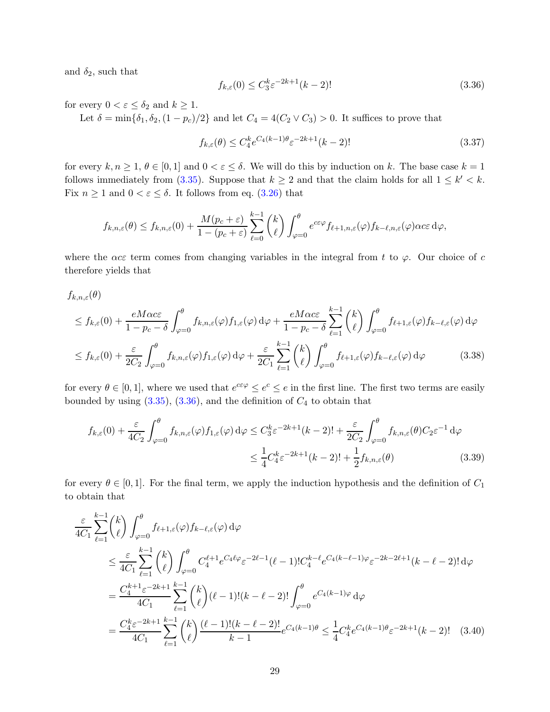and  $\delta_2$ , such that

<span id="page-28-0"></span>
$$
f_{k,\varepsilon}(0) \le C_3^k \varepsilon^{-2k+1} (k-2)!
$$
\n(3.36)

for every  $0 < \varepsilon \leq \delta_2$  and  $k \geq 1$ .

Let  $\delta = \min{\delta_1, \delta_2, (1 - p_c)/2}$  and let  $C_4 = 4(C_2 \vee C_3) > 0$ . It suffices to prove that

<span id="page-28-4"></span><span id="page-28-1"></span>
$$
f_{k,\varepsilon}(\theta) \le C_4^k e^{C_4(k-1)\theta} \varepsilon^{-2k+1}(k-2)!
$$
\n(3.37)

for every  $k, n \geq 1, \theta \in [0,1]$  and  $0 < \varepsilon \leq \delta$ . We will do this by induction on k. The base case  $k = 1$ follows immediately from [\(3.35\)](#page-27-1). Suppose that  $k \geq 2$  and that the claim holds for all  $1 \leq k' < k$ . Fix  $n \geq 1$  and  $0 < \varepsilon \leq \delta$ . It follows from eq. [\(3.26\)](#page-24-4) that

$$
f_{k,n,\varepsilon}(\theta) \le f_{k,n,\varepsilon}(0) + \frac{M(p_c+\varepsilon)}{1-(p_c+\varepsilon)} \sum_{\ell=0}^{k-1} {k \choose \ell} \int_{\varphi=0}^{\theta} e^{c\varepsilon\varphi} f_{\ell+1,n,\varepsilon}(\varphi) f_{k-\ell,n,\varepsilon}(\varphi) \alpha c\varepsilon d\varphi,
$$

where the  $\alpha c \varepsilon$  term comes from changing variables in the integral from t to  $\varphi$ . Our choice of c therefore yields that

 $f_{k,n,\varepsilon}(\theta)$ 

$$
\leq f_{k,\varepsilon}(0) + \frac{eM\alpha c\varepsilon}{1 - p_c - \delta} \int_{\varphi=0}^{\theta} f_{k,n,\varepsilon}(\varphi) f_{1,\varepsilon}(\varphi) d\varphi + \frac{eM\alpha c\varepsilon}{1 - p_c - \delta} \sum_{\ell=1}^{k-1} {k \choose \ell} \int_{\varphi=0}^{\theta} f_{\ell+1,\varepsilon}(\varphi) f_{k-\ell,\varepsilon}(\varphi) d\varphi
$$
  

$$
\leq f_{k,\varepsilon}(0) + \frac{\varepsilon}{2C_2} \int_{\varphi=0}^{\theta} f_{k,n,\varepsilon}(\varphi) f_{1,\varepsilon}(\varphi) d\varphi + \frac{\varepsilon}{2C_1} \sum_{\ell=1}^{k-1} {k \choose \ell} \int_{\varphi=0}^{\theta} f_{\ell+1,\varepsilon}(\varphi) f_{k-\ell,\varepsilon}(\varphi) d\varphi
$$
(3.38)

for every  $\theta \in [0, 1]$ , where we used that  $e^{c \varepsilon \varphi} \le e^c \le e$  in the first line. The first two terms are easily bounded by using  $(3.35)$ ,  $(3.36)$ , and the definition of  $C_4$  to obtain that

<span id="page-28-2"></span>
$$
f_{k,\varepsilon}(0) + \frac{\varepsilon}{4C_2} \int_{\varphi=0}^{\theta} f_{k,n,\varepsilon}(\varphi) f_{1,\varepsilon}(\varphi) d\varphi \leq C_3^k \varepsilon^{-2k+1} (k-2)! + \frac{\varepsilon}{2C_2} \int_{\varphi=0}^{\theta} f_{k,n,\varepsilon}(\theta) C_2 \varepsilon^{-1} d\varphi
$$
  

$$
\leq \frac{1}{4} C_4^k \varepsilon^{-2k+1} (k-2)! + \frac{1}{2} f_{k,n,\varepsilon}(\theta) \tag{3.39}
$$

for every  $\theta \in [0, 1]$ . For the final term, we apply the induction hypothesis and the definition of  $C_1$ to obtain that

<span id="page-28-3"></span>
$$
\frac{\varepsilon}{4C_1} \sum_{\ell=1}^{k-1} {k \choose \ell} \int_{\varphi=0}^{\theta} f_{\ell+1,\varepsilon}(\varphi) f_{k-\ell,\varepsilon}(\varphi) d\varphi
$$
\n
$$
\leq \frac{\varepsilon}{4C_1} \sum_{\ell=1}^{k-1} {k \choose \ell} \int_{\varphi=0}^{\theta} C_4^{\ell+1} e^{C_4 \ell \varphi} \varepsilon^{-2\ell-1} (\ell-1)! C_4^{k-\ell} e^{C_4 (k-\ell-1)\varphi} \varepsilon^{-2k-2\ell+1} (k-\ell-2)! d\varphi
$$
\n
$$
= \frac{C_4^{k+1} \varepsilon^{-2k+1}}{4C_1} \sum_{\ell=1}^{k-1} {k \choose \ell} (\ell-1)! (k-\ell-2)! \int_{\varphi=0}^{\theta} e^{C_4 (k-1)\varphi} d\varphi
$$
\n
$$
= \frac{C_4^k \varepsilon^{-2k+1}}{4C_1} \sum_{\ell=1}^{k-1} {k \choose \ell} \frac{(\ell-1)! (k-\ell-2)!}{k-1} e^{C_4 (k-1)\theta} \leq \frac{1}{4} C_4^k e^{C_4 (k-1)\theta} \varepsilon^{-2k+1} (k-2)! \quad (3.40)
$$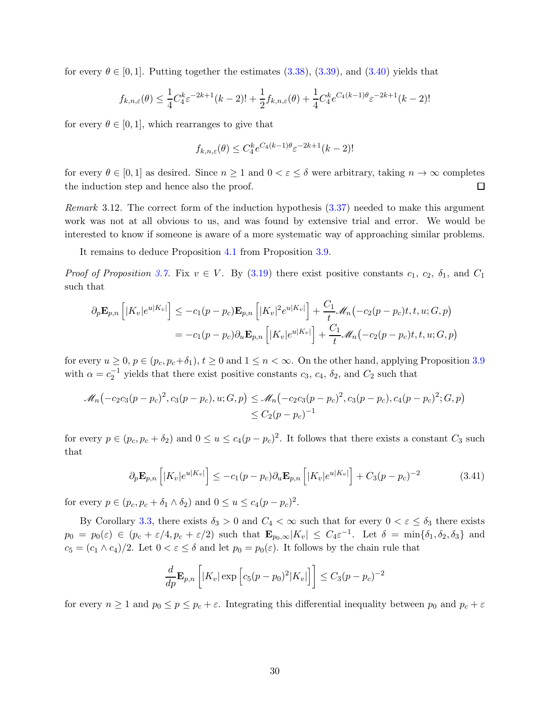for every  $\theta \in [0, 1]$ . Putting together the estimates [\(3.38\)](#page-28-1), [\(3.39\)](#page-28-2), and [\(3.40\)](#page-28-3) yields that

$$
f_{k,n,\varepsilon}(\theta) \le \frac{1}{4} C_4^k \varepsilon^{-2k+1} (k-2)! + \frac{1}{2} f_{k,n,\varepsilon}(\theta) + \frac{1}{4} C_4^k e^{C_4(k-1)\theta} \varepsilon^{-2k+1} (k-2)!
$$

for every  $\theta \in [0, 1]$ , which rearranges to give that

$$
f_{k,n,\varepsilon}(\theta) \le C_4^k e^{C_4(k-1)\theta} \varepsilon^{-2k+1}(k-2)!
$$

for every  $\theta \in [0,1]$  as desired. Since  $n \geq 1$  and  $0 < \varepsilon \leq \delta$  were arbitrary, taking  $n \to \infty$  completes the induction step and hence also the proof. 口

Remark 3.12. The correct form of the induction hypothesis [\(3.37\)](#page-28-4) needed to make this argument work was not at all obvious to us, and was found by extensive trial and error. We would be interested to know if someone is aware of a more systematic way of approaching similar problems.

It remains to deduce Proposition [4.1](#page-30-1) from Proposition [3.9.](#page-24-0)

*Proof of Proposition [3.7.](#page-17-3)* Fix  $v \in V$ . By [\(3.19\)](#page-20-0) there exist positive constants  $c_1, c_2, \delta_1$ , and  $C_1$ such that

$$
\partial_p \mathbf{E}_{p,n} \left[ |K_v|e^{u|K_v|} \right] \le -c_1(p-p_c) \mathbf{E}_{p,n} \left[ |K_v|^2 e^{u|K_v|} \right] + \frac{C_1}{t} \mathcal{M}_n(-c_2(p-p_c)t, t, u; G, p)
$$
  
=  $-c_1(p-p_c) \partial_u \mathbf{E}_{p,n} \left[ |K_v|e^{u|K_v|} \right] + \frac{C_1}{t} \mathcal{M}_n(-c_2(p-p_c)t, t, u; G, p)$ 

for every  $u \geq 0$ ,  $p \in (p_c, p_c + \delta_1)$ ,  $t \geq 0$  and  $1 \leq n < \infty$ . On the other hand, applying Proposition [3.9](#page-24-0) with  $\alpha = c_2^{-1}$  yields that there exist positive constants  $c_3$ ,  $c_4$ ,  $\delta_2$ , and  $C_2$  such that

$$
\mathcal{M}_n(-c_2c_3(p-p_c)^2, c_3(p-p_c), u; G, p) \leq \mathcal{M}_n(-c_2c_3(p-p_c)^2, c_3(p-p_c), c_4(p-p_c)^2; G, p) \leq C_2(p-p_c)^{-1}
$$

for every  $p \in (p_c, p_c + \delta_2)$  and  $0 \le u \le c_4(p - p_c)^2$ . It follows that there exists a constant  $C_3$  such that

$$
\partial_p \mathbf{E}_{p,n} \left[ |K_v| e^{u|K_v|} \right] \le -c_1 (p - p_c) \partial_u \mathbf{E}_{p,n} \left[ |K_v| e^{u|K_v|} \right] + C_3 (p - p_c)^{-2} \tag{3.41}
$$

for every  $p \in (p_c, p_c + \delta_1 \wedge \delta_2)$  and  $0 \le u \le c_4(p - p_c)^2$ .

By Corollary [3.3,](#page-12-1) there exists  $\delta_3 > 0$  and  $C_4 < \infty$  such that for every  $0 < \varepsilon \leq \delta_3$  there exists  $p_0 = p_0(\varepsilon) \in (p_c + \varepsilon/4, p_c + \varepsilon/2)$  such that  $\mathbf{E}_{p_0,\infty}|K_v| \leq C_4 \varepsilon^{-1}$ . Let  $\delta = \min\{\delta_1, \delta_2, \delta_3\}$  and  $c_5 = (c_1 \wedge c_4)/2$ . Let  $0 < \varepsilon \leq \delta$  and let  $p_0 = p_0(\varepsilon)$ . It follows by the chain rule that

$$
\frac{d}{dp}\mathbf{E}_{p,n}\left[|K_v|\exp\left[c_5(p-p_0)^2|K_v|\right]\right]\leq C_3(p-p_c)^{-2}
$$

for every  $n \geq 1$  and  $p_0 \leq p \leq p_c + \varepsilon$ . Integrating this differential inequality between  $p_0$  and  $p_c + \varepsilon$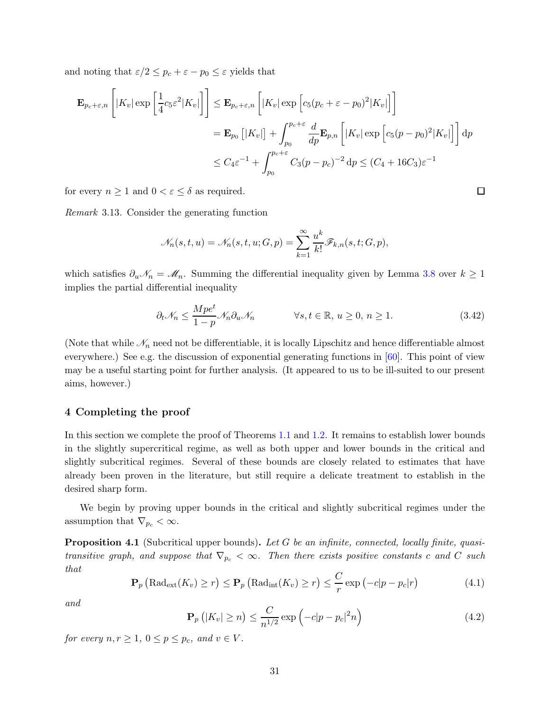and noting that  $\varepsilon/2 \leq p_c + \varepsilon - p_0 \leq \varepsilon$  yields that

$$
\mathbf{E}_{p_c+\varepsilon,n} \left[ |K_v| \exp\left[\frac{1}{4}c_5\varepsilon^2 |K_v|\right] \right] \leq \mathbf{E}_{p_c+\varepsilon,n} \left[ |K_v| \exp\left[c_5(p_c+\varepsilon-p_0)^2 |K_v|\right] \right]
$$
  
\n
$$
= \mathbf{E}_{p_0} \left[ |K_v| \right] + \int_{p_0}^{p_c+\varepsilon} \frac{d}{dp} \mathbf{E}_{p,n} \left[ |K_v| \exp\left[c_5(p-p_0)^2 |K_v|\right] \right] dp
$$
  
\n
$$
\leq C_4 \varepsilon^{-1} + \int_{p_0}^{p_c+\varepsilon} C_3(p-p_c)^{-2} dp \leq (C_4 + 16C_3)\varepsilon^{-1}
$$

for every  $n \geq 1$  and  $0 < \varepsilon \leq \delta$  as required.

Remark 3.13. Consider the generating function

$$
\mathcal{N}_n(s,t,u) = \mathcal{N}_n(s,t,u;G,p) = \sum_{k=1}^{\infty} \frac{u^k}{k!} \mathcal{F}_{k,n}(s,t;G,p),
$$

which satisfies  $\partial_u \mathcal{N}_n = \mathcal{M}_n$ . Summing the differential inequality given by Lemma [3.8](#page-20-1) over  $k \geq 1$ implies the partial differential inequality

$$
\partial_t \mathcal{N}_n \le \frac{Mpe^t}{1-p} \mathcal{N}_n \partial_u \mathcal{N}_n \qquad \forall s, t \in \mathbb{R}, u \ge 0, n \ge 1. \tag{3.42}
$$

 $\Box$ 

(Note that while  $\mathcal{N}_n$  need not be differentiable, it is locally Lipschitz and hence differentiable almost everywhere.) See e.g. the discussion of exponential generating functions in [\[60\]](#page-41-21). This point of view may be a useful starting point for further analysis. (It appeared to us to be ill-suited to our present aims, however.)

#### <span id="page-30-0"></span>4 Completing the proof

In this section we complete the proof of Theorems [1.1](#page-3-0) and [1.2.](#page-4-2) It remains to establish lower bounds in the slightly supercritical regime, as well as both upper and lower bounds in the critical and slightly subcritical regimes. Several of these bounds are closely related to estimates that have already been proven in the literature, but still require a delicate treatment to establish in the desired sharp form.

<span id="page-30-1"></span>We begin by proving upper bounds in the critical and slightly subcritical regimes under the assumption that  $\nabla_{p_c} < \infty$ .

**Proposition 4.1** (Subcritical upper bounds). Let G be an infinite, connected, locally finite, quasitransitive graph, and suppose that  $\nabla_{p_c} < \infty$ . Then there exists positive constants c and C such that

<span id="page-30-3"></span>
$$
\mathbf{P}_p\left(\text{Rad}_{\text{ext}}(K_v) \ge r\right) \le \mathbf{P}_p\left(\text{Rad}_{\text{int}}(K_v) \ge r\right) \le \frac{C}{r} \exp\left(-c|p - p_c|r\right) \tag{4.1}
$$

and

<span id="page-30-2"></span>
$$
\mathbf{P}_p\left(|K_v| \ge n\right) \le \frac{C}{n^{1/2}} \exp\left(-c|p - p_c|^2 n\right) \tag{4.2}
$$

for every  $n, r \geq 1, 0 \leq p \leq p_c$ , and  $v \in V$ .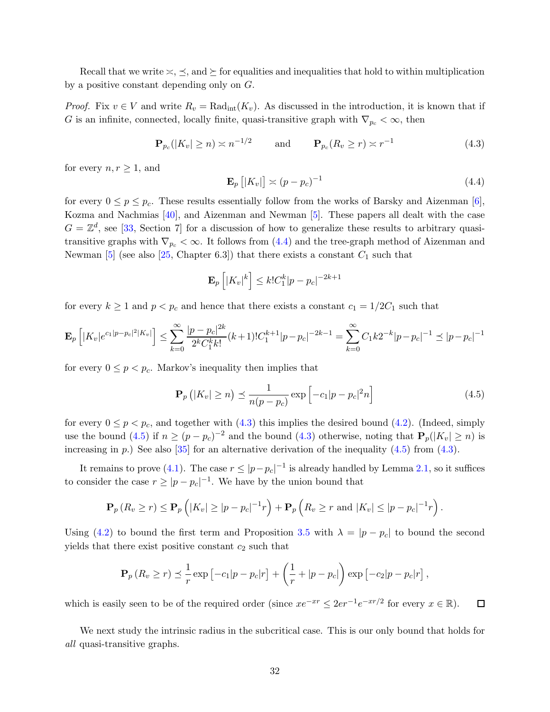Recall that we write  $\leq, \leq$ , and  $\succeq$  for equalities and inequalities that hold to within multiplication by a positive constant depending only on G.

*Proof.* Fix  $v \in V$  and write  $R_v = \text{Rad}_{int}(K_v)$ . As discussed in the introduction, it is known that if G is an infinite, connected, locally finite, quasi-transitive graph with  $\nabla_{p_c} < \infty$ , then

<span id="page-31-2"></span>
$$
\mathbf{P}_{p_c}(|K_v| \ge n) \asymp n^{-1/2} \qquad \text{and} \qquad \mathbf{P}_{p_c}(R_v \ge r) \asymp r^{-1} \tag{4.3}
$$

for every  $n, r \geq 1$ , and

<span id="page-31-1"></span>
$$
\mathbf{E}_p\left[|K_v|\right] \asymp (p - p_c)^{-1} \tag{4.4}
$$

for every  $0 \le p \le p_c$ . These results essentially follow from the works of Barsky and Aizenman [\[6\]](#page-39-7), Kozma and Nachmias [\[40\]](#page-41-9), and Aizenman and Newman [\[5\]](#page-39-2). These papers all dealt with the case  $G = \mathbb{Z}^d$ , see [\[33,](#page-40-11) Section 7] for a discussion of how to generalize these results to arbitrary quasitransitive graphs with  $\nabla_{p_c} < \infty$ . It follows from [\(4.4\)](#page-31-1) and the tree-graph method of Aizenman and Newman [\[5\]](#page-39-2) (see also [\[25,](#page-40-1) Chapter 6.3]) that there exists a constant  $C_1$  such that

$$
\mathbf{E}_p\left[|K_v|^k\right] \le k!C_1^k|p-p_c|^{-2k+1}
$$

for every  $k \ge 1$  and  $p < p_c$  and hence that there exists a constant  $c_1 = 1/2C_1$  such that

$$
\mathbf{E}_p\left[|K_v|e^{c_1|p-p_c|^2|K_v|}\right] \le \sum_{k=0}^{\infty} \frac{|p-p_c|^{2k}}{2^k C_1^k k!} (k+1)! C_1^{k+1} |p-p_c|^{-2k-1} = \sum_{k=0}^{\infty} C_1 k 2^{-k} |p-p_c|^{-1} \le |p-p_c|^{-1}
$$

for every  $0 \leq p < p_c$ . Markov's inequality then implies that

<span id="page-31-3"></span>
$$
\mathbf{P}_p\left(|K_v| \ge n\right) \preceq \frac{1}{n(p - p_c)} \exp\left[-c_1|p - p_c|^2 n\right] \tag{4.5}
$$

for every  $0 \le p < p_c$ , and together with  $(4.3)$  this implies the desired bound  $(4.2)$ . (Indeed, simply use the bound [\(4.5\)](#page-31-3) if  $n \ge (p - p_c)^{-2}$  and the bound [\(4.3\)](#page-31-2) otherwise, noting that  $P_p(|K_v| \ge n)$  is increasing in p.) See also  $[35]$  for an alternative derivation of the inequality  $(4.5)$  from  $(4.3)$ .

It remains to prove [\(4.1\)](#page-30-3). The case  $r \leq |p-p_c|^{-1}$  is already handled by Lemma [2.1,](#page-8-1) so it suffices to consider the case  $r \ge |p - p_c|^{-1}$ . We have by the union bound that

$$
\mathbf{P}_p(R_v \ge r) \le \mathbf{P}_p\left(|K_v| \ge |p - p_c|^{-1}r\right) + \mathbf{P}_p\left(R_v \ge r \text{ and } |K_v| \le |p - p_c|^{-1}r\right).
$$

Using [\(4.2\)](#page-30-2) to bound the first term and Proposition [3.5](#page-13-1) with  $\lambda = |p - p_c|$  to bound the second yields that there exist positive constant  $c_2$  such that

$$
\mathbf{P}_p(R_v \ge r) \le \frac{1}{r} \exp\left[-c_1|p-p_c|r\right] + \left(\frac{1}{r} + |p-p_c|\right) \exp\left[-c_2|p-p_c|r\right],
$$

which is easily seen to be of the required order (since  $xe^{-xr} \leq 2er^{-1}e^{-xr/2}$  for every  $x \in \mathbb{R}$ ).  $\Box$ 

<span id="page-31-0"></span>We next study the intrinsic radius in the subcritical case. This is our only bound that holds for all quasi-transitive graphs.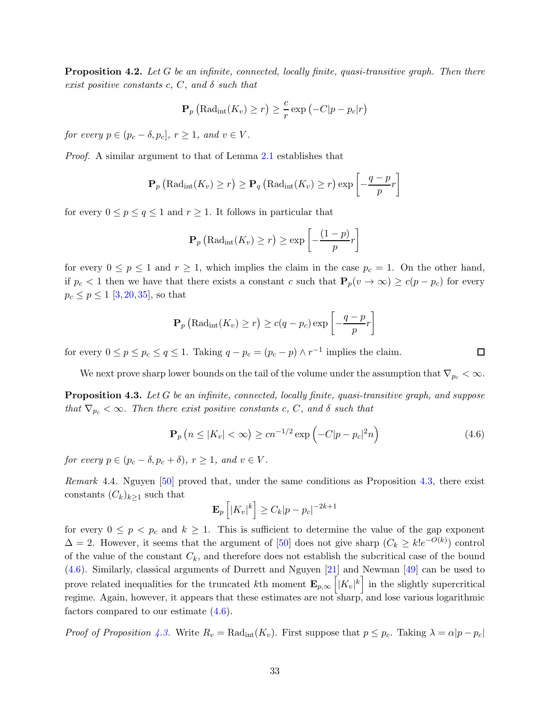**Proposition 4.2.** Let G be an infinite, connected, locally finite, quasi-transitive graph. Then there exist positive constants c, C, and  $\delta$  such that

$$
\mathbf{P}_p\left(\text{Rad}_{\text{int}}(K_v) \ge r\right) \ge \frac{c}{r} \exp\left(-C|p - p_c|r\right)
$$

for every  $p \in (p_c - \delta, p_c], r \ge 1$ , and  $v \in V$ .

Proof. A similar argument to that of Lemma [2.1](#page-8-1) establishes that

$$
\mathbf{P}_p\left(\text{Rad}_{\text{int}}(K_v) \ge r\right) \ge \mathbf{P}_q\left(\text{Rad}_{\text{int}}(K_v) \ge r\right) \exp\left[-\frac{q-p}{p}r\right]
$$

for every  $0 \le p \le q \le 1$  and  $r \ge 1$ . It follows in particular that

$$
\mathbf{P}_p\left(\text{Rad}_{\text{int}}(K_v) \ge r\right) \ge \exp\left[-\frac{(1-p)}{p}r\right]
$$

for every  $0 \le p \le 1$  and  $r \ge 1$ , which implies the claim in the case  $p_c = 1$ . On the other hand, if  $p_c < 1$  then we have that there exists a constant c such that  $P_p(v \to \infty) \ge c(p - p_c)$  for every  $p_c \le p \le 1$  [\[3,](#page-39-1) [20,](#page-40-3) [35\]](#page-40-18), so that

$$
\mathbf{P}_p\left(\text{Rad}_{\text{int}}(K_v) \ge r\right) \ge c(q - p_c) \exp\left[-\frac{q - p}{p}r\right]
$$

for every  $0 \le p \le p_c \le q \le 1$ . Taking  $q - p_c = (p_c - p) \wedge r^{-1}$  implies the claim.

<span id="page-32-0"></span>We next prove sharp lower bounds on the tail of the volume under the assumption that  $\nabla_{p_c} < \infty$ .

**Proposition 4.3.** Let G be an infinite, connected, locally finite, quasi-transitive graph, and suppose that  $\nabla_{p_c} < \infty$ . Then there exist positive constants c, C, and  $\delta$  such that

<span id="page-32-1"></span>
$$
\mathbf{P}_p\left(n\leq|K_v|<\infty\right)\geq cn^{-1/2}\exp\left(-C|p-p_c|^2n\right)\tag{4.6}
$$

for every  $p \in (p_c - \delta, p_c + \delta), r \ge 1$ , and  $v \in V$ .

Remark 4.4. Nguyen [\[50\]](#page-41-19) proved that, under the same conditions as Proposition [4.3,](#page-32-0) there exist constants  $(C_k)_{k>1}$  such that

$$
\mathbf{E}_p\left[|K_v|^k\right] \ge C_k|p-p_c|^{-2k+1}
$$

for every  $0 \leq p \leq p_c$  and  $k \geq 1$ . This is sufficient to determine the value of the gap exponent  $\Delta = 2$ . However, it seems that the argument of [\[50\]](#page-41-19) does not give sharp  $(C_k \geq k!e^{-O(k)})$  control of the value of the constant  $C_k$ , and therefore does not establish the subcritical case of the bound [\(4.6\)](#page-32-1). Similarly, classical arguments of Durrett and Nguyen [\[21\]](#page-40-20) and Newman [\[49\]](#page-41-22) can be used to prove related inequalities for the truncated kth moment  $\mathbf{E}_{p,\infty}\left[|K_v|^k\right]$  in the slightly supercritical regime. Again, however, it appears that these estimates are not sharp, and lose various logarithmic factors compared to our estimate [\(4.6\)](#page-32-1).

*Proof of Proposition [4.3.](#page-32-0)* Write  $R_v = \text{Rad}_{int}(K_v)$ . First suppose that  $p \leq p_c$ . Taking  $\lambda = \alpha |p - p_c|$ 

口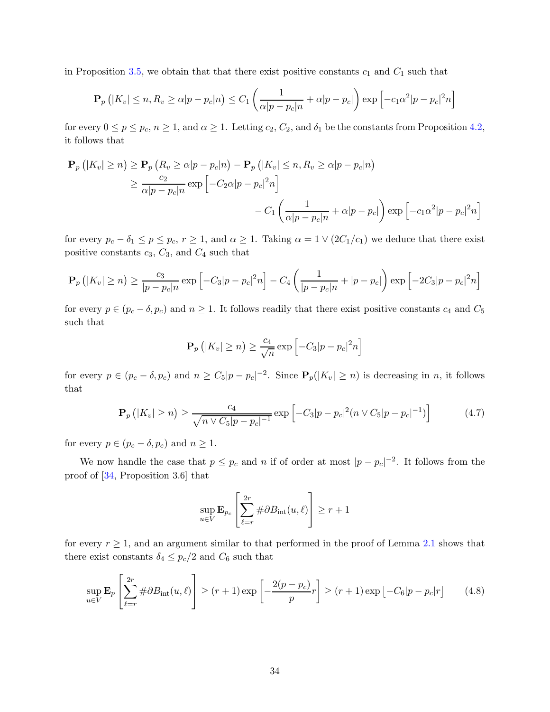in Proposition [3.5,](#page-13-1) we obtain that that there exist positive constants  $c_1$  and  $C_1$  such that

$$
\mathbf{P}_p\left(|K_v| \le n, R_v \ge \alpha |p - p_c|n\right) \le C_1 \left(\frac{1}{\alpha |p - p_c|n} + \alpha |p - p_c|\right) \exp\left[-c_1 \alpha^2 |p - p_c|^2 n\right]
$$

for every  $0 \le p \le p_c$ ,  $n \ge 1$ , and  $\alpha \ge 1$ . Letting  $c_2$ ,  $C_2$ , and  $\delta_1$  be the constants from Proposition [4.2,](#page-31-0) it follows that

$$
\mathbf{P}_p\left(|K_v| \ge n\right) \ge \mathbf{P}_p\left(R_v \ge \alpha |p - p_c|n\right) - \mathbf{P}_p\left(|K_v| \le n, R_v \ge \alpha |p - p_c|n\right)
$$
  
\n
$$
\ge \frac{c_2}{\alpha |p - p_c|n} \exp\left[-C_2 \alpha |p - p_c|^2 n\right]
$$
  
\n
$$
-C_1 \left(\frac{1}{\alpha |p - p_c|n} + \alpha |p - p_c|\right) \exp\left[-c_1 \alpha^2 |p - p_c|^2 n\right]
$$

for every  $p_c - \delta_1 \le p \le p_c$ ,  $r \ge 1$ , and  $\alpha \ge 1$ . Taking  $\alpha = 1 \vee (2C_1/c_1)$  we deduce that there exist positive constants  $c_3$ ,  $C_3$ , and  $C_4$  such that

$$
\mathbf{P}_p(|K_v| \ge n) \ge \frac{c_3}{|p - p_c|n} \exp\left[-C_3|p - p_c|^2 n\right] - C_4 \left(\frac{1}{|p - p_c|n} + |p - p_c|\right) \exp\left[-2C_3|p - p_c|^2 n\right]
$$

for every  $p \in (p_c - \delta, p_c)$  and  $n \ge 1$ . It follows readily that there exist positive constants  $c_4$  and  $C_5$ such that

$$
\mathbf{P}_p\left(|K_v| \geq n\right) \geq \frac{c_4}{\sqrt{n}} \exp\left[-C_3|p-p_c|^2 n\right]
$$

for every  $p \in (p_c - \delta, p_c)$  and  $n \ge C_5|p - p_c|^{-2}$ . Since  $\mathbf{P}_p(|K_v| \ge n)$  is decreasing in n, it follows that

$$
\mathbf{P}_p\left(|K_v| \ge n\right) \ge \frac{c_4}{\sqrt{n \vee C_5|p - p_c|^{-1}}} \exp\left[-C_3|p - p_c|^2(n \vee C_5|p - p_c|^{-1})\right] \tag{4.7}
$$

for every  $p \in (p_c - \delta, p_c)$  and  $n \geq 1$ .

We now handle the case that  $p \leq p_c$  and n if of order at most  $|p - p_c|^{-2}$ . It follows from the proof of [\[34,](#page-40-10) Proposition 3.6] that

<span id="page-33-1"></span>
$$
\sup_{u \in V} \mathbf{E}_{p_c} \left[ \sum_{\ell=r}^{2r} \# \partial B_{int}(u, \ell) \right] \ge r+1
$$

for every  $r \geq 1$ , and an argument similar to that performed in the proof of Lemma [2.1](#page-8-1) shows that there exist constants  $\delta_4 \leq p_c/2$  and  $C_6$  such that

<span id="page-33-0"></span>
$$
\sup_{u \in V} \mathbf{E}_p \left[ \sum_{\ell=r}^{2r} \# \partial B_{\text{int}}(u,\ell) \right] \ge (r+1) \exp \left[ -\frac{2(p-p_c)}{p} r \right] \ge (r+1) \exp \left[ -C_6|p-p_c|r \right] \tag{4.8}
$$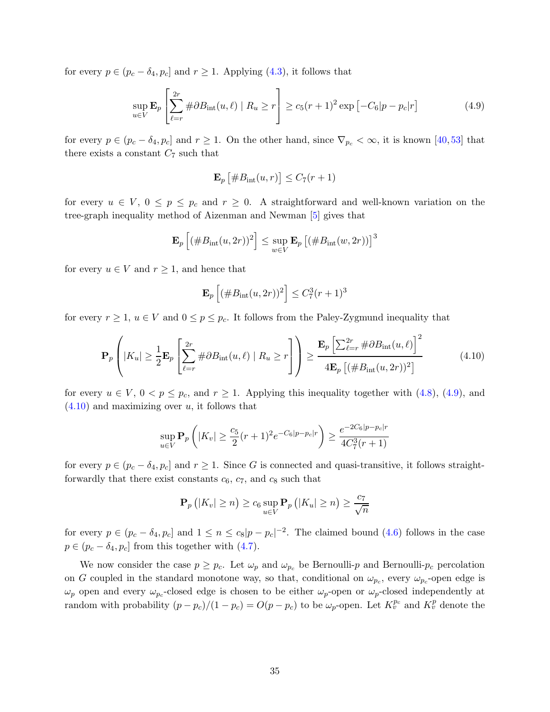for every  $p \in (p_c - \delta_4, p_c]$  and  $r \ge 1$ . Applying [\(4.3\)](#page-31-2), it follows that

<span id="page-34-0"></span>
$$
\sup_{u \in V} \mathbf{E}_p \left[ \sum_{\ell=r}^{2r} \# \partial B_{\text{int}}(u,\ell) \mid R_u \ge r \right] \ge c_5 (r+1)^2 \exp \left[ -C_6 |p - p_c| r \right]
$$
(4.9)

for every  $p \in (p_c - \delta_4, p_c]$  and  $r \ge 1$ . On the other hand, since  $\nabla_{p_c} < \infty$ , it is known [\[40,](#page-41-9)[53\]](#page-41-20) that there exists a constant  $C_7$  such that

$$
\mathbf{E}_p\left[\#B_{\text{int}}(u,r)\right] \leq C_7(r+1)
$$

for every  $u \in V$ ,  $0 \leq p \leq p_c$  and  $r \geq 0$ . A straightforward and well-known variation on the tree-graph inequality method of Aizenman and Newman [\[5\]](#page-39-2) gives that

$$
\mathbf{E}_p\left[ \left( \#B_{\rm int}(u, 2r) \right)^2 \right] \leq \sup_{w \in V} \mathbf{E}_p \left[ \left( \#B_{\rm int}(w, 2r) \right) \right]^3
$$

for every  $u \in V$  and  $r \geq 1$ , and hence that

$$
\mathbf{E}_p\left[ (\#B_{\rm int}(u, 2r))^2 \right] \le C_7^3 (r+1)^3
$$

for every  $r \geq 1$ ,  $u \in V$  and  $0 \leq p \leq p_c$ . It follows from the Paley-Zygmund inequality that

<span id="page-34-1"></span>
$$
\mathbf{P}_{p}\left(|K_{u}| \geq \frac{1}{2}\mathbf{E}_{p}\left[\sum_{\ell=r}^{2r} \#\partial B_{\text{int}}(u,\ell) \mid R_{u} \geq r\right]\right) \geq \frac{\mathbf{E}_{p}\left[\sum_{\ell=r}^{2r} \#\partial B_{\text{int}}(u,\ell)\right]^{2}}{4\mathbf{E}_{p}\left[(\#B_{\text{int}}(u,2r))^{2}\right]}
$$
(4.10)

for every  $u \in V$ ,  $0 < p \leq p_c$ , and  $r \geq 1$ . Applying this inequality together with  $(4.8)$ ,  $(4.9)$ , and  $(4.10)$  and maximizing over u, it follows that

$$
\sup_{u \in V} \mathbf{P}_p \left( |K_v| \ge \frac{c_5}{2} (r+1)^2 e^{-C_6|p-p_c|r} \right) \ge \frac{e^{-2C_6|p-p_c|r}}{4C_7^3(r+1)}
$$

for every  $p \in (p_c - \delta_4, p_c]$  and  $r \geq 1$ . Since G is connected and quasi-transitive, it follows straightforwardly that there exist constants  $c_6$ ,  $c_7$ , and  $c_8$  such that

$$
\mathbf{P}_p\left(|K_v| \geq n\right) \geq c_6 \sup_{u \in V} \mathbf{P}_p\left(|K_u| \geq n\right) \geq \frac{c_7}{\sqrt{n}}
$$

for every  $p \in (p_c - \delta_4, p_c]$  and  $1 \leq n \leq c_8|p - p_c|^{-2}$ . The claimed bound [\(4.6\)](#page-32-1) follows in the case  $p \in (p_c - \delta_4, p_c]$  from this together with  $(4.7)$ .

We now consider the case  $p \geq p_c$ . Let  $\omega_p$  and  $\omega_{p_c}$  be Bernoulli-p and Bernoulli- $p_c$  percolation on G coupled in the standard monotone way, so that, conditional on  $\omega_{p_c}$ , every  $\omega_{p_c}$ -open edge is  $\omega_p$  open and every  $\omega_{p_c}$ -closed edge is chosen to be either  $\omega_p$ -open or  $\omega_p$ -closed independently at random with probability  $(p - p_c)/(1 - p_c) = O(p - p_c)$  to be  $\omega_p$ -open. Let  $K_v^{p_c}$  and  $K_v^p$  denote the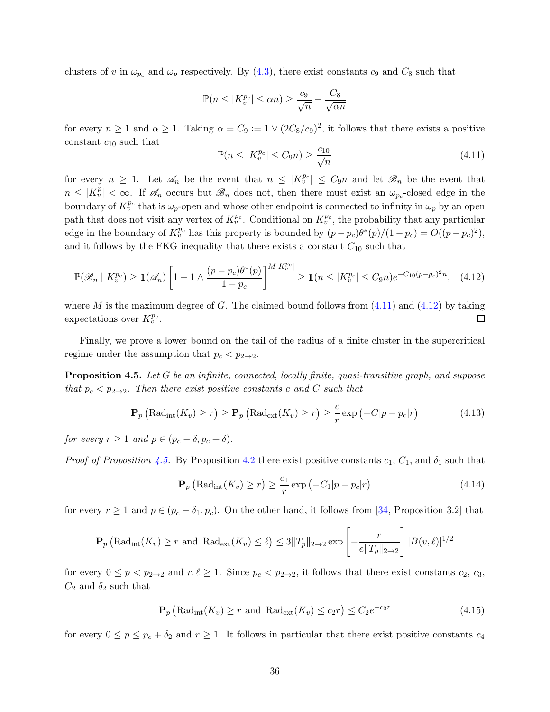clusters of v in  $\omega_{p_c}$  and  $\omega_p$  respectively. By [\(4.3\)](#page-31-2), there exist constants  $c_9$  and  $C_8$  such that

$$
\mathbb{P}(n \le |K_v^{p_c}| \le \alpha n) \ge \frac{c_9}{\sqrt{n}} - \frac{C_8}{\sqrt{\alpha n}}
$$

for every  $n \ge 1$  and  $\alpha \ge 1$ . Taking  $\alpha = C_9 := 1 \vee (2C_8/c_9)^2$ , it follows that there exists a positive constant  $c_{10}$  such that

<span id="page-35-0"></span>
$$
\mathbb{P}(n \le |K_v^{p_c}| \le C_9 n) \ge \frac{c_{10}}{\sqrt{n}}\tag{4.11}
$$

for every  $n \geq 1$ . Let  $\mathscr{A}_n$  be the event that  $n \leq |K_v^{p_c}| \leq C_9n$  and let  $\mathscr{B}_n$  be the event that  $n \leq |K_v^p| < \infty$ . If  $\mathscr{A}_n$  occurs but  $\mathscr{B}_n$  does not, then there must exist an  $\omega_{p_c}$ -closed edge in the boundary of  $K_v^{p_c}$  that is  $\omega_p$ -open and whose other endpoint is connected to infinity in  $\omega_p$  by an open path that does not visit any vertex of  $K_v^{p_c}$ . Conditional on  $K_v^{p_c}$ , the probability that any particular edge in the boundary of  $K_v^{p_c}$  has this property is bounded by  $(p - p_c)\theta^*(p)/(1 - p_c) = O((p - p_c)^2)$ , and it follows by the FKG inequality that there exists a constant  $C_{10}$  such that

<span id="page-35-1"></span>
$$
\mathbb{P}(\mathscr{B}_n \mid K_v^{p_c}) \ge \mathbb{1}(\mathscr{A}_n) \left[ 1 - 1 \wedge \frac{(p - p_c)\theta^*(p)}{1 - p_c} \right]^{M|K_v^{p_c}|} \ge \mathbb{1}(n \le |K_v^{p_c}| \le C_9 n) e^{-C_{10}(p - p_c)^2 n}, \quad (4.12)
$$

where M is the maximum degree of G. The claimed bound follows from  $(4.11)$  and  $(4.12)$  by taking expectations over  $K_v^{p_c}$ .  $\Box$ 

<span id="page-35-2"></span>Finally, we prove a lower bound on the tail of the radius of a finite cluster in the supercritical regime under the assumption that  $p_c < p_{2\to 2}$ .

Proposition 4.5. Let G be an infinite, connected, locally finite, quasi-transitive graph, and suppose that  $p_c < p_{2\to 2}$ . Then there exist positive constants c and C such that

$$
\mathbf{P}_p\left(\text{Rad}_{\text{int}}(K_v) \ge r\right) \ge \mathbf{P}_p\left(\text{Rad}_{\text{ext}}(K_v) \ge r\right) \ge \frac{c}{r} \exp\left(-C|p - p_c|r\right) \tag{4.13}
$$

for every  $r \geq 1$  and  $p \in (p_c - \delta, p_c + \delta)$ .

*Proof of Proposition [4.5.](#page-35-2)* By Proposition [4.2](#page-31-0) there exist positive constants  $c_1$ ,  $C_1$ , and  $\delta_1$  such that

<span id="page-35-3"></span>
$$
\mathbf{P}_p\left(\text{Rad}_{\text{int}}(K_v) \ge r\right) \ge \frac{c_1}{r} \exp\left(-C_1|p - p_c|r\right) \tag{4.14}
$$

for every  $r \ge 1$  and  $p \in (p_c - \delta_1, p_c)$ . On the other hand, it follows from [\[34,](#page-40-10) Proposition 3.2] that

$$
\mathbf{P}_p\left(\mathrm{Rad}_{\mathrm{int}}(K_v) \ge r \text{ and } \mathrm{Rad}_{\mathrm{ext}}(K_v) \le \ell\right) \le 3\|T_p\|_{2 \to 2} \exp\left[-\frac{r}{e\|T_p\|_{2 \to 2}}\right] |B(v,\ell)|^{1/2}
$$

for every  $0 \le p < p_{2\to 2}$  and  $r, \ell \ge 1$ . Since  $p_c < p_{2\to 2}$ , it follows that there exist constants  $c_2, c_3$ ,  $C_2$  and  $\delta_2$  such that

$$
\mathbf{P}_p\left(\text{Rad}_{\text{int}}(K_v) \ge r \text{ and } \text{Rad}_{\text{ext}}(K_v) \le c_2 r\right) \le C_2 e^{-c_3 r} \tag{4.15}
$$

for every  $0 \le p \le p_c + \delta_2$  and  $r \ge 1$ . It follows in particular that there exist positive constants  $c_4$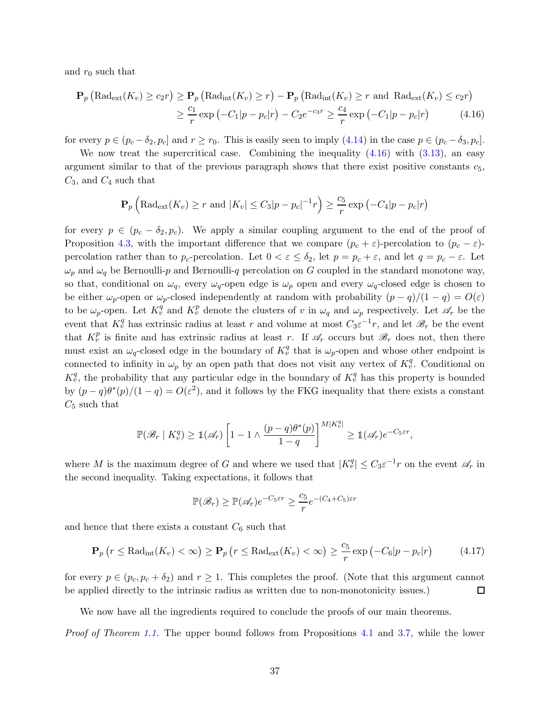and  $r_0$  such that

$$
\mathbf{P}_p\left(\text{Rad}_{\text{ext}}(K_v) \ge c_2 r\right) \ge \mathbf{P}_p\left(\text{Rad}_{\text{int}}(K_v) \ge r\right) - \mathbf{P}_p\left(\text{Rad}_{\text{int}}(K_v) \ge r \text{ and } \text{Rad}_{\text{ext}}(K_v) \le c_2 r\right)
$$

$$
\ge \frac{c_1}{r} \exp\left(-C_1|p - p_c|r\right) - C_2 e^{-c_3 r} \ge \frac{c_4}{r} \exp\left(-C_1|p - p_c|r\right) \tag{4.16}
$$

for every  $p \in (p_c - \delta_2, p_c]$  and  $r \ge r_0$ . This is easily seen to imply [\(4.14\)](#page-35-3) in the case  $p \in (p_c - \delta_3, p_c]$ .

We now treat the supercritical case. Combining the inequality  $(4.16)$  with  $(3.13)$ , an easy argument similar to that of the previous paragraph shows that there exist positive constants  $c_5$ ,  $C_3$ , and  $C_4$  such that

<span id="page-36-0"></span>
$$
\mathbf{P}_p\left(\text{Rad}_{\text{ext}}(K_v) \ge r \text{ and } |K_v| \le C_3|p - p_c|^{-1}r\right) \ge \frac{c_5}{r} \exp\left(-C_4|p - p_c|r\right)
$$

for every  $p \in (p_c - \delta_2, p_c)$ . We apply a similar coupling argument to the end of the proof of Proposition [4.3,](#page-32-0) with the important difference that we compare  $(p_c + \varepsilon)$ -percolation to  $(p_c - \varepsilon)$ percolation rather than to  $p_c$ -percolation. Let  $0 < \varepsilon \leq \delta_2$ , let  $p = p_c + \varepsilon$ , and let  $q = p_c - \varepsilon$ . Let  $\omega_p$  and  $\omega_q$  be Bernoulli-p and Bernoulli-q percolation on G coupled in the standard monotone way, so that, conditional on  $\omega_q$ , every  $\omega_q$ -open edge is  $\omega_p$  open and every  $\omega_q$ -closed edge is chosen to be either  $\omega_p$ -open or  $\omega_p$ -closed independently at random with probability  $(p-q)/(1-q) = O(\varepsilon)$ to be  $\omega_p$ -open. Let  $K_v^q$  and  $K_v^p$  denote the clusters of v in  $\omega_q$  and  $\omega_p$  respectively. Let  $\mathscr{A}_r$  be the event that  $K_v^q$  has extrinsic radius at least r and volume at most  $C_3\varepsilon^{-1}r$ , and let  $\mathscr{B}_r$  be the event that  $K_v^p$  is finite and has extrinsic radius at least r. If  $\mathscr{A}_r$  occurs but  $\mathscr{B}_r$  does not, then there must exist an  $\omega_q$ -closed edge in the boundary of  $K_v^q$  that is  $\omega_p$ -open and whose other endpoint is connected to infinity in  $\omega_p$  by an open path that does not visit any vertex of  $K_v^q$ . Conditional on  $K_v^q$ , the probability that any particular edge in the boundary of  $K_v^q$  has this property is bounded by  $(p-q)\theta^*(p)/(1-q) = O(\varepsilon^2)$ , and it follows by the FKG inequality that there exists a constant  $C_5$  such that

$$
\mathbb{P}(\mathscr{B}_r | K_v^q) \geq \mathbb{1}(\mathscr{A}_r) \left[1 - 1 \wedge \frac{(p-q)\theta^*(p)}{1-q}\right]^{M|K_v^q|} \geq \mathbb{1}(\mathscr{A}_r) e^{-C_5 \varepsilon r},
$$

where M is the maximum degree of G and where we used that  $|K_v^q| \leq C_3 \varepsilon^{-1} r$  on the event  $\mathscr{A}_r$  in the second inequality. Taking expectations, it follows that

$$
\mathbb{P}(\mathcal{B}_r) \geq \mathbb{P}(\mathcal{A}_r)e^{-C_5\epsilon r} \geq \frac{c_5}{r}e^{-(C_4+C_5)\epsilon r}
$$

and hence that there exists a constant  $C_6$  such that

$$
\mathbf{P}_p(r \leq \text{Rad}_{\text{int}}(K_v) < \infty) \geq \mathbf{P}_p\left(r \leq \text{Rad}_{\text{ext}}(K_v) < \infty\right) \geq \frac{c_5}{r} \exp\left(-C_6|p - p_c|r\right) \tag{4.17}
$$

for every  $p \in (p_c, p_c + \delta_2)$  and  $r \ge 1$ . This completes the proof. (Note that this argument cannot be applied directly to the intrinsic radius as written due to non-monotonicity issues.) □

We now have all the ingredients required to conclude the proofs of our main theorems.

Proof of Theorem [1.1.](#page-3-0) The upper bound follows from Propositions [4.1](#page-30-1) and [3.7,](#page-17-3) while the lower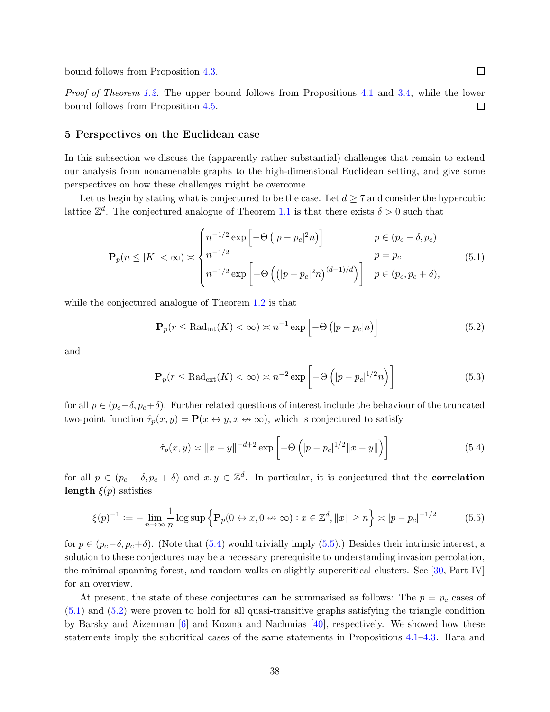bound follows from Proposition [4.3.](#page-32-0)

<span id="page-37-0"></span>Proof of Theorem [1.2.](#page-4-2) The upper bound follows from Propositions [4.1](#page-30-1) and [3.4,](#page-13-2) while the lower bound follows from Proposition [4.5.](#page-35-2)  $\Box$ 

#### 5 Perspectives on the Euclidean case

In this subsection we discuss the (apparently rather substantial) challenges that remain to extend our analysis from nonamenable graphs to the high-dimensional Euclidean setting, and give some perspectives on how these challenges might be overcome.

Let us begin by stating what is conjectured to be the case. Let  $d \geq 7$  and consider the hypercubic lattice  $\mathbb{Z}^d$ . The conjectured analogue of Theorem [1.1](#page-3-0) is that there exists  $\delta > 0$  such that

$$
\mathbf{P}_p(n \le |K| < \infty) \asymp \begin{cases} n^{-1/2} \exp\left[-\Theta\left(|p - p_c|^2 n\right)\right] & p \in (p_c - \delta, p_c) \\ n^{-1/2} & p = p_c \\ n^{-1/2} \exp\left[-\Theta\left(\left(|p - p_c|^2 n\right)^{(d-1)/d}\right)\right] & p \in (p_c, p_c + \delta), \end{cases} \tag{5.1}
$$

while the conjectured analogue of Theorem [1.2](#page-4-2) is that

<span id="page-37-4"></span><span id="page-37-3"></span>
$$
\mathbf{P}_p(r \le \text{Rad}_{\text{int}}(K) < \infty) \asymp n^{-1} \exp\left[-\Theta\left(|p - p_c|n\right)\right] \tag{5.2}
$$

and

<span id="page-37-5"></span>
$$
\mathbf{P}_p(r \le \text{Rad}_{\text{ext}}(K) < \infty) \asymp n^{-2} \exp\left[-\Theta\left(|p - p_c|^{1/2}n\right)\right] \tag{5.3}
$$

for all  $p \in (p_c-\delta, p_c+\delta)$ . Further related questions of interest include the behaviour of the truncated two-point function  $\hat{\tau}_p(x, y) = \mathbf{P}(x \leftrightarrow y, x \leftrightarrow \infty)$ , which is conjectured to satisfy

<span id="page-37-1"></span>
$$
\hat{\tau}_p(x, y) \asymp ||x - y||^{-d+2} \exp\left[ -\Theta\left( |p - p_c|^{1/2} ||x - y|| \right) \right]
$$
\n(5.4)

for all  $p \in (p_c - \delta, p_c + \delta)$  and  $x, y \in \mathbb{Z}^d$ . In particular, it is conjectured that the **correlation** length  $\xi(p)$  satisfies

<span id="page-37-2"></span>
$$
\xi(p)^{-1} := -\lim_{n \to \infty} \frac{1}{n} \log \sup \left\{ \mathbf{P}_p(0 \leftrightarrow x, 0 \leftrightarrow \infty) : x \in \mathbb{Z}^d, \|x\| \ge n \right\} \asymp |p - p_c|^{-1/2} \tag{5.5}
$$

for  $p \in (p_c-\delta, p_c+\delta)$ . (Note that  $(5.4)$  would trivially imply  $(5.5)$ .) Besides their intrinsic interest, a solution to these conjectures may be a necessary prerequisite to understanding invasion percolation, the minimal spanning forest, and random walks on slightly supercritical clusters. See [\[30,](#page-40-8) Part IV] for an overview.

At present, the state of these conjectures can be summarised as follows: The  $p = p_c$  cases of [\(5.1\)](#page-37-3) and [\(5.2\)](#page-37-4) were proven to hold for all quasi-transitive graphs satisfying the triangle condition by Barsky and Aizenman [\[6\]](#page-39-7) and Kozma and Nachmias [\[40\]](#page-41-9), respectively. We showed how these statements imply the subcritical cases of the same statements in Propositions [4.1](#page-30-1)[–4.3.](#page-32-0) Hara and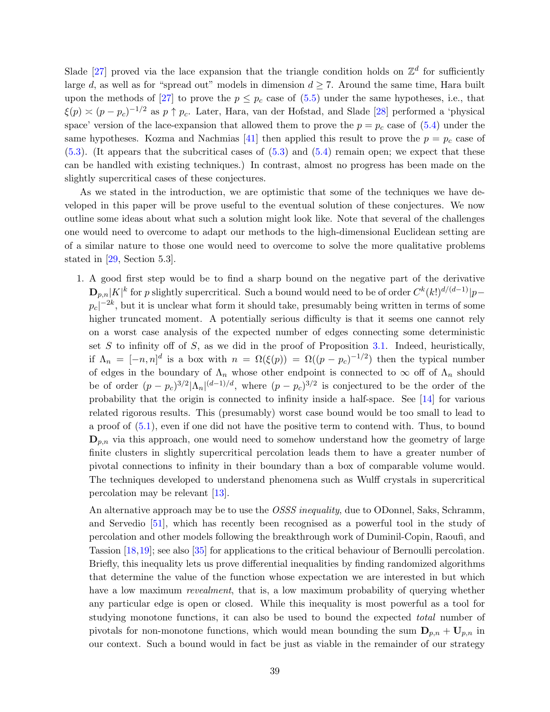Slade [\[27\]](#page-40-4) proved via the lace expansion that the triangle condition holds on  $\mathbb{Z}^d$  for sufficiently large d, as well as for "spread out" models in dimension  $d \geq 7$ . Around the same time, Hara built upon the methods of [\[27\]](#page-40-4) to prove the  $p \leq p_c$  case of [\(5.5\)](#page-37-2) under the same hypotheses, i.e., that  $\xi(p) \approx (p - p_c)^{-1/2}$  as  $p \uparrow p_c$ . Later, Hara, van der Hofstad, and Slade [\[28\]](#page-40-21) performed a 'physical space' version of the lace-expansion that allowed them to prove the  $p = p_c$  case of [\(5.4\)](#page-37-1) under the same hypotheses. Kozma and Nachmias [\[41\]](#page-41-10) then applied this result to prove the  $p = p_c$  case of  $(5.3)$ . (It appears that the subcritical cases of  $(5.3)$  and  $(5.4)$  remain open; we expect that these can be handled with existing techniques.) In contrast, almost no progress has been made on the slightly supercritical cases of these conjectures.

As we stated in the introduction, we are optimistic that some of the techniques we have developed in this paper will be prove useful to the eventual solution of these conjectures. We now outline some ideas about what such a solution might look like. Note that several of the challenges one would need to overcome to adapt our methods to the high-dimensional Euclidean setting are of a similar nature to those one would need to overcome to solve the more qualitative problems stated in [\[29,](#page-40-13) Section 5.3].

1. A good first step would be to find a sharp bound on the negative part of the derivative  $\mathbf{D}_{p,n}|K|^k$  for p slightly supercritical. Such a bound would need to be of order  $C^k(k!)^{d/(d-1)}|p$  $p_c|^{-2k}$ , but it is unclear what form it should take, presumably being written in terms of some higher truncated moment. A potentially serious difficulty is that it seems one cannot rely on a worst case analysis of the expected number of edges connecting some deterministic set  $S$  to infinity off of  $S$ , as we did in the proof of Proposition [3.1.](#page-11-0) Indeed, heuristically, if  $\Lambda_n = [-n, n]^d$  is a box with  $n = \Omega(\xi(p)) = \Omega((p - p_c)^{-1/2})$  then the typical number of edges in the boundary of  $\Lambda_n$  whose other endpoint is connected to  $\infty$  off of  $\Lambda_n$  should be of order  $(p - p_c)^{3/2} |\Lambda_n|^{(d-1)/d}$ , where  $(p - p_c)^{3/2}$  is conjectured to be the order of the probability that the origin is connected to infinity inside a half-space. See [\[14\]](#page-40-22) for various related rigorous results. This (presumably) worst case bound would be too small to lead to a proof of [\(5.1\)](#page-37-3), even if one did not have the positive term to contend with. Thus, to bound  $\mathbf{D}_{p,n}$  via this approach, one would need to somehow understand how the geometry of large finite clusters in slightly supercritical percolation leads them to have a greater number of pivotal connections to infinity in their boundary than a box of comparable volume would. The techniques developed to understand phenomena such as Wulff crystals in supercritical percolation may be relevant [\[13\]](#page-40-7).

An alternative approach may be to use the *OSSS inequality*, due to ODonnel, Saks, Schramm, and Servedio [\[51\]](#page-41-23), which has recently been recognised as a powerful tool in the study of percolation and other models following the breakthrough work of Duminil-Copin, Raoufi, and Tassion [\[18,](#page-40-23)[19\]](#page-40-17); see also [\[35\]](#page-40-18) for applications to the critical behaviour of Bernoulli percolation. Briefly, this inequality lets us prove differential inequalities by finding randomized algorithms that determine the value of the function whose expectation we are interested in but which have a low maximum *revealment*, that is, a low maximum probability of querying whether any particular edge is open or closed. While this inequality is most powerful as a tool for studying monotone functions, it can also be used to bound the expected total number of pivotals for non-monotone functions, which would mean bounding the sum  $D_{p,n} + U_{p,n}$  in our context. Such a bound would in fact be just as viable in the remainder of our strategy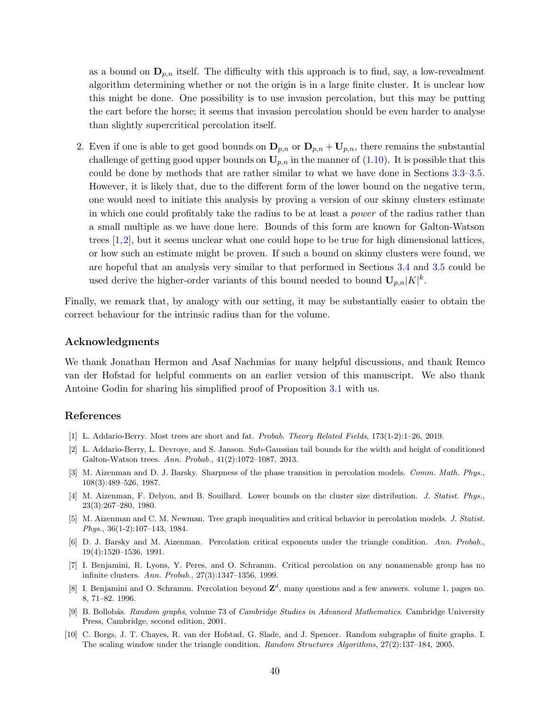as a bound on  $\mathbf{D}_{p,n}$  itself. The difficulty with this approach is to find, say, a low-revealment algorithm determining whether or not the origin is in a large finite cluster. It is unclear how this might be done. One possibility is to use invasion percolation, but this may be putting the cart before the horse; it seems that invasion percolation should be even harder to analyse than slightly supercritical percolation itself.

2. Even if one is able to get good bounds on  $\mathbf{D}_{p,n}$  or  $\mathbf{D}_{p,n} + \mathbf{U}_{p,n}$ , there remains the substantial challenge of getting good upper bounds on  $U_{p,n}$  in the manner of [\(1.10\)](#page-6-0). It is possible that this could be done by methods that are rather similar to what we have done in Sections [3.3–](#page-13-0)[3.5.](#page-23-0) However, it is likely that, due to the different form of the lower bound on the negative term, one would need to initiate this analysis by proving a version of our skinny clusters estimate in which one could profitably take the radius to be at least a power of the radius rather than a small multiple as we have done here. Bounds of this form are known for Galton-Watson trees  $[1,2]$  $[1,2]$ , but it seems unclear what one could hope to be true for high dimensional lattices, or how such an estimate might be proven. If such a bound on skinny clusters were found, we are hopeful that an analysis very similar to that performed in Sections [3.4](#page-17-0) and [3.5](#page-23-0) could be used derive the higher-order variants of this bound needed to bound  $\mathbf{U}_{p,n}|K|^k$ .

Finally, we remark that, by analogy with our setting, it may be substantially easier to obtain the correct behaviour for the intrinsic radius than for the volume.

#### Acknowledgments

We thank Jonathan Hermon and Asaf Nachmias for many helpful discussions, and thank Remco van der Hofstad for helpful comments on an earlier version of this manuscript. We also thank Antoine Godin for sharing his simplified proof of Proposition [3.1](#page-11-0) with us.

#### References

- <span id="page-39-9"></span><span id="page-39-8"></span>[1] L. Addario-Berry. Most trees are short and fat. Probab. Theory Related Fields, 173(1-2):1–26, 2019.
- [2] L. Addario-Berry, L. Devroye, and S. Janson. Sub-Gaussian tail bounds for the width and height of conditioned Galton-Watson trees. Ann. Probab., 41(2):1072–1087, 2013.
- <span id="page-39-1"></span>[3] M. Aizenman and D. J. Barsky. Sharpness of the phase transition in percolation models. Comm. Math. Phys., 108(3):489–526, 1987.
- <span id="page-39-3"></span>[4] M. Aizenman, F. Delyon, and B. Souillard. Lower bounds on the cluster size distribution. J. Statist. Phys., 23(3):267–280, 1980.
- <span id="page-39-2"></span>[5] M. Aizenman and C. M. Newman. Tree graph inequalities and critical behavior in percolation models. J. Statist. Phys., 36(1-2):107–143, 1984.
- <span id="page-39-7"></span>[6] D. J. Barsky and M. Aizenman. Percolation critical exponents under the triangle condition. Ann. Probab., 19(4):1520–1536, 1991.
- <span id="page-39-4"></span>[7] I. Benjamini, R. Lyons, Y. Peres, and O. Schramm. Critical percolation on any nonamenable group has no infinite clusters. Ann. Probab., 27(3):1347–1356, 1999.
- <span id="page-39-0"></span>[8] I. Benjamini and O. Schramm. Percolation beyond  $\mathbb{Z}^d$ , many questions and a few answers. volume 1, pages no. 8, 71–82. 1996.
- <span id="page-39-6"></span>[9] B. Bollob´as. Random graphs, volume 73 of Cambridge Studies in Advanced Mathematics. Cambridge University Press, Cambridge, second edition, 2001.
- <span id="page-39-5"></span>[10] C. Borgs, J. T. Chayes, R. van der Hofstad, G. Slade, and J. Spencer. Random subgraphs of finite graphs. I. The scaling window under the triangle condition. Random Structures Algorithms, 27(2):137–184, 2005.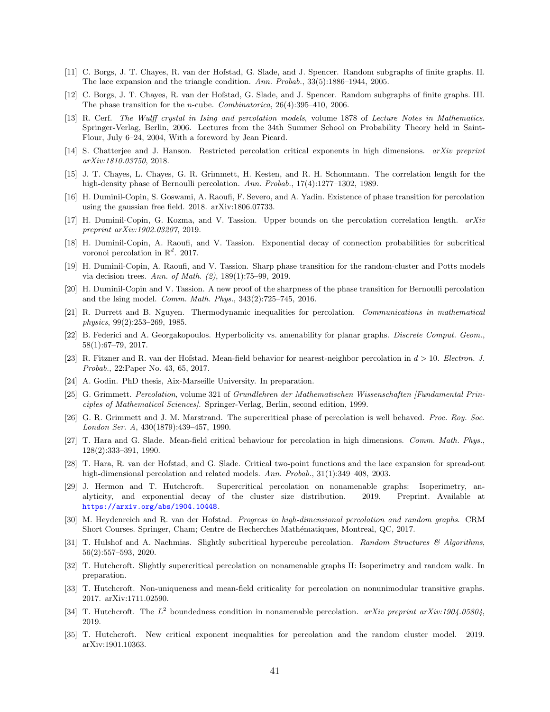- <span id="page-40-14"></span>[11] C. Borgs, J. T. Chayes, R. van der Hofstad, G. Slade, and J. Spencer. Random subgraphs of finite graphs. II. The lace expansion and the triangle condition. Ann. Probab., 33(5):1886–1944, 2005.
- [12] C. Borgs, J. T. Chayes, R. van der Hofstad, G. Slade, and J. Spencer. Random subgraphs of finite graphs. III. The phase transition for the n-cube. Combinatorica, 26(4):395–410, 2006.
- <span id="page-40-7"></span>[13] R. Cerf. The Wulff crystal in Ising and percolation models, volume 1878 of Lecture Notes in Mathematics. Springer-Verlag, Berlin, 2006. Lectures from the 34th Summer School on Probability Theory held in Saint-Flour, July 6–24, 2004, With a foreword by Jean Picard.
- <span id="page-40-22"></span><span id="page-40-5"></span>[14] S. Chatterjee and J. Hanson. Restricted percolation critical exponents in high dimensions. arXiv preprint arXiv:1810.03750, 2018.
- [15] J. T. Chayes, L. Chayes, G. R. Grimmett, H. Kesten, and R. H. Schonmann. The correlation length for the high-density phase of Bernoulli percolation. Ann. Probab., 17(4):1277–1302, 1989.
- <span id="page-40-9"></span><span id="page-40-0"></span>[16] H. Duminil-Copin, S. Goswami, A. Raoufi, F. Severo, and A. Yadin. Existence of phase transition for percolation using the gaussian free field. 2018. arXiv:1806.07733.
- <span id="page-40-23"></span>[17] H. Duminil-Copin, G. Kozma, and V. Tassion. Upper bounds on the percolation correlation length. arXiv preprint arXiv:1902.03207, 2019.
- [18] H. Duminil-Copin, A. Raoufi, and V. Tassion. Exponential decay of connection probabilities for subcritical voronoi percolation in  $\mathbb{R}^d$ . 2017.
- <span id="page-40-17"></span>[19] H. Duminil-Copin, A. Raoufi, and V. Tassion. Sharp phase transition for the random-cluster and Potts models via decision trees. Ann. of Math. (2), 189(1):75–99, 2019.
- <span id="page-40-3"></span>[20] H. Duminil-Copin and V. Tassion. A new proof of the sharpness of the phase transition for Bernoulli percolation and the Ising model. Comm. Math. Phys., 343(2):725–745, 2016.
- <span id="page-40-20"></span>[21] R. Durrett and B. Nguyen. Thermodynamic inequalities for percolation. Communications in mathematical physics, 99(2):253–269, 1985.
- <span id="page-40-2"></span>[22] B. Federici and A. Georgakopoulos. Hyperbolicity vs. amenability for planar graphs. Discrete Comput. Geom., 58(1):67–79, 2017.
- <span id="page-40-16"></span>[23] R. Fitzner and R. van der Hofstad. Mean-field behavior for nearest-neighbor percolation in  $d > 10$ . Electron. J. Probab., 22:Paper No. 43, 65, 2017.
- <span id="page-40-19"></span><span id="page-40-1"></span>[24] A. Godin. PhD thesis, Aix-Marseille University. In preparation.
- [25] G. Grimmett. Percolation, volume 321 of Grundlehren der Mathematischen Wissenschaften [Fundamental Principles of Mathematical Sciences]. Springer-Verlag, Berlin, second edition, 1999.
- <span id="page-40-6"></span>[26] G. R. Grimmett and J. M. Marstrand. The supercritical phase of percolation is well behaved. Proc. Roy. Soc. London Ser. A, 430(1879):439–457, 1990.
- <span id="page-40-4"></span>[27] T. Hara and G. Slade. Mean-field critical behaviour for percolation in high dimensions. Comm. Math. Phys., 128(2):333–391, 1990.
- <span id="page-40-21"></span>[28] T. Hara, R. van der Hofstad, and G. Slade. Critical two-point functions and the lace expansion for spread-out high-dimensional percolation and related models. Ann. Probab., 31(1):349–408, 2003.
- <span id="page-40-13"></span>[29] J. Hermon and T. Hutchcroft. Supercritical percolation on nonamenable graphs: Isoperimetry, analyticity, and exponential decay of the cluster size distribution. 2019. Preprint. Available at <https://arxiv.org/abs/1904.10448>.
- <span id="page-40-8"></span>[30] M. Heydenreich and R. van der Hofstad. Progress in high-dimensional percolation and random graphs. CRM Short Courses. Springer, Cham; Centre de Recherches Math´ematiques, Montreal, QC, 2017.
- <span id="page-40-15"></span>[31] T. Hulshof and A. Nachmias. Slightly subcritical hypercube percolation. Random Structures & Algorithms, 56(2):557–593, 2020.
- <span id="page-40-12"></span>[32] T. Hutchcroft. Slightly supercritical percolation on nonamenable graphs II: Isoperimetry and random walk. In preparation.
- <span id="page-40-11"></span>[33] T. Hutchcroft. Non-uniqueness and mean-field criticality for percolation on nonunimodular transitive graphs. 2017. arXiv:1711.02590.
- <span id="page-40-10"></span>[34] T. Hutchcroft. The  $L^2$  boundedness condition in nonamenable percolation. arXiv preprint arXiv:1904.05804, 2019.
- <span id="page-40-18"></span>[35] T. Hutchcroft. New critical exponent inequalities for percolation and the random cluster model. 2019. arXiv:1901.10363.